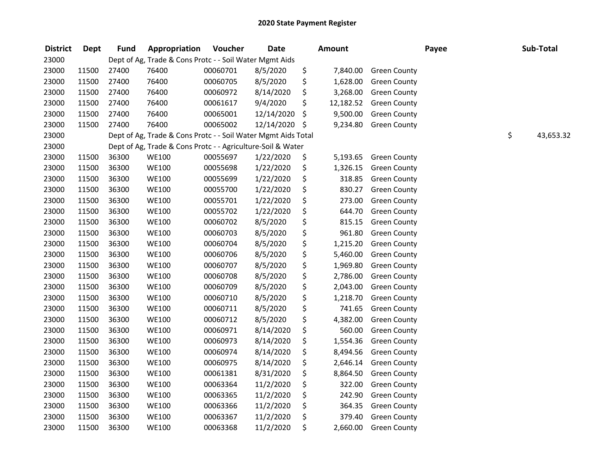| <b>District</b> | <b>Dept</b> | <b>Fund</b> | Appropriation                                                 | Voucher  | <b>Date</b> |      | <b>Amount</b> |                     | Payee | Sub-Total       |
|-----------------|-------------|-------------|---------------------------------------------------------------|----------|-------------|------|---------------|---------------------|-------|-----------------|
| 23000           |             |             | Dept of Ag, Trade & Cons Protc - - Soil Water Mgmt Aids       |          |             |      |               |                     |       |                 |
| 23000           | 11500       | 27400       | 76400                                                         | 00060701 | 8/5/2020    | \$   | 7,840.00      | <b>Green County</b> |       |                 |
| 23000           | 11500       | 27400       | 76400                                                         | 00060705 | 8/5/2020    | \$   | 1,628.00      | <b>Green County</b> |       |                 |
| 23000           | 11500       | 27400       | 76400                                                         | 00060972 | 8/14/2020   | \$   | 3,268.00      | <b>Green County</b> |       |                 |
| 23000           | 11500       | 27400       | 76400                                                         | 00061617 | 9/4/2020    | \$   | 12,182.52     | <b>Green County</b> |       |                 |
| 23000           | 11500       | 27400       | 76400                                                         | 00065001 | 12/14/2020  | \$   | 9,500.00      | <b>Green County</b> |       |                 |
| 23000           | 11500       | 27400       | 76400                                                         | 00065002 | 12/14/2020  | - \$ | 9,234.80      | <b>Green County</b> |       |                 |
| 23000           |             |             | Dept of Ag, Trade & Cons Protc - - Soil Water Mgmt Aids Total |          |             |      |               |                     |       | \$<br>43,653.32 |
| 23000           |             |             | Dept of Ag, Trade & Cons Protc - - Agriculture-Soil & Water   |          |             |      |               |                     |       |                 |
| 23000           | 11500       | 36300       | <b>WE100</b>                                                  | 00055697 | 1/22/2020   | \$   | 5,193.65      | <b>Green County</b> |       |                 |
| 23000           | 11500       | 36300       | <b>WE100</b>                                                  | 00055698 | 1/22/2020   | \$   | 1,326.15      | <b>Green County</b> |       |                 |
| 23000           | 11500       | 36300       | <b>WE100</b>                                                  | 00055699 | 1/22/2020   | \$   | 318.85        | <b>Green County</b> |       |                 |
| 23000           | 11500       | 36300       | <b>WE100</b>                                                  | 00055700 | 1/22/2020   | \$   | 830.27        | <b>Green County</b> |       |                 |
| 23000           | 11500       | 36300       | <b>WE100</b>                                                  | 00055701 | 1/22/2020   | \$   | 273.00        | <b>Green County</b> |       |                 |
| 23000           | 11500       | 36300       | <b>WE100</b>                                                  | 00055702 | 1/22/2020   | \$   | 644.70        | <b>Green County</b> |       |                 |
| 23000           | 11500       | 36300       | <b>WE100</b>                                                  | 00060702 | 8/5/2020    | \$   | 815.15        | <b>Green County</b> |       |                 |
| 23000           | 11500       | 36300       | <b>WE100</b>                                                  | 00060703 | 8/5/2020    | \$   | 961.80        | <b>Green County</b> |       |                 |
| 23000           | 11500       | 36300       | <b>WE100</b>                                                  | 00060704 | 8/5/2020    | \$   | 1,215.20      | <b>Green County</b> |       |                 |
| 23000           | 11500       | 36300       | <b>WE100</b>                                                  | 00060706 | 8/5/2020    | \$   | 5,460.00      | <b>Green County</b> |       |                 |
| 23000           | 11500       | 36300       | <b>WE100</b>                                                  | 00060707 | 8/5/2020    | \$   | 1,969.80      | <b>Green County</b> |       |                 |
| 23000           | 11500       | 36300       | <b>WE100</b>                                                  | 00060708 | 8/5/2020    | \$   | 2,786.00      | <b>Green County</b> |       |                 |
| 23000           | 11500       | 36300       | <b>WE100</b>                                                  | 00060709 | 8/5/2020    | \$   | 2,043.00      | <b>Green County</b> |       |                 |
| 23000           | 11500       | 36300       | <b>WE100</b>                                                  | 00060710 | 8/5/2020    | \$   | 1,218.70      | <b>Green County</b> |       |                 |
| 23000           | 11500       | 36300       | <b>WE100</b>                                                  | 00060711 | 8/5/2020    | \$   | 741.65        | <b>Green County</b> |       |                 |
| 23000           | 11500       | 36300       | <b>WE100</b>                                                  | 00060712 | 8/5/2020    | \$   | 4,382.00      | <b>Green County</b> |       |                 |
| 23000           | 11500       | 36300       | <b>WE100</b>                                                  | 00060971 | 8/14/2020   | \$   | 560.00        | <b>Green County</b> |       |                 |
| 23000           | 11500       | 36300       | <b>WE100</b>                                                  | 00060973 | 8/14/2020   | \$   | 1,554.36      | <b>Green County</b> |       |                 |
| 23000           | 11500       | 36300       | <b>WE100</b>                                                  | 00060974 | 8/14/2020   | \$   | 8,494.56      | <b>Green County</b> |       |                 |
| 23000           | 11500       | 36300       | <b>WE100</b>                                                  | 00060975 | 8/14/2020   | \$   | 2,646.14      | <b>Green County</b> |       |                 |
| 23000           | 11500       | 36300       | <b>WE100</b>                                                  | 00061381 | 8/31/2020   | \$   | 8,864.50      | <b>Green County</b> |       |                 |
| 23000           | 11500       | 36300       | <b>WE100</b>                                                  | 00063364 | 11/2/2020   | \$   | 322.00        | <b>Green County</b> |       |                 |
| 23000           | 11500       | 36300       | <b>WE100</b>                                                  | 00063365 | 11/2/2020   | \$   | 242.90        | <b>Green County</b> |       |                 |
| 23000           | 11500       | 36300       | <b>WE100</b>                                                  | 00063366 | 11/2/2020   | \$   | 364.35        | <b>Green County</b> |       |                 |
| 23000           | 11500       | 36300       | <b>WE100</b>                                                  | 00063367 | 11/2/2020   | \$   | 379.40        | <b>Green County</b> |       |                 |
| 23000           | 11500       | 36300       | <b>WE100</b>                                                  | 00063368 | 11/2/2020   | \$   | 2,660.00      | <b>Green County</b> |       |                 |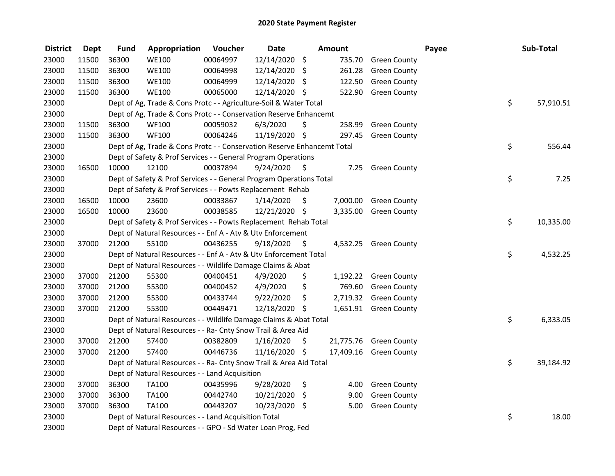| <b>District</b> | Dept  | <b>Fund</b> | Appropriation                                                           | Voucher  | <b>Date</b>   |                    | Amount    |                        | Payee | Sub-Total       |
|-----------------|-------|-------------|-------------------------------------------------------------------------|----------|---------------|--------------------|-----------|------------------------|-------|-----------------|
| 23000           | 11500 | 36300       | <b>WE100</b>                                                            | 00064997 | 12/14/2020    | $\ddot{\varsigma}$ | 735.70    | <b>Green County</b>    |       |                 |
| 23000           | 11500 | 36300       | <b>WE100</b>                                                            | 00064998 | 12/14/2020 \$ |                    | 261.28    | <b>Green County</b>    |       |                 |
| 23000           | 11500 | 36300       | <b>WE100</b>                                                            | 00064999 | 12/14/2020 \$ |                    | 122.50    | <b>Green County</b>    |       |                 |
| 23000           | 11500 | 36300       | <b>WE100</b>                                                            | 00065000 | 12/14/2020 \$ |                    | 522.90    | <b>Green County</b>    |       |                 |
| 23000           |       |             | Dept of Ag, Trade & Cons Protc - - Agriculture-Soil & Water Total       |          |               |                    |           |                        |       | \$<br>57,910.51 |
| 23000           |       |             | Dept of Ag, Trade & Cons Protc - - Conservation Reserve Enhancemt       |          |               |                    |           |                        |       |                 |
| 23000           | 11500 | 36300       | WF100                                                                   | 00059032 | 6/3/2020      | \$                 | 258.99    | <b>Green County</b>    |       |                 |
| 23000           | 11500 | 36300       | <b>WF100</b>                                                            | 00064246 | 11/19/2020 \$ |                    | 297.45    | <b>Green County</b>    |       |                 |
| 23000           |       |             | Dept of Ag, Trade & Cons Protc - - Conservation Reserve Enhancemt Total |          |               |                    |           |                        |       | \$<br>556.44    |
| 23000           |       |             | Dept of Safety & Prof Services - - General Program Operations           |          |               |                    |           |                        |       |                 |
| 23000           | 16500 | 10000       | 12100                                                                   | 00037894 | 9/24/2020     | - \$               | 7.25      | <b>Green County</b>    |       |                 |
| 23000           |       |             | Dept of Safety & Prof Services - - General Program Operations Total     |          |               |                    |           |                        | \$    | 7.25            |
| 23000           |       |             | Dept of Safety & Prof Services - - Powts Replacement Rehab              |          |               |                    |           |                        |       |                 |
| 23000           | 16500 | 10000       | 23600                                                                   | 00033867 | 1/14/2020     | \$.                | 7,000.00  | <b>Green County</b>    |       |                 |
| 23000           | 16500 | 10000       | 23600                                                                   | 00038585 | 12/21/2020 \$ |                    | 3,335.00  | <b>Green County</b>    |       |                 |
| 23000           |       |             | Dept of Safety & Prof Services - - Powts Replacement Rehab Total        |          |               |                    |           |                        |       | \$<br>10,335.00 |
| 23000           |       |             | Dept of Natural Resources - - Enf A - Atv & Utv Enforcement             |          |               |                    |           |                        |       |                 |
| 23000           | 37000 | 21200       | 55100                                                                   | 00436255 | 9/18/2020     | \$                 | 4,532.25  | <b>Green County</b>    |       |                 |
| 23000           |       |             | Dept of Natural Resources - - Enf A - Atv & Utv Enforcement Total       |          |               |                    |           |                        |       | \$<br>4,532.25  |
| 23000           |       |             | Dept of Natural Resources - - Wildlife Damage Claims & Abat             |          |               |                    |           |                        |       |                 |
| 23000           | 37000 | 21200       | 55300                                                                   | 00400451 | 4/9/2020      | \$                 |           | 1,192.22 Green County  |       |                 |
| 23000           | 37000 | 21200       | 55300                                                                   | 00400452 | 4/9/2020      | \$                 | 769.60    | <b>Green County</b>    |       |                 |
| 23000           | 37000 | 21200       | 55300                                                                   | 00433744 | 9/22/2020     | \$                 | 2,719.32  | <b>Green County</b>    |       |                 |
| 23000           | 37000 | 21200       | 55300                                                                   | 00449471 | 12/18/2020 \$ |                    | 1,651.91  | <b>Green County</b>    |       |                 |
| 23000           |       |             | Dept of Natural Resources - - Wildlife Damage Claims & Abat Total       |          |               |                    |           |                        |       | \$<br>6,333.05  |
| 23000           |       |             | Dept of Natural Resources - - Ra- Cnty Snow Trail & Area Aid            |          |               |                    |           |                        |       |                 |
| 23000           | 37000 | 21200       | 57400                                                                   | 00382809 | 1/16/2020     | \$                 |           | 21,775.76 Green County |       |                 |
| 23000           | 37000 | 21200       | 57400                                                                   | 00446736 | 11/16/2020 \$ |                    | 17,409.16 | <b>Green County</b>    |       |                 |
| 23000           |       |             | Dept of Natural Resources - - Ra- Cnty Snow Trail & Area Aid Total      |          |               |                    |           |                        |       | \$<br>39,184.92 |
| 23000           |       |             | Dept of Natural Resources - - Land Acquisition                          |          |               |                    |           |                        |       |                 |
| 23000           | 37000 | 36300       | TA100                                                                   | 00435996 | 9/28/2020     | \$                 | 4.00      | <b>Green County</b>    |       |                 |
| 23000           | 37000 | 36300       | TA100                                                                   | 00442740 | 10/21/2020    | $\ddot{\varsigma}$ | 9.00      | <b>Green County</b>    |       |                 |
| 23000           | 37000 | 36300       | <b>TA100</b>                                                            | 00443207 | 10/23/2020    | - \$               | 5.00      | <b>Green County</b>    |       |                 |
| 23000           |       |             | Dept of Natural Resources - - Land Acquisition Total                    |          |               |                    |           |                        | \$    | 18.00           |
| 23000           |       |             | Dept of Natural Resources - - GPO - Sd Water Loan Prog, Fed             |          |               |                    |           |                        |       |                 |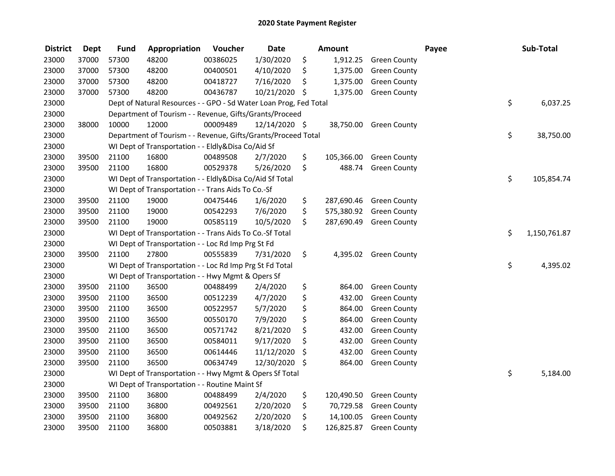| <b>District</b> | <b>Dept</b> | <b>Fund</b> | Appropriation                                                     | Voucher  | <b>Date</b>   | <b>Amount</b>    |                        | Payee | Sub-Total    |
|-----------------|-------------|-------------|-------------------------------------------------------------------|----------|---------------|------------------|------------------------|-------|--------------|
| 23000           | 37000       | 57300       | 48200                                                             | 00386025 | 1/30/2020     | \$<br>1,912.25   | <b>Green County</b>    |       |              |
| 23000           | 37000       | 57300       | 48200                                                             | 00400501 | 4/10/2020     | \$<br>1,375.00   | <b>Green County</b>    |       |              |
| 23000           | 37000       | 57300       | 48200                                                             | 00418727 | 7/16/2020     | \$<br>1,375.00   | <b>Green County</b>    |       |              |
| 23000           | 37000       | 57300       | 48200                                                             | 00436787 | 10/21/2020 \$ | 1,375.00         | <b>Green County</b>    |       |              |
| 23000           |             |             | Dept of Natural Resources - - GPO - Sd Water Loan Prog, Fed Total |          |               |                  |                        | \$    | 6,037.25     |
| 23000           |             |             | Department of Tourism - - Revenue, Gifts/Grants/Proceed           |          |               |                  |                        |       |              |
| 23000           | 38000       | 10000       | 12000                                                             | 00009489 | 12/14/2020 \$ |                  | 38,750.00 Green County |       |              |
| 23000           |             |             | Department of Tourism - - Revenue, Gifts/Grants/Proceed Total     |          |               |                  |                        | \$    | 38,750.00    |
| 23000           |             |             | WI Dept of Transportation - - Eldly&Disa Co/Aid Sf                |          |               |                  |                        |       |              |
| 23000           | 39500       | 21100       | 16800                                                             | 00489508 | 2/7/2020      | \$<br>105,366.00 | <b>Green County</b>    |       |              |
| 23000           | 39500       | 21100       | 16800                                                             | 00529378 | 5/26/2020     | \$<br>488.74     | <b>Green County</b>    |       |              |
| 23000           |             |             | WI Dept of Transportation - - Eldly&Disa Co/Aid Sf Total          |          |               |                  |                        | \$    | 105,854.74   |
| 23000           |             |             | WI Dept of Transportation - - Trans Aids To Co.-Sf                |          |               |                  |                        |       |              |
| 23000           | 39500       | 21100       | 19000                                                             | 00475446 | 1/6/2020      | \$<br>287,690.46 | <b>Green County</b>    |       |              |
| 23000           | 39500       | 21100       | 19000                                                             | 00542293 | 7/6/2020      | \$<br>575,380.92 | <b>Green County</b>    |       |              |
| 23000           | 39500       | 21100       | 19000                                                             | 00585119 | 10/5/2020     | \$<br>287,690.49 | <b>Green County</b>    |       |              |
| 23000           |             |             | WI Dept of Transportation - - Trans Aids To Co.-Sf Total          |          |               |                  |                        | \$    | 1,150,761.87 |
| 23000           |             |             | WI Dept of Transportation - - Loc Rd Imp Prg St Fd                |          |               |                  |                        |       |              |
| 23000           | 39500       | 21100       | 27800                                                             | 00555839 | 7/31/2020     | \$               | 4,395.02 Green County  |       |              |
| 23000           |             |             | WI Dept of Transportation - - Loc Rd Imp Prg St Fd Total          |          |               |                  |                        | \$    | 4,395.02     |
| 23000           |             |             | WI Dept of Transportation - - Hwy Mgmt & Opers Sf                 |          |               |                  |                        |       |              |
| 23000           | 39500       | 21100       | 36500                                                             | 00488499 | 2/4/2020      | \$<br>864.00     | <b>Green County</b>    |       |              |
| 23000           | 39500       | 21100       | 36500                                                             | 00512239 | 4/7/2020      | \$<br>432.00     | <b>Green County</b>    |       |              |
| 23000           | 39500       | 21100       | 36500                                                             | 00522957 | 5/7/2020      | \$<br>864.00     | <b>Green County</b>    |       |              |
| 23000           | 39500       | 21100       | 36500                                                             | 00550170 | 7/9/2020      | \$<br>864.00     | <b>Green County</b>    |       |              |
| 23000           | 39500       | 21100       | 36500                                                             | 00571742 | 8/21/2020     | \$<br>432.00     | <b>Green County</b>    |       |              |
| 23000           | 39500       | 21100       | 36500                                                             | 00584011 | 9/17/2020     | \$<br>432.00     | <b>Green County</b>    |       |              |
| 23000           | 39500       | 21100       | 36500                                                             | 00614446 | 11/12/2020    | \$<br>432.00     | <b>Green County</b>    |       |              |
| 23000           | 39500       | 21100       | 36500                                                             | 00634749 | 12/30/2020    | \$<br>864.00     | <b>Green County</b>    |       |              |
| 23000           |             |             | WI Dept of Transportation - - Hwy Mgmt & Opers Sf Total           |          |               |                  |                        | \$    | 5,184.00     |
| 23000           |             |             | WI Dept of Transportation - - Routine Maint Sf                    |          |               |                  |                        |       |              |
| 23000           | 39500       | 21100       | 36800                                                             | 00488499 | 2/4/2020      | \$<br>120,490.50 | <b>Green County</b>    |       |              |
| 23000           | 39500       | 21100       | 36800                                                             | 00492561 | 2/20/2020     | \$<br>70,729.58  | <b>Green County</b>    |       |              |
| 23000           | 39500       | 21100       | 36800                                                             | 00492562 | 2/20/2020     | \$<br>14,100.05  | <b>Green County</b>    |       |              |
| 23000           | 39500       | 21100       | 36800                                                             | 00503881 | 3/18/2020     | \$<br>126,825.87 | <b>Green County</b>    |       |              |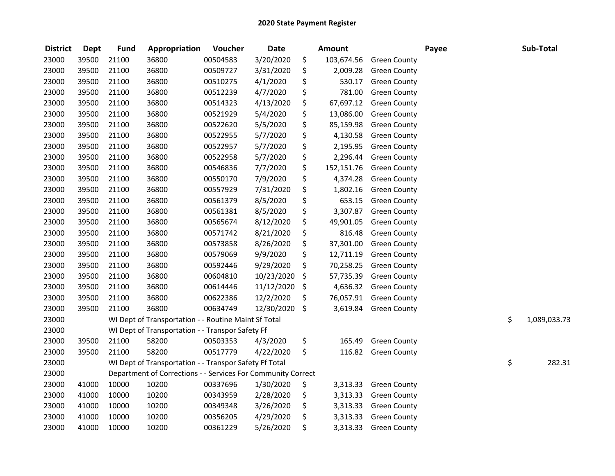| <b>District</b> | <b>Dept</b> | <b>Fund</b> | Appropriation                                                | Voucher  | <b>Date</b> |         | <b>Amount</b> |                     | Payee | Sub-Total          |
|-----------------|-------------|-------------|--------------------------------------------------------------|----------|-------------|---------|---------------|---------------------|-------|--------------------|
| 23000           | 39500       | 21100       | 36800                                                        | 00504583 | 3/20/2020   | \$      | 103,674.56    | <b>Green County</b> |       |                    |
| 23000           | 39500       | 21100       | 36800                                                        | 00509727 | 3/31/2020   | \$      | 2,009.28      | <b>Green County</b> |       |                    |
| 23000           | 39500       | 21100       | 36800                                                        | 00510275 | 4/1/2020    | \$      | 530.17        | <b>Green County</b> |       |                    |
| 23000           | 39500       | 21100       | 36800                                                        | 00512239 | 4/7/2020    | \$      | 781.00        | <b>Green County</b> |       |                    |
| 23000           | 39500       | 21100       | 36800                                                        | 00514323 | 4/13/2020   | \$      | 67,697.12     | <b>Green County</b> |       |                    |
| 23000           | 39500       | 21100       | 36800                                                        | 00521929 | 5/4/2020    | \$      | 13,086.00     | <b>Green County</b> |       |                    |
| 23000           | 39500       | 21100       | 36800                                                        | 00522620 | 5/5/2020    | \$      | 85,159.98     | <b>Green County</b> |       |                    |
| 23000           | 39500       | 21100       | 36800                                                        | 00522955 | 5/7/2020    | \$      | 4,130.58      | <b>Green County</b> |       |                    |
| 23000           | 39500       | 21100       | 36800                                                        | 00522957 | 5/7/2020    | \$      | 2,195.95      | <b>Green County</b> |       |                    |
| 23000           | 39500       | 21100       | 36800                                                        | 00522958 | 5/7/2020    | \$      | 2,296.44      | <b>Green County</b> |       |                    |
| 23000           | 39500       | 21100       | 36800                                                        | 00546836 | 7/7/2020    | \$      | 152,151.76    | <b>Green County</b> |       |                    |
| 23000           | 39500       | 21100       | 36800                                                        | 00550170 | 7/9/2020    | \$      | 4,374.28      | <b>Green County</b> |       |                    |
| 23000           | 39500       | 21100       | 36800                                                        | 00557929 | 7/31/2020   | \$      | 1,802.16      | <b>Green County</b> |       |                    |
| 23000           | 39500       | 21100       | 36800                                                        | 00561379 | 8/5/2020    | \$      | 653.15        | <b>Green County</b> |       |                    |
| 23000           | 39500       | 21100       | 36800                                                        | 00561381 | 8/5/2020    | \$      | 3,307.87      | <b>Green County</b> |       |                    |
| 23000           | 39500       | 21100       | 36800                                                        | 00565674 | 8/12/2020   | \$      | 49,901.05     | <b>Green County</b> |       |                    |
| 23000           | 39500       | 21100       | 36800                                                        | 00571742 | 8/21/2020   | \$      | 816.48        | <b>Green County</b> |       |                    |
| 23000           | 39500       | 21100       | 36800                                                        | 00573858 | 8/26/2020   | \$      | 37,301.00     | <b>Green County</b> |       |                    |
| 23000           | 39500       | 21100       | 36800                                                        | 00579069 | 9/9/2020    | \$      | 12,711.19     | <b>Green County</b> |       |                    |
| 23000           | 39500       | 21100       | 36800                                                        | 00592446 | 9/29/2020   | \$      | 70,258.25     | <b>Green County</b> |       |                    |
| 23000           | 39500       | 21100       | 36800                                                        | 00604810 | 10/23/2020  | \$      | 57,735.39     | <b>Green County</b> |       |                    |
| 23000           | 39500       | 21100       | 36800                                                        | 00614446 | 11/12/2020  | \$      | 4,636.32      | <b>Green County</b> |       |                    |
| 23000           | 39500       | 21100       | 36800                                                        | 00622386 | 12/2/2020   | \$      | 76,057.91     | <b>Green County</b> |       |                    |
| 23000           | 39500       | 21100       | 36800                                                        | 00634749 | 12/30/2020  | $\zeta$ | 3,619.84      | <b>Green County</b> |       |                    |
| 23000           |             |             | WI Dept of Transportation - - Routine Maint Sf Total         |          |             |         |               |                     |       | \$<br>1,089,033.73 |
| 23000           |             |             | WI Dept of Transportation - - Transpor Safety Ff             |          |             |         |               |                     |       |                    |
| 23000           | 39500       | 21100       | 58200                                                        | 00503353 | 4/3/2020    | \$      | 165.49        | <b>Green County</b> |       |                    |
| 23000           | 39500       | 21100       | 58200                                                        | 00517779 | 4/22/2020   | \$      | 116.82        | <b>Green County</b> |       |                    |
| 23000           |             |             | WI Dept of Transportation - - Transpor Safety Ff Total       |          |             |         |               |                     |       | \$<br>282.31       |
| 23000           |             |             | Department of Corrections - - Services For Community Correct |          |             |         |               |                     |       |                    |
| 23000           | 41000       | 10000       | 10200                                                        | 00337696 | 1/30/2020   | \$      | 3,313.33      | <b>Green County</b> |       |                    |
| 23000           | 41000       | 10000       | 10200                                                        | 00343959 | 2/28/2020   | \$      | 3,313.33      | <b>Green County</b> |       |                    |
| 23000           | 41000       | 10000       | 10200                                                        | 00349348 | 3/26/2020   | \$      | 3,313.33      | <b>Green County</b> |       |                    |
| 23000           | 41000       | 10000       | 10200                                                        | 00356205 | 4/29/2020   | \$      | 3,313.33      | <b>Green County</b> |       |                    |
| 23000           | 41000       | 10000       | 10200                                                        | 00361229 | 5/26/2020   | \$      | 3,313.33      | <b>Green County</b> |       |                    |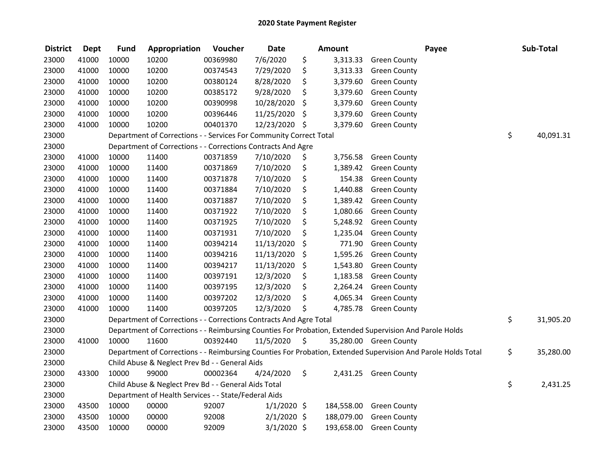| <b>District</b> | <b>Dept</b> | <b>Fund</b> | Appropriation                                                                                           | Voucher  | <b>Date</b>   | <b>Amount</b>  |                        | Payee                                                                                                         | Sub-Total       |
|-----------------|-------------|-------------|---------------------------------------------------------------------------------------------------------|----------|---------------|----------------|------------------------|---------------------------------------------------------------------------------------------------------------|-----------------|
| 23000           | 41000       | 10000       | 10200                                                                                                   | 00369980 | 7/6/2020      | \$<br>3,313.33 | <b>Green County</b>    |                                                                                                               |                 |
| 23000           | 41000       | 10000       | 10200                                                                                                   | 00374543 | 7/29/2020     | \$<br>3,313.33 | <b>Green County</b>    |                                                                                                               |                 |
| 23000           | 41000       | 10000       | 10200                                                                                                   | 00380124 | 8/28/2020     | \$<br>3,379.60 | <b>Green County</b>    |                                                                                                               |                 |
| 23000           | 41000       | 10000       | 10200                                                                                                   | 00385172 | 9/28/2020     | \$<br>3,379.60 | <b>Green County</b>    |                                                                                                               |                 |
| 23000           | 41000       | 10000       | 10200                                                                                                   | 00390998 | 10/28/2020    | \$<br>3,379.60 | <b>Green County</b>    |                                                                                                               |                 |
| 23000           | 41000       | 10000       | 10200                                                                                                   | 00396446 | 11/25/2020    | \$<br>3,379.60 | <b>Green County</b>    |                                                                                                               |                 |
| 23000           | 41000       | 10000       | 10200                                                                                                   | 00401370 | 12/23/2020 \$ | 3,379.60       | <b>Green County</b>    |                                                                                                               |                 |
| 23000           |             |             | Department of Corrections - - Services For Community Correct Total                                      |          |               |                |                        |                                                                                                               | \$<br>40,091.31 |
| 23000           |             |             | Department of Corrections - - Corrections Contracts And Agre                                            |          |               |                |                        |                                                                                                               |                 |
| 23000           | 41000       | 10000       | 11400                                                                                                   | 00371859 | 7/10/2020     | \$<br>3,756.58 | <b>Green County</b>    |                                                                                                               |                 |
| 23000           | 41000       | 10000       | 11400                                                                                                   | 00371869 | 7/10/2020     | \$<br>1,389.42 | <b>Green County</b>    |                                                                                                               |                 |
| 23000           | 41000       | 10000       | 11400                                                                                                   | 00371878 | 7/10/2020     | \$<br>154.38   | <b>Green County</b>    |                                                                                                               |                 |
| 23000           | 41000       | 10000       | 11400                                                                                                   | 00371884 | 7/10/2020     | \$<br>1,440.88 | <b>Green County</b>    |                                                                                                               |                 |
| 23000           | 41000       | 10000       | 11400                                                                                                   | 00371887 | 7/10/2020     | \$<br>1,389.42 | <b>Green County</b>    |                                                                                                               |                 |
| 23000           | 41000       | 10000       | 11400                                                                                                   | 00371922 | 7/10/2020     | \$<br>1,080.66 | <b>Green County</b>    |                                                                                                               |                 |
| 23000           | 41000       | 10000       | 11400                                                                                                   | 00371925 | 7/10/2020     | \$<br>5,248.92 | <b>Green County</b>    |                                                                                                               |                 |
| 23000           | 41000       | 10000       | 11400                                                                                                   | 00371931 | 7/10/2020     | \$<br>1,235.04 | <b>Green County</b>    |                                                                                                               |                 |
| 23000           | 41000       | 10000       | 11400                                                                                                   | 00394214 | 11/13/2020    | \$<br>771.90   | <b>Green County</b>    |                                                                                                               |                 |
| 23000           | 41000       | 10000       | 11400                                                                                                   | 00394216 | 11/13/2020    | \$<br>1,595.26 | <b>Green County</b>    |                                                                                                               |                 |
| 23000           | 41000       | 10000       | 11400                                                                                                   | 00394217 | 11/13/2020    | \$<br>1,543.80 | <b>Green County</b>    |                                                                                                               |                 |
| 23000           | 41000       | 10000       | 11400                                                                                                   | 00397191 | 12/3/2020     | \$<br>1,183.58 | <b>Green County</b>    |                                                                                                               |                 |
| 23000           | 41000       | 10000       | 11400                                                                                                   | 00397195 | 12/3/2020     | \$<br>2,264.24 | <b>Green County</b>    |                                                                                                               |                 |
| 23000           | 41000       | 10000       | 11400                                                                                                   | 00397202 | 12/3/2020     | \$<br>4,065.34 | <b>Green County</b>    |                                                                                                               |                 |
| 23000           | 41000       | 10000       | 11400                                                                                                   | 00397205 | 12/3/2020     | \$<br>4,785.78 | <b>Green County</b>    |                                                                                                               |                 |
| 23000           |             |             | Department of Corrections - - Corrections Contracts And Agre Total                                      |          |               |                |                        |                                                                                                               | \$<br>31,905.20 |
| 23000           |             |             | Department of Corrections - - Reimbursing Counties For Probation, Extended Supervision And Parole Holds |          |               |                |                        |                                                                                                               |                 |
| 23000           | 41000       | 10000       | 11600                                                                                                   | 00392440 | 11/5/2020     | \$             | 35,280.00 Green County |                                                                                                               |                 |
| 23000           |             |             |                                                                                                         |          |               |                |                        | Department of Corrections - - Reimbursing Counties For Probation, Extended Supervision And Parole Holds Total | \$<br>35,280.00 |
| 23000           |             |             | Child Abuse & Neglect Prev Bd - - General Aids                                                          |          |               |                |                        |                                                                                                               |                 |
| 23000           | 43300       | 10000       | 99000                                                                                                   | 00002364 | 4/24/2020     | \$             | 2,431.25 Green County  |                                                                                                               |                 |
| 23000           |             |             | Child Abuse & Neglect Prev Bd - - General Aids Total                                                    |          |               |                |                        |                                                                                                               | \$<br>2,431.25  |
| 23000           |             |             | Department of Health Services - - State/Federal Aids                                                    |          |               |                |                        |                                                                                                               |                 |
| 23000           | 43500       | 10000       | 00000                                                                                                   | 92007    | $1/1/2020$ \$ | 184,558.00     | <b>Green County</b>    |                                                                                                               |                 |
| 23000           | 43500       | 10000       | 00000                                                                                                   | 92008    | $2/1/2020$ \$ | 188,079.00     | <b>Green County</b>    |                                                                                                               |                 |
| 23000           | 43500       | 10000       | 00000                                                                                                   | 92009    | $3/1/2020$ \$ | 193,658.00     | <b>Green County</b>    |                                                                                                               |                 |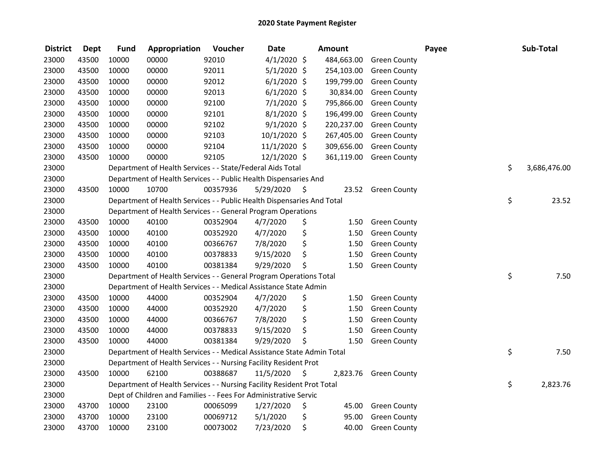| <b>District</b> | <b>Dept</b> | <b>Fund</b> | Appropriation                                                          | Voucher  | <b>Date</b>   |     | Amount     |                     | Payee | Sub-Total    |
|-----------------|-------------|-------------|------------------------------------------------------------------------|----------|---------------|-----|------------|---------------------|-------|--------------|
| 23000           | 43500       | 10000       | 00000                                                                  | 92010    | $4/1/2020$ \$ |     | 484,663.00 | <b>Green County</b> |       |              |
| 23000           | 43500       | 10000       | 00000                                                                  | 92011    | $5/1/2020$ \$ |     | 254,103.00 | <b>Green County</b> |       |              |
| 23000           | 43500       | 10000       | 00000                                                                  | 92012    | $6/1/2020$ \$ |     | 199,799.00 | <b>Green County</b> |       |              |
| 23000           | 43500       | 10000       | 00000                                                                  | 92013    | $6/1/2020$ \$ |     | 30,834.00  | <b>Green County</b> |       |              |
| 23000           | 43500       | 10000       | 00000                                                                  | 92100    | $7/1/2020$ \$ |     | 795,866.00 | <b>Green County</b> |       |              |
| 23000           | 43500       | 10000       | 00000                                                                  | 92101    | $8/1/2020$ \$ |     | 196,499.00 | <b>Green County</b> |       |              |
| 23000           | 43500       | 10000       | 00000                                                                  | 92102    | $9/1/2020$ \$ |     | 220,237.00 | <b>Green County</b> |       |              |
| 23000           | 43500       | 10000       | 00000                                                                  | 92103    | 10/1/2020 \$  |     | 267,405.00 | <b>Green County</b> |       |              |
| 23000           | 43500       | 10000       | 00000                                                                  | 92104    | 11/1/2020 \$  |     | 309,656.00 | <b>Green County</b> |       |              |
| 23000           | 43500       | 10000       | 00000                                                                  | 92105    | 12/1/2020 \$  |     | 361,119.00 | <b>Green County</b> |       |              |
| 23000           |             |             | Department of Health Services - - State/Federal Aids Total             |          |               |     |            |                     | \$    | 3,686,476.00 |
| 23000           |             |             | Department of Health Services - - Public Health Dispensaries And       |          |               |     |            |                     |       |              |
| 23000           | 43500       | 10000       | 10700                                                                  | 00357936 | 5/29/2020     | \$, | 23.52      | <b>Green County</b> |       |              |
| 23000           |             |             | Department of Health Services - - Public Health Dispensaries And Total |          |               |     |            |                     | \$    | 23.52        |
| 23000           |             |             | Department of Health Services - - General Program Operations           |          |               |     |            |                     |       |              |
| 23000           | 43500       | 10000       | 40100                                                                  | 00352904 | 4/7/2020      | \$  | 1.50       | <b>Green County</b> |       |              |
| 23000           | 43500       | 10000       | 40100                                                                  | 00352920 | 4/7/2020      | \$  | 1.50       | <b>Green County</b> |       |              |
| 23000           | 43500       | 10000       | 40100                                                                  | 00366767 | 7/8/2020      | \$  | 1.50       | <b>Green County</b> |       |              |
| 23000           | 43500       | 10000       | 40100                                                                  | 00378833 | 9/15/2020     | \$  | 1.50       | <b>Green County</b> |       |              |
| 23000           | 43500       | 10000       | 40100                                                                  | 00381384 | 9/29/2020     | \$  | 1.50       | <b>Green County</b> |       |              |
| 23000           |             |             | Department of Health Services - - General Program Operations Total     |          |               |     |            |                     | \$    | 7.50         |
| 23000           |             |             | Department of Health Services - - Medical Assistance State Admin       |          |               |     |            |                     |       |              |
| 23000           | 43500       | 10000       | 44000                                                                  | 00352904 | 4/7/2020      | \$  | 1.50       | <b>Green County</b> |       |              |
| 23000           | 43500       | 10000       | 44000                                                                  | 00352920 | 4/7/2020      | \$  | 1.50       | <b>Green County</b> |       |              |
| 23000           | 43500       | 10000       | 44000                                                                  | 00366767 | 7/8/2020      | \$  | 1.50       | <b>Green County</b> |       |              |
| 23000           | 43500       | 10000       | 44000                                                                  | 00378833 | 9/15/2020     | \$  | 1.50       | <b>Green County</b> |       |              |
| 23000           | 43500       | 10000       | 44000                                                                  | 00381384 | 9/29/2020     | \$  | 1.50       | <b>Green County</b> |       |              |
| 23000           |             |             | Department of Health Services - - Medical Assistance State Admin Total |          |               |     |            |                     | \$    | 7.50         |
| 23000           |             |             | Department of Health Services - - Nursing Facility Resident Prot       |          |               |     |            |                     |       |              |
| 23000           | 43500       | 10000       | 62100                                                                  | 00388687 | 11/5/2020     | \$  | 2,823.76   | <b>Green County</b> |       |              |
| 23000           |             |             | Department of Health Services - - Nursing Facility Resident Prot Total |          |               |     |            |                     | \$    | 2,823.76     |
| 23000           |             |             | Dept of Children and Families - - Fees For Administrative Servic       |          |               |     |            |                     |       |              |
| 23000           | 43700       | 10000       | 23100                                                                  | 00065099 | 1/27/2020     | \$  | 45.00      | <b>Green County</b> |       |              |
| 23000           | 43700       | 10000       | 23100                                                                  | 00069712 | 5/1/2020      | \$  | 95.00      | <b>Green County</b> |       |              |
| 23000           | 43700       | 10000       | 23100                                                                  | 00073002 | 7/23/2020     | \$  | 40.00      | <b>Green County</b> |       |              |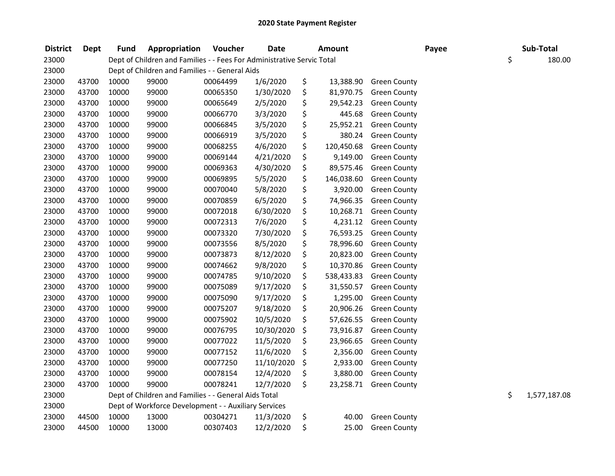| <b>District</b> | <b>Dept</b> | <b>Fund</b> | Appropriation                                                          | Voucher  | <b>Date</b> | <b>Amount</b>    |                     | Payee | Sub-Total          |
|-----------------|-------------|-------------|------------------------------------------------------------------------|----------|-------------|------------------|---------------------|-------|--------------------|
| 23000           |             |             | Dept of Children and Families - - Fees For Administrative Servic Total |          |             |                  |                     |       | \$<br>180.00       |
| 23000           |             |             | Dept of Children and Families - - General Aids                         |          |             |                  |                     |       |                    |
| 23000           | 43700       | 10000       | 99000                                                                  | 00064499 | 1/6/2020    | \$<br>13,388.90  | <b>Green County</b> |       |                    |
| 23000           | 43700       | 10000       | 99000                                                                  | 00065350 | 1/30/2020   | \$<br>81,970.75  | <b>Green County</b> |       |                    |
| 23000           | 43700       | 10000       | 99000                                                                  | 00065649 | 2/5/2020    | \$<br>29,542.23  | <b>Green County</b> |       |                    |
| 23000           | 43700       | 10000       | 99000                                                                  | 00066770 | 3/3/2020    | \$<br>445.68     | <b>Green County</b> |       |                    |
| 23000           | 43700       | 10000       | 99000                                                                  | 00066845 | 3/5/2020    | \$<br>25,952.21  | <b>Green County</b> |       |                    |
| 23000           | 43700       | 10000       | 99000                                                                  | 00066919 | 3/5/2020    | \$<br>380.24     | <b>Green County</b> |       |                    |
| 23000           | 43700       | 10000       | 99000                                                                  | 00068255 | 4/6/2020    | \$<br>120,450.68 | <b>Green County</b> |       |                    |
| 23000           | 43700       | 10000       | 99000                                                                  | 00069144 | 4/21/2020   | \$<br>9,149.00   | <b>Green County</b> |       |                    |
| 23000           | 43700       | 10000       | 99000                                                                  | 00069363 | 4/30/2020   | \$<br>89,575.46  | <b>Green County</b> |       |                    |
| 23000           | 43700       | 10000       | 99000                                                                  | 00069895 | 5/5/2020    | \$<br>146,038.60 | <b>Green County</b> |       |                    |
| 23000           | 43700       | 10000       | 99000                                                                  | 00070040 | 5/8/2020    | \$<br>3,920.00   | <b>Green County</b> |       |                    |
| 23000           | 43700       | 10000       | 99000                                                                  | 00070859 | 6/5/2020    | \$<br>74,966.35  | <b>Green County</b> |       |                    |
| 23000           | 43700       | 10000       | 99000                                                                  | 00072018 | 6/30/2020   | \$<br>10,268.71  | <b>Green County</b> |       |                    |
| 23000           | 43700       | 10000       | 99000                                                                  | 00072313 | 7/6/2020    | \$<br>4,231.12   | <b>Green County</b> |       |                    |
| 23000           | 43700       | 10000       | 99000                                                                  | 00073320 | 7/30/2020   | \$<br>76,593.25  | <b>Green County</b> |       |                    |
| 23000           | 43700       | 10000       | 99000                                                                  | 00073556 | 8/5/2020    | \$<br>78,996.60  | <b>Green County</b> |       |                    |
| 23000           | 43700       | 10000       | 99000                                                                  | 00073873 | 8/12/2020   | \$<br>20,823.00  | <b>Green County</b> |       |                    |
| 23000           | 43700       | 10000       | 99000                                                                  | 00074662 | 9/8/2020    | \$<br>10,370.86  | <b>Green County</b> |       |                    |
| 23000           | 43700       | 10000       | 99000                                                                  | 00074785 | 9/10/2020   | \$<br>538,433.83 | <b>Green County</b> |       |                    |
| 23000           | 43700       | 10000       | 99000                                                                  | 00075089 | 9/17/2020   | \$<br>31,550.57  | <b>Green County</b> |       |                    |
| 23000           | 43700       | 10000       | 99000                                                                  | 00075090 | 9/17/2020   | \$<br>1,295.00   | <b>Green County</b> |       |                    |
| 23000           | 43700       | 10000       | 99000                                                                  | 00075207 | 9/18/2020   | \$<br>20,906.26  | <b>Green County</b> |       |                    |
| 23000           | 43700       | 10000       | 99000                                                                  | 00075902 | 10/5/2020   | \$<br>57,626.55  | <b>Green County</b> |       |                    |
| 23000           | 43700       | 10000       | 99000                                                                  | 00076795 | 10/30/2020  | \$<br>73,916.87  | <b>Green County</b> |       |                    |
| 23000           | 43700       | 10000       | 99000                                                                  | 00077022 | 11/5/2020   | \$<br>23,966.65  | <b>Green County</b> |       |                    |
| 23000           | 43700       | 10000       | 99000                                                                  | 00077152 | 11/6/2020   | \$<br>2,356.00   | <b>Green County</b> |       |                    |
| 23000           | 43700       | 10000       | 99000                                                                  | 00077250 | 11/10/2020  | \$<br>2,933.00   | <b>Green County</b> |       |                    |
| 23000           | 43700       | 10000       | 99000                                                                  | 00078154 | 12/4/2020   | \$<br>3,880.00   | <b>Green County</b> |       |                    |
| 23000           | 43700       | 10000       | 99000                                                                  | 00078241 | 12/7/2020   | \$<br>23,258.71  | <b>Green County</b> |       |                    |
| 23000           |             |             | Dept of Children and Families - - General Aids Total                   |          |             |                  |                     |       | \$<br>1,577,187.08 |
| 23000           |             |             | Dept of Workforce Development - - Auxiliary Services                   |          |             |                  |                     |       |                    |
| 23000           | 44500       | 10000       | 13000                                                                  | 00304271 | 11/3/2020   | \$<br>40.00      | <b>Green County</b> |       |                    |
| 23000           | 44500       | 10000       | 13000                                                                  | 00307403 | 12/2/2020   | \$<br>25.00      | <b>Green County</b> |       |                    |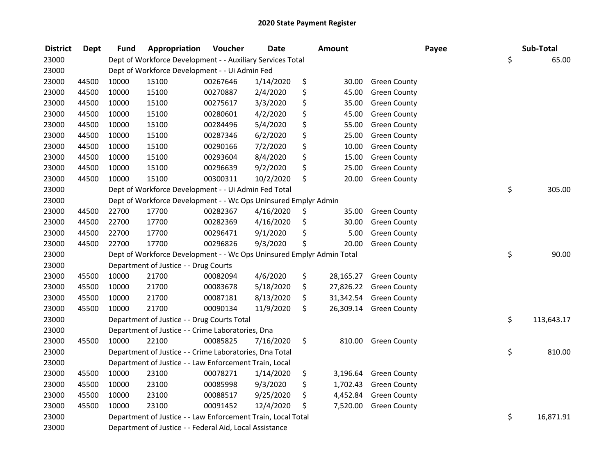| <b>District</b> | <b>Dept</b> | <b>Fund</b> | Appropriation                                                         | Voucher  | <b>Date</b> | <b>Amount</b>   |                     | Payee | Sub-Total        |
|-----------------|-------------|-------------|-----------------------------------------------------------------------|----------|-------------|-----------------|---------------------|-------|------------------|
| 23000           |             |             | Dept of Workforce Development - - Auxiliary Services Total            |          |             |                 |                     |       | \$<br>65.00      |
| 23000           |             |             | Dept of Workforce Development - - Ui Admin Fed                        |          |             |                 |                     |       |                  |
| 23000           | 44500       | 10000       | 15100                                                                 | 00267646 | 1/14/2020   | \$<br>30.00     | <b>Green County</b> |       |                  |
| 23000           | 44500       | 10000       | 15100                                                                 | 00270887 | 2/4/2020    | \$<br>45.00     | <b>Green County</b> |       |                  |
| 23000           | 44500       | 10000       | 15100                                                                 | 00275617 | 3/3/2020    | \$<br>35.00     | <b>Green County</b> |       |                  |
| 23000           | 44500       | 10000       | 15100                                                                 | 00280601 | 4/2/2020    | \$<br>45.00     | <b>Green County</b> |       |                  |
| 23000           | 44500       | 10000       | 15100                                                                 | 00284496 | 5/4/2020    | \$<br>55.00     | <b>Green County</b> |       |                  |
| 23000           | 44500       | 10000       | 15100                                                                 | 00287346 | 6/2/2020    | \$<br>25.00     | <b>Green County</b> |       |                  |
| 23000           | 44500       | 10000       | 15100                                                                 | 00290166 | 7/2/2020    | \$<br>10.00     | <b>Green County</b> |       |                  |
| 23000           | 44500       | 10000       | 15100                                                                 | 00293604 | 8/4/2020    | \$<br>15.00     | <b>Green County</b> |       |                  |
| 23000           | 44500       | 10000       | 15100                                                                 | 00296639 | 9/2/2020    | \$<br>25.00     | <b>Green County</b> |       |                  |
| 23000           | 44500       | 10000       | 15100                                                                 | 00300311 | 10/2/2020   | \$<br>20.00     | <b>Green County</b> |       |                  |
| 23000           |             |             | Dept of Workforce Development - - Ui Admin Fed Total                  |          |             |                 |                     |       | \$<br>305.00     |
| 23000           |             |             | Dept of Workforce Development - - Wc Ops Uninsured Emplyr Admin       |          |             |                 |                     |       |                  |
| 23000           | 44500       | 22700       | 17700                                                                 | 00282367 | 4/16/2020   | \$<br>35.00     | <b>Green County</b> |       |                  |
| 23000           | 44500       | 22700       | 17700                                                                 | 00282369 | 4/16/2020   | \$<br>30.00     | <b>Green County</b> |       |                  |
| 23000           | 44500       | 22700       | 17700                                                                 | 00296471 | 9/1/2020    | \$<br>5.00      | <b>Green County</b> |       |                  |
| 23000           | 44500       | 22700       | 17700                                                                 | 00296826 | 9/3/2020    | \$<br>20.00     | <b>Green County</b> |       |                  |
| 23000           |             |             | Dept of Workforce Development - - Wc Ops Uninsured Emplyr Admin Total |          |             |                 |                     |       | \$<br>90.00      |
| 23000           |             |             | Department of Justice - - Drug Courts                                 |          |             |                 |                     |       |                  |
| 23000           | 45500       | 10000       | 21700                                                                 | 00082094 | 4/6/2020    | \$<br>28,165.27 | <b>Green County</b> |       |                  |
| 23000           | 45500       | 10000       | 21700                                                                 | 00083678 | 5/18/2020   | \$<br>27,826.22 | <b>Green County</b> |       |                  |
| 23000           | 45500       | 10000       | 21700                                                                 | 00087181 | 8/13/2020   | \$<br>31,342.54 | <b>Green County</b> |       |                  |
| 23000           | 45500       | 10000       | 21700                                                                 | 00090134 | 11/9/2020   | \$<br>26,309.14 | <b>Green County</b> |       |                  |
| 23000           |             |             | Department of Justice - - Drug Courts Total                           |          |             |                 |                     |       | \$<br>113,643.17 |
| 23000           |             |             | Department of Justice - - Crime Laboratories, Dna                     |          |             |                 |                     |       |                  |
| 23000           | 45500       | 10000       | 22100                                                                 | 00085825 | 7/16/2020   | \$<br>810.00    | <b>Green County</b> |       |                  |
| 23000           |             |             | Department of Justice - - Crime Laboratories, Dna Total               |          |             |                 |                     |       | \$<br>810.00     |
| 23000           |             |             | Department of Justice - - Law Enforcement Train, Local                |          |             |                 |                     |       |                  |
| 23000           | 45500       | 10000       | 23100                                                                 | 00078271 | 1/14/2020   | \$<br>3,196.64  | <b>Green County</b> |       |                  |
| 23000           | 45500       | 10000       | 23100                                                                 | 00085998 | 9/3/2020    | \$<br>1,702.43  | <b>Green County</b> |       |                  |
| 23000           | 45500       | 10000       | 23100                                                                 | 00088517 | 9/25/2020   | \$<br>4,452.84  | <b>Green County</b> |       |                  |
| 23000           | 45500       | 10000       | 23100                                                                 | 00091452 | 12/4/2020   | \$<br>7,520.00  | <b>Green County</b> |       |                  |
| 23000           |             |             | Department of Justice - - Law Enforcement Train, Local Total          |          |             |                 |                     |       | \$<br>16,871.91  |
| 23000           |             |             | Department of Justice - - Federal Aid, Local Assistance               |          |             |                 |                     |       |                  |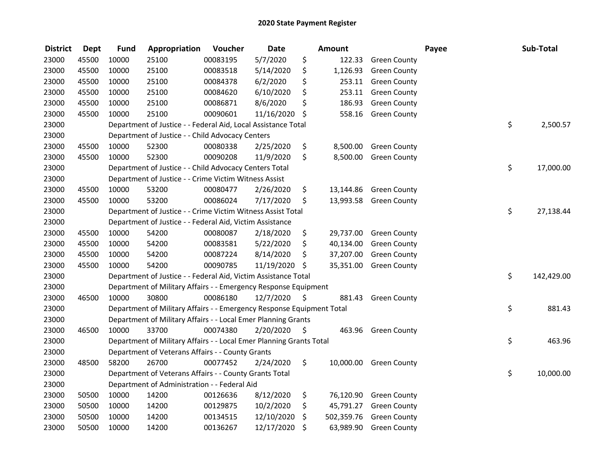| <b>District</b> | <b>Dept</b> | <b>Fund</b> | Appropriation                                                         | Voucher  | <b>Date</b> |      | Amount     |                     | Payee | Sub-Total        |
|-----------------|-------------|-------------|-----------------------------------------------------------------------|----------|-------------|------|------------|---------------------|-------|------------------|
| 23000           | 45500       | 10000       | 25100                                                                 | 00083195 | 5/7/2020    | \$   | 122.33     | <b>Green County</b> |       |                  |
| 23000           | 45500       | 10000       | 25100                                                                 | 00083518 | 5/14/2020   | \$   | 1,126.93   | <b>Green County</b> |       |                  |
| 23000           | 45500       | 10000       | 25100                                                                 | 00084378 | 6/2/2020    | \$   | 253.11     | <b>Green County</b> |       |                  |
| 23000           | 45500       | 10000       | 25100                                                                 | 00084620 | 6/10/2020   | \$   | 253.11     | <b>Green County</b> |       |                  |
| 23000           | 45500       | 10000       | 25100                                                                 | 00086871 | 8/6/2020    | \$   | 186.93     | <b>Green County</b> |       |                  |
| 23000           | 45500       | 10000       | 25100                                                                 | 00090601 | 11/16/2020  | \$   | 558.16     | <b>Green County</b> |       |                  |
| 23000           |             |             | Department of Justice - - Federal Aid, Local Assistance Total         |          |             |      |            |                     |       | \$<br>2,500.57   |
| 23000           |             |             | Department of Justice - - Child Advocacy Centers                      |          |             |      |            |                     |       |                  |
| 23000           | 45500       | 10000       | 52300                                                                 | 00080338 | 2/25/2020   | \$   | 8,500.00   | <b>Green County</b> |       |                  |
| 23000           | 45500       | 10000       | 52300                                                                 | 00090208 | 11/9/2020   | \$   | 8,500.00   | <b>Green County</b> |       |                  |
| 23000           |             |             | Department of Justice - - Child Advocacy Centers Total                |          |             |      |            |                     |       | \$<br>17,000.00  |
| 23000           |             |             | Department of Justice - - Crime Victim Witness Assist                 |          |             |      |            |                     |       |                  |
| 23000           | 45500       | 10000       | 53200                                                                 | 00080477 | 2/26/2020   | \$   | 13,144.86  | <b>Green County</b> |       |                  |
| 23000           | 45500       | 10000       | 53200                                                                 | 00086024 | 7/17/2020   | \$   | 13,993.58  | <b>Green County</b> |       |                  |
| 23000           |             |             | Department of Justice - - Crime Victim Witness Assist Total           |          |             |      |            |                     |       | \$<br>27,138.44  |
| 23000           |             |             | Department of Justice - - Federal Aid, Victim Assistance              |          |             |      |            |                     |       |                  |
| 23000           | 45500       | 10000       | 54200                                                                 | 00080087 | 2/18/2020   | \$   | 29,737.00  | <b>Green County</b> |       |                  |
| 23000           | 45500       | 10000       | 54200                                                                 | 00083581 | 5/22/2020   | \$   | 40,134.00  | <b>Green County</b> |       |                  |
| 23000           | 45500       | 10000       | 54200                                                                 | 00087224 | 8/14/2020   | \$   | 37,207.00  | <b>Green County</b> |       |                  |
| 23000           | 45500       | 10000       | 54200                                                                 | 00090785 | 11/19/2020  | \$   | 35,351.00  | <b>Green County</b> |       |                  |
| 23000           |             |             | Department of Justice - - Federal Aid, Victim Assistance Total        |          |             |      |            |                     |       | \$<br>142,429.00 |
| 23000           |             |             | Department of Military Affairs - - Emergency Response Equipment       |          |             |      |            |                     |       |                  |
| 23000           | 46500       | 10000       | 30800                                                                 | 00086180 | 12/7/2020   | - \$ | 881.43     | <b>Green County</b> |       |                  |
| 23000           |             |             | Department of Military Affairs - - Emergency Response Equipment Total |          |             |      |            |                     |       | \$<br>881.43     |
| 23000           |             |             | Department of Military Affairs - - Local Emer Planning Grants         |          |             |      |            |                     |       |                  |
| 23000           | 46500       | 10000       | 33700                                                                 | 00074380 | 2/20/2020   | \$   | 463.96     | <b>Green County</b> |       |                  |
| 23000           |             |             | Department of Military Affairs - - Local Emer Planning Grants Total   |          |             |      |            |                     |       | \$<br>463.96     |
| 23000           |             |             | Department of Veterans Affairs - - County Grants                      |          |             |      |            |                     |       |                  |
| 23000           | 48500       | 58200       | 26700                                                                 | 00077452 | 2/24/2020   | \$   | 10,000.00  | <b>Green County</b> |       |                  |
| 23000           |             |             | Department of Veterans Affairs - - County Grants Total                |          |             |      |            |                     |       | \$<br>10,000.00  |
| 23000           |             |             | Department of Administration - - Federal Aid                          |          |             |      |            |                     |       |                  |
| 23000           | 50500       | 10000       | 14200                                                                 | 00126636 | 8/12/2020   | \$   | 76,120.90  | <b>Green County</b> |       |                  |
| 23000           | 50500       | 10000       | 14200                                                                 | 00129875 | 10/2/2020   | \$   | 45,791.27  | <b>Green County</b> |       |                  |
| 23000           | 50500       | 10000       | 14200                                                                 | 00134515 | 12/10/2020  | \$   | 502,359.76 | <b>Green County</b> |       |                  |
| 23000           | 50500       | 10000       | 14200                                                                 | 00136267 | 12/17/2020  | \$   | 63,989.90  | <b>Green County</b> |       |                  |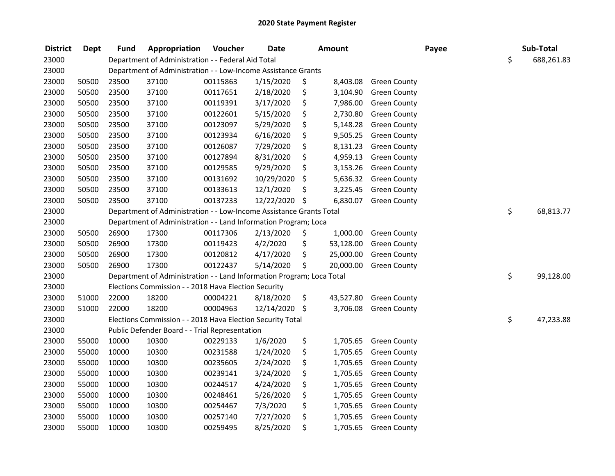| <b>District</b> | Dept  | <b>Fund</b> | Appropriation                                                         | Voucher  | <b>Date</b> | Amount          |                     | Payee | Sub-Total        |
|-----------------|-------|-------------|-----------------------------------------------------------------------|----------|-------------|-----------------|---------------------|-------|------------------|
| 23000           |       |             | Department of Administration - - Federal Aid Total                    |          |             |                 |                     |       | \$<br>688,261.83 |
| 23000           |       |             | Department of Administration - - Low-Income Assistance Grants         |          |             |                 |                     |       |                  |
| 23000           | 50500 | 23500       | 37100                                                                 | 00115863 | 1/15/2020   | \$<br>8,403.08  | <b>Green County</b> |       |                  |
| 23000           | 50500 | 23500       | 37100                                                                 | 00117651 | 2/18/2020   | \$<br>3,104.90  | <b>Green County</b> |       |                  |
| 23000           | 50500 | 23500       | 37100                                                                 | 00119391 | 3/17/2020   | \$<br>7,986.00  | <b>Green County</b> |       |                  |
| 23000           | 50500 | 23500       | 37100                                                                 | 00122601 | 5/15/2020   | \$<br>2,730.80  | <b>Green County</b> |       |                  |
| 23000           | 50500 | 23500       | 37100                                                                 | 00123097 | 5/29/2020   | \$<br>5,148.28  | <b>Green County</b> |       |                  |
| 23000           | 50500 | 23500       | 37100                                                                 | 00123934 | 6/16/2020   | \$<br>9,505.25  | <b>Green County</b> |       |                  |
| 23000           | 50500 | 23500       | 37100                                                                 | 00126087 | 7/29/2020   | \$<br>8,131.23  | <b>Green County</b> |       |                  |
| 23000           | 50500 | 23500       | 37100                                                                 | 00127894 | 8/31/2020   | \$<br>4,959.13  | <b>Green County</b> |       |                  |
| 23000           | 50500 | 23500       | 37100                                                                 | 00129585 | 9/29/2020   | \$<br>3,153.26  | <b>Green County</b> |       |                  |
| 23000           | 50500 | 23500       | 37100                                                                 | 00131692 | 10/29/2020  | \$<br>5,636.32  | <b>Green County</b> |       |                  |
| 23000           | 50500 | 23500       | 37100                                                                 | 00133613 | 12/1/2020   | \$<br>3,225.45  | <b>Green County</b> |       |                  |
| 23000           | 50500 | 23500       | 37100                                                                 | 00137233 | 12/22/2020  | \$<br>6,830.07  | <b>Green County</b> |       |                  |
| 23000           |       |             | Department of Administration - - Low-Income Assistance Grants Total   |          |             |                 |                     |       | \$<br>68,813.77  |
| 23000           |       |             | Department of Administration - - Land Information Program; Loca       |          |             |                 |                     |       |                  |
| 23000           | 50500 | 26900       | 17300                                                                 | 00117306 | 2/13/2020   | \$<br>1,000.00  | <b>Green County</b> |       |                  |
| 23000           | 50500 | 26900       | 17300                                                                 | 00119423 | 4/2/2020    | \$<br>53,128.00 | <b>Green County</b> |       |                  |
| 23000           | 50500 | 26900       | 17300                                                                 | 00120812 | 4/17/2020   | \$<br>25,000.00 | <b>Green County</b> |       |                  |
| 23000           | 50500 | 26900       | 17300                                                                 | 00122437 | 5/14/2020   | \$<br>20,000.00 | <b>Green County</b> |       |                  |
| 23000           |       |             | Department of Administration - - Land Information Program; Loca Total |          |             |                 |                     |       | \$<br>99,128.00  |
| 23000           |       |             | Elections Commission - - 2018 Hava Election Security                  |          |             |                 |                     |       |                  |
| 23000           | 51000 | 22000       | 18200                                                                 | 00004221 | 8/18/2020   | \$<br>43,527.80 | <b>Green County</b> |       |                  |
| 23000           | 51000 | 22000       | 18200                                                                 | 00004963 | 12/14/2020  | \$<br>3,706.08  | <b>Green County</b> |       |                  |
| 23000           |       |             | Elections Commission - - 2018 Hava Election Security Total            |          |             |                 |                     |       | \$<br>47,233.88  |
| 23000           |       |             | Public Defender Board - - Trial Representation                        |          |             |                 |                     |       |                  |
| 23000           | 55000 | 10000       | 10300                                                                 | 00229133 | 1/6/2020    | \$<br>1,705.65  | <b>Green County</b> |       |                  |
| 23000           | 55000 | 10000       | 10300                                                                 | 00231588 | 1/24/2020   | \$<br>1,705.65  | <b>Green County</b> |       |                  |
| 23000           | 55000 | 10000       | 10300                                                                 | 00235605 | 2/24/2020   | \$<br>1,705.65  | <b>Green County</b> |       |                  |
| 23000           | 55000 | 10000       | 10300                                                                 | 00239141 | 3/24/2020   | \$<br>1,705.65  | <b>Green County</b> |       |                  |
| 23000           | 55000 | 10000       | 10300                                                                 | 00244517 | 4/24/2020   | \$<br>1,705.65  | <b>Green County</b> |       |                  |
| 23000           | 55000 | 10000       | 10300                                                                 | 00248461 | 5/26/2020   | \$<br>1,705.65  | <b>Green County</b> |       |                  |
| 23000           | 55000 | 10000       | 10300                                                                 | 00254467 | 7/3/2020    | \$<br>1,705.65  | <b>Green County</b> |       |                  |
| 23000           | 55000 | 10000       | 10300                                                                 | 00257140 | 7/27/2020   | \$<br>1,705.65  | <b>Green County</b> |       |                  |
| 23000           | 55000 | 10000       | 10300                                                                 | 00259495 | 8/25/2020   | \$<br>1,705.65  | <b>Green County</b> |       |                  |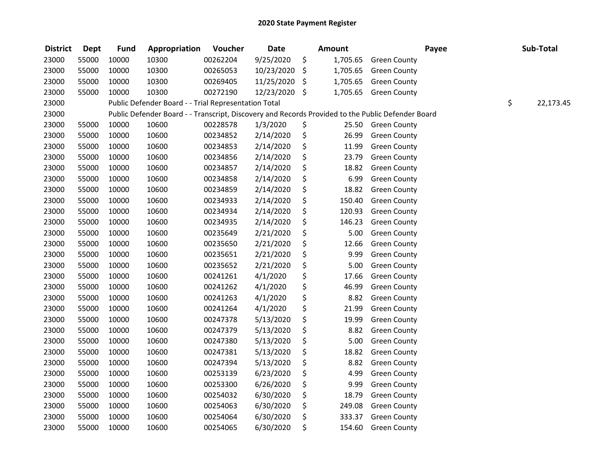| <b>District</b> | <b>Dept</b> | <b>Fund</b> | Appropriation                                                                                     | Voucher  | <b>Date</b>   |     | <b>Amount</b> |                     | Payee | Sub-Total       |
|-----------------|-------------|-------------|---------------------------------------------------------------------------------------------------|----------|---------------|-----|---------------|---------------------|-------|-----------------|
| 23000           | 55000       | 10000       | 10300                                                                                             | 00262204 | 9/25/2020     | \$  | 1,705.65      | <b>Green County</b> |       |                 |
| 23000           | 55000       | 10000       | 10300                                                                                             | 00265053 | 10/23/2020    | \$  | 1,705.65      | <b>Green County</b> |       |                 |
| 23000           | 55000       | 10000       | 10300                                                                                             | 00269405 | 11/25/2020    | -\$ | 1,705.65      | <b>Green County</b> |       |                 |
| 23000           | 55000       | 10000       | 10300                                                                                             | 00272190 | 12/23/2020 \$ |     | 1,705.65      | <b>Green County</b> |       |                 |
| 23000           |             |             | Public Defender Board - - Trial Representation Total                                              |          |               |     |               |                     |       | \$<br>22,173.45 |
| 23000           |             |             | Public Defender Board - - Transcript, Discovery and Records Provided to the Public Defender Board |          |               |     |               |                     |       |                 |
| 23000           | 55000       | 10000       | 10600                                                                                             | 00228578 | 1/3/2020      | \$  | 25.50         | <b>Green County</b> |       |                 |
| 23000           | 55000       | 10000       | 10600                                                                                             | 00234852 | 2/14/2020     | \$  | 26.99         | <b>Green County</b> |       |                 |
| 23000           | 55000       | 10000       | 10600                                                                                             | 00234853 | 2/14/2020     | \$  | 11.99         | <b>Green County</b> |       |                 |
| 23000           | 55000       | 10000       | 10600                                                                                             | 00234856 | 2/14/2020     | \$  | 23.79         | <b>Green County</b> |       |                 |
| 23000           | 55000       | 10000       | 10600                                                                                             | 00234857 | 2/14/2020     | \$  | 18.82         | <b>Green County</b> |       |                 |
| 23000           | 55000       | 10000       | 10600                                                                                             | 00234858 | 2/14/2020     | \$  | 6.99          | <b>Green County</b> |       |                 |
| 23000           | 55000       | 10000       | 10600                                                                                             | 00234859 | 2/14/2020     | \$  | 18.82         | <b>Green County</b> |       |                 |
| 23000           | 55000       | 10000       | 10600                                                                                             | 00234933 | 2/14/2020     | \$  | 150.40        | <b>Green County</b> |       |                 |
| 23000           | 55000       | 10000       | 10600                                                                                             | 00234934 | 2/14/2020     | \$  | 120.93        | <b>Green County</b> |       |                 |
| 23000           | 55000       | 10000       | 10600                                                                                             | 00234935 | 2/14/2020     | \$  | 146.23        | <b>Green County</b> |       |                 |
| 23000           | 55000       | 10000       | 10600                                                                                             | 00235649 | 2/21/2020     | \$  | 5.00          | <b>Green County</b> |       |                 |
| 23000           | 55000       | 10000       | 10600                                                                                             | 00235650 | 2/21/2020     | \$  | 12.66         | <b>Green County</b> |       |                 |
| 23000           | 55000       | 10000       | 10600                                                                                             | 00235651 | 2/21/2020     | \$  | 9.99          | <b>Green County</b> |       |                 |
| 23000           | 55000       | 10000       | 10600                                                                                             | 00235652 | 2/21/2020     | \$  | 5.00          | <b>Green County</b> |       |                 |
| 23000           | 55000       | 10000       | 10600                                                                                             | 00241261 | 4/1/2020      | \$  | 17.66         | <b>Green County</b> |       |                 |
| 23000           | 55000       | 10000       | 10600                                                                                             | 00241262 | 4/1/2020      | \$  | 46.99         | <b>Green County</b> |       |                 |
| 23000           | 55000       | 10000       | 10600                                                                                             | 00241263 | 4/1/2020      | \$  | 8.82          | <b>Green County</b> |       |                 |
| 23000           | 55000       | 10000       | 10600                                                                                             | 00241264 | 4/1/2020      | \$  | 21.99         | <b>Green County</b> |       |                 |
| 23000           | 55000       | 10000       | 10600                                                                                             | 00247378 | 5/13/2020     | \$  | 19.99         | <b>Green County</b> |       |                 |
| 23000           | 55000       | 10000       | 10600                                                                                             | 00247379 | 5/13/2020     | \$  | 8.82          | <b>Green County</b> |       |                 |
| 23000           | 55000       | 10000       | 10600                                                                                             | 00247380 | 5/13/2020     | \$  | 5.00          | <b>Green County</b> |       |                 |
| 23000           | 55000       | 10000       | 10600                                                                                             | 00247381 | 5/13/2020     | \$  | 18.82         | <b>Green County</b> |       |                 |
| 23000           | 55000       | 10000       | 10600                                                                                             | 00247394 | 5/13/2020     | \$  | 8.82          | <b>Green County</b> |       |                 |
| 23000           | 55000       | 10000       | 10600                                                                                             | 00253139 | 6/23/2020     | \$  | 4.99          | <b>Green County</b> |       |                 |
| 23000           | 55000       | 10000       | 10600                                                                                             | 00253300 | 6/26/2020     | \$  | 9.99          | <b>Green County</b> |       |                 |
| 23000           | 55000       | 10000       | 10600                                                                                             | 00254032 | 6/30/2020     | \$  | 18.79         | <b>Green County</b> |       |                 |
| 23000           | 55000       | 10000       | 10600                                                                                             | 00254063 | 6/30/2020     | \$  | 249.08        | <b>Green County</b> |       |                 |
| 23000           | 55000       | 10000       | 10600                                                                                             | 00254064 | 6/30/2020     | \$  | 333.37        | <b>Green County</b> |       |                 |
| 23000           | 55000       | 10000       | 10600                                                                                             | 00254065 | 6/30/2020     | \$  | 154.60        | <b>Green County</b> |       |                 |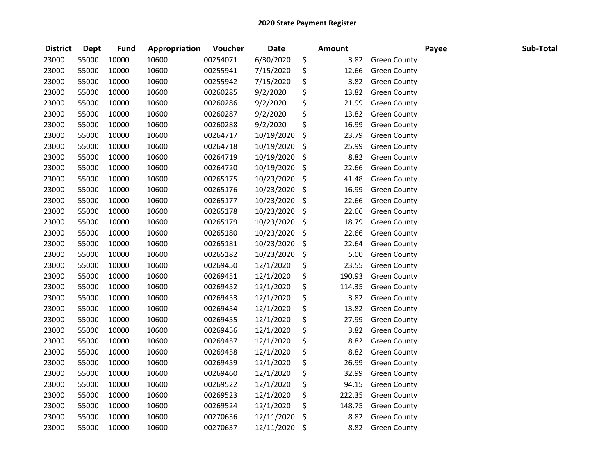| <b>District</b> | <b>Dept</b> | <b>Fund</b> | Appropriation | Voucher  | <b>Date</b> | <b>Amount</b> |                     | Payee | Sub-Total |
|-----------------|-------------|-------------|---------------|----------|-------------|---------------|---------------------|-------|-----------|
| 23000           | 55000       | 10000       | 10600         | 00254071 | 6/30/2020   | \$<br>3.82    | <b>Green County</b> |       |           |
| 23000           | 55000       | 10000       | 10600         | 00255941 | 7/15/2020   | \$<br>12.66   | <b>Green County</b> |       |           |
| 23000           | 55000       | 10000       | 10600         | 00255942 | 7/15/2020   | \$<br>3.82    | <b>Green County</b> |       |           |
| 23000           | 55000       | 10000       | 10600         | 00260285 | 9/2/2020    | \$<br>13.82   | <b>Green County</b> |       |           |
| 23000           | 55000       | 10000       | 10600         | 00260286 | 9/2/2020    | \$<br>21.99   | <b>Green County</b> |       |           |
| 23000           | 55000       | 10000       | 10600         | 00260287 | 9/2/2020    | \$<br>13.82   | <b>Green County</b> |       |           |
| 23000           | 55000       | 10000       | 10600         | 00260288 | 9/2/2020    | \$<br>16.99   | <b>Green County</b> |       |           |
| 23000           | 55000       | 10000       | 10600         | 00264717 | 10/19/2020  | \$<br>23.79   | <b>Green County</b> |       |           |
| 23000           | 55000       | 10000       | 10600         | 00264718 | 10/19/2020  | \$<br>25.99   | <b>Green County</b> |       |           |
| 23000           | 55000       | 10000       | 10600         | 00264719 | 10/19/2020  | \$<br>8.82    | <b>Green County</b> |       |           |
| 23000           | 55000       | 10000       | 10600         | 00264720 | 10/19/2020  | \$<br>22.66   | <b>Green County</b> |       |           |
| 23000           | 55000       | 10000       | 10600         | 00265175 | 10/23/2020  | \$<br>41.48   | <b>Green County</b> |       |           |
| 23000           | 55000       | 10000       | 10600         | 00265176 | 10/23/2020  | \$<br>16.99   | <b>Green County</b> |       |           |
| 23000           | 55000       | 10000       | 10600         | 00265177 | 10/23/2020  | \$<br>22.66   | <b>Green County</b> |       |           |
| 23000           | 55000       | 10000       | 10600         | 00265178 | 10/23/2020  | \$<br>22.66   | <b>Green County</b> |       |           |
| 23000           | 55000       | 10000       | 10600         | 00265179 | 10/23/2020  | \$<br>18.79   | <b>Green County</b> |       |           |
| 23000           | 55000       | 10000       | 10600         | 00265180 | 10/23/2020  | \$<br>22.66   | <b>Green County</b> |       |           |
| 23000           | 55000       | 10000       | 10600         | 00265181 | 10/23/2020  | \$<br>22.64   | <b>Green County</b> |       |           |
| 23000           | 55000       | 10000       | 10600         | 00265182 | 10/23/2020  | \$<br>5.00    | <b>Green County</b> |       |           |
| 23000           | 55000       | 10000       | 10600         | 00269450 | 12/1/2020   | \$<br>23.55   | <b>Green County</b> |       |           |
| 23000           | 55000       | 10000       | 10600         | 00269451 | 12/1/2020   | \$<br>190.93  | <b>Green County</b> |       |           |
| 23000           | 55000       | 10000       | 10600         | 00269452 | 12/1/2020   | \$<br>114.35  | <b>Green County</b> |       |           |
| 23000           | 55000       | 10000       | 10600         | 00269453 | 12/1/2020   | \$<br>3.82    | <b>Green County</b> |       |           |
| 23000           | 55000       | 10000       | 10600         | 00269454 | 12/1/2020   | \$<br>13.82   | <b>Green County</b> |       |           |
| 23000           | 55000       | 10000       | 10600         | 00269455 | 12/1/2020   | \$<br>27.99   | <b>Green County</b> |       |           |
| 23000           | 55000       | 10000       | 10600         | 00269456 | 12/1/2020   | \$<br>3.82    | <b>Green County</b> |       |           |
| 23000           | 55000       | 10000       | 10600         | 00269457 | 12/1/2020   | \$<br>8.82    | <b>Green County</b> |       |           |
| 23000           | 55000       | 10000       | 10600         | 00269458 | 12/1/2020   | \$<br>8.82    | <b>Green County</b> |       |           |
| 23000           | 55000       | 10000       | 10600         | 00269459 | 12/1/2020   | \$<br>26.99   | <b>Green County</b> |       |           |
| 23000           | 55000       | 10000       | 10600         | 00269460 | 12/1/2020   | \$<br>32.99   | <b>Green County</b> |       |           |
| 23000           | 55000       | 10000       | 10600         | 00269522 | 12/1/2020   | \$<br>94.15   | <b>Green County</b> |       |           |
| 23000           | 55000       | 10000       | 10600         | 00269523 | 12/1/2020   | \$<br>222.35  | <b>Green County</b> |       |           |
| 23000           | 55000       | 10000       | 10600         | 00269524 | 12/1/2020   | \$<br>148.75  | <b>Green County</b> |       |           |
| 23000           | 55000       | 10000       | 10600         | 00270636 | 12/11/2020  | \$<br>8.82    | <b>Green County</b> |       |           |
| 23000           | 55000       | 10000       | 10600         | 00270637 | 12/11/2020  | \$<br>8.82    | <b>Green County</b> |       |           |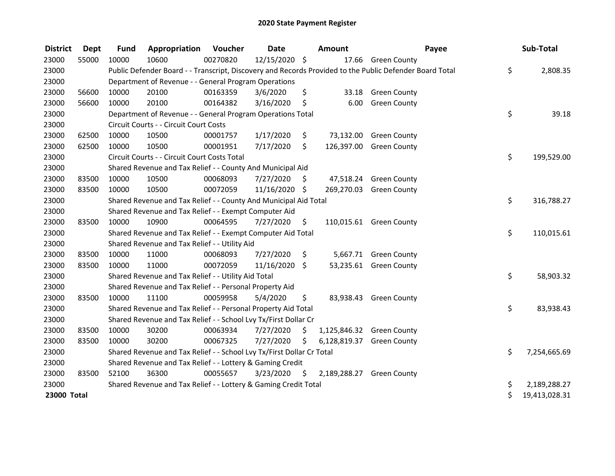| <b>District</b> | <b>Dept</b> | <b>Fund</b> | Appropriation                                                         | <b>Voucher</b> | <b>Date</b>   |    | <b>Amount</b> |                                                                                                         | Payee | Sub-Total     |
|-----------------|-------------|-------------|-----------------------------------------------------------------------|----------------|---------------|----|---------------|---------------------------------------------------------------------------------------------------------|-------|---------------|
| 23000           | 55000       | 10000       | 10600                                                                 | 00270820       | 12/15/2020 \$ |    |               | 17.66 Green County                                                                                      |       |               |
| 23000           |             |             |                                                                       |                |               |    |               | Public Defender Board - - Transcript, Discovery and Records Provided to the Public Defender Board Total | \$    | 2,808.35      |
| 23000           |             |             | Department of Revenue - - General Program Operations                  |                |               |    |               |                                                                                                         |       |               |
| 23000           | 56600       | 10000       | 20100                                                                 | 00163359       | 3/6/2020      | \$ | 33.18         | <b>Green County</b>                                                                                     |       |               |
| 23000           | 56600       | 10000       | 20100                                                                 | 00164382       | 3/16/2020     | \$ | 6.00          | <b>Green County</b>                                                                                     |       |               |
| 23000           |             |             | Department of Revenue - - General Program Operations Total            |                |               |    |               |                                                                                                         | \$    | 39.18         |
| 23000           |             |             | Circuit Courts - - Circuit Court Costs                                |                |               |    |               |                                                                                                         |       |               |
| 23000           | 62500       | 10000       | 10500                                                                 | 00001757       | 1/17/2020     | \$ |               | 73,132.00 Green County                                                                                  |       |               |
| 23000           | 62500       | 10000       | 10500                                                                 | 00001951       | 7/17/2020     | \$ | 126,397.00    | <b>Green County</b>                                                                                     |       |               |
| 23000           |             |             | Circuit Courts - - Circuit Court Costs Total                          |                |               |    |               |                                                                                                         | \$    | 199,529.00    |
| 23000           |             |             | Shared Revenue and Tax Relief - - County And Municipal Aid            |                |               |    |               |                                                                                                         |       |               |
| 23000           | 83500       | 10000       | 10500                                                                 | 00068093       | 7/27/2020     | S. |               | 47,518.24 Green County                                                                                  |       |               |
| 23000           | 83500       | 10000       | 10500                                                                 | 00072059       | 11/16/2020 \$ |    |               | 269,270.03 Green County                                                                                 |       |               |
| 23000           |             |             | Shared Revenue and Tax Relief - - County And Municipal Aid Total      |                |               |    |               |                                                                                                         | \$    | 316,788.27    |
| 23000           |             |             | Shared Revenue and Tax Relief - - Exempt Computer Aid                 |                |               |    |               |                                                                                                         |       |               |
| 23000           | 83500       | 10000       | 10900                                                                 | 00064595       | 7/27/2020     | \$ |               | 110,015.61 Green County                                                                                 |       |               |
| 23000           |             |             | Shared Revenue and Tax Relief - - Exempt Computer Aid Total           |                |               |    |               |                                                                                                         | \$    | 110,015.61    |
| 23000           |             |             | Shared Revenue and Tax Relief - - Utility Aid                         |                |               |    |               |                                                                                                         |       |               |
| 23000           | 83500       | 10000       | 11000                                                                 | 00068093       | 7/27/2020     | \$ |               | 5,667.71 Green County                                                                                   |       |               |
| 23000           | 83500       | 10000       | 11000                                                                 | 00072059       | 11/16/2020    | Ŝ. |               | 53,235.61 Green County                                                                                  |       |               |
| 23000           |             |             | Shared Revenue and Tax Relief - - Utility Aid Total                   |                |               |    |               |                                                                                                         | \$    | 58,903.32     |
| 23000           |             |             | Shared Revenue and Tax Relief - - Personal Property Aid               |                |               |    |               |                                                                                                         |       |               |
| 23000           | 83500       | 10000       | 11100                                                                 | 00059958       | 5/4/2020      | \$ |               | 83,938.43 Green County                                                                                  |       |               |
| 23000           |             |             | Shared Revenue and Tax Relief - - Personal Property Aid Total         |                |               |    |               |                                                                                                         | \$    | 83,938.43     |
| 23000           |             |             | Shared Revenue and Tax Relief - - School Lvy Tx/First Dollar Cr       |                |               |    |               |                                                                                                         |       |               |
| 23000           | 83500       | 10000       | 30200                                                                 | 00063934       | 7/27/2020     | \$ |               | 1,125,846.32 Green County                                                                               |       |               |
| 23000           | 83500       | 10000       | 30200                                                                 | 00067325       | 7/27/2020     | \$ |               | 6,128,819.37 Green County                                                                               |       |               |
| 23000           |             |             | Shared Revenue and Tax Relief - - School Lvy Tx/First Dollar Cr Total |                |               |    |               |                                                                                                         | \$    | 7,254,665.69  |
| 23000           |             |             | Shared Revenue and Tax Relief - - Lottery & Gaming Credit             |                |               |    |               |                                                                                                         |       |               |
| 23000           | 83500       | 52100       | 36300                                                                 | 00055657       | 3/23/2020     | \$ |               | 2,189,288.27 Green County                                                                               |       |               |
| 23000           |             |             | Shared Revenue and Tax Relief - - Lottery & Gaming Credit Total       |                |               |    |               |                                                                                                         | \$    | 2,189,288.27  |
| 23000 Total     |             |             |                                                                       |                |               |    |               |                                                                                                         | \$    | 19,413,028.31 |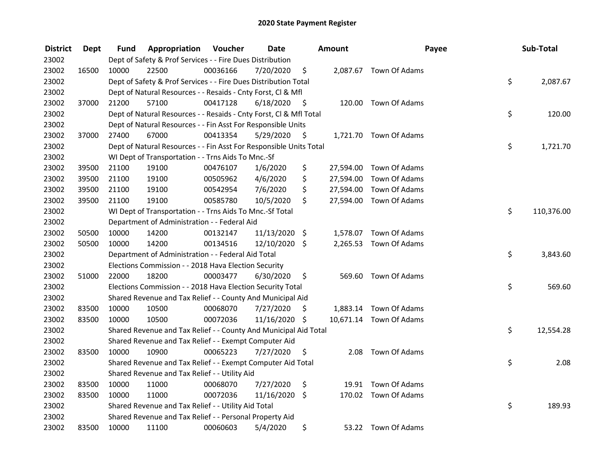| <b>District</b> | Dept  | Fund  | Appropriation                                                      | Voucher  | <b>Date</b>   |      | Amount | Payee                   | Sub-Total        |
|-----------------|-------|-------|--------------------------------------------------------------------|----------|---------------|------|--------|-------------------------|------------------|
| 23002           |       |       | Dept of Safety & Prof Services - - Fire Dues Distribution          |          |               |      |        |                         |                  |
| 23002           | 16500 | 10000 | 22500                                                              | 00036166 | 7/20/2020     | \$   |        | 2,087.67 Town Of Adams  |                  |
| 23002           |       |       | Dept of Safety & Prof Services - - Fire Dues Distribution Total    |          |               |      |        |                         | \$<br>2,087.67   |
| 23002           |       |       | Dept of Natural Resources - - Resaids - Cnty Forst, Cl & Mfl       |          |               |      |        |                         |                  |
| 23002           | 37000 | 21200 | 57100                                                              | 00417128 | 6/18/2020     | - \$ |        | 120.00 Town Of Adams    |                  |
| 23002           |       |       | Dept of Natural Resources - - Resaids - Cnty Forst, CI & Mfl Total |          |               |      |        |                         | \$<br>120.00     |
| 23002           |       |       | Dept of Natural Resources - - Fin Asst For Responsible Units       |          |               |      |        |                         |                  |
| 23002           | 37000 | 27400 | 67000                                                              | 00413354 | 5/29/2020     | - \$ |        | 1,721.70 Town Of Adams  |                  |
| 23002           |       |       | Dept of Natural Resources - - Fin Asst For Responsible Units Total |          |               |      |        |                         | \$<br>1,721.70   |
| 23002           |       |       | WI Dept of Transportation - - Trns Aids To Mnc.-Sf                 |          |               |      |        |                         |                  |
| 23002           | 39500 | 21100 | 19100                                                              | 00476107 | 1/6/2020      | \$   |        | 27,594.00 Town Of Adams |                  |
| 23002           | 39500 | 21100 | 19100                                                              | 00505962 | 4/6/2020      | \$   |        | 27,594.00 Town Of Adams |                  |
| 23002           | 39500 | 21100 | 19100                                                              | 00542954 | 7/6/2020      | \$   |        | 27,594.00 Town Of Adams |                  |
| 23002           | 39500 | 21100 | 19100                                                              | 00585780 | 10/5/2020     | \$   |        | 27,594.00 Town Of Adams |                  |
| 23002           |       |       | WI Dept of Transportation - - Trns Aids To Mnc.-Sf Total           |          |               |      |        |                         | \$<br>110,376.00 |
| 23002           |       |       | Department of Administration - - Federal Aid                       |          |               |      |        |                         |                  |
| 23002           | 50500 | 10000 | 14200                                                              | 00132147 | 11/13/2020 \$ |      |        | 1,578.07 Town Of Adams  |                  |
| 23002           | 50500 | 10000 | 14200                                                              | 00134516 | 12/10/2020 \$ |      |        | 2,265.53 Town Of Adams  |                  |
| 23002           |       |       | Department of Administration - - Federal Aid Total                 |          |               |      |        |                         | \$<br>3,843.60   |
| 23002           |       |       | Elections Commission - - 2018 Hava Election Security               |          |               |      |        |                         |                  |
| 23002           | 51000 | 22000 | 18200                                                              | 00003477 | 6/30/2020     | \$   |        | 569.60 Town Of Adams    |                  |
| 23002           |       |       | Elections Commission - - 2018 Hava Election Security Total         |          |               |      |        |                         | \$<br>569.60     |
| 23002           |       |       | Shared Revenue and Tax Relief - - County And Municipal Aid         |          |               |      |        |                         |                  |
| 23002           | 83500 | 10000 | 10500                                                              | 00068070 | 7/27/2020     | S    |        | 1,883.14 Town Of Adams  |                  |
| 23002           | 83500 | 10000 | 10500                                                              | 00072036 | 11/16/2020 \$ |      |        | 10,671.14 Town Of Adams |                  |
| 23002           |       |       | Shared Revenue and Tax Relief - - County And Municipal Aid Total   |          |               |      |        |                         | \$<br>12,554.28  |
| 23002           |       |       | Shared Revenue and Tax Relief - - Exempt Computer Aid              |          |               |      |        |                         |                  |
| 23002           | 83500 | 10000 | 10900                                                              | 00065223 | 7/27/2020     | \$.  | 2.08   | Town Of Adams           |                  |
| 23002           |       |       | Shared Revenue and Tax Relief - - Exempt Computer Aid Total        |          |               |      |        |                         | \$<br>2.08       |
| 23002           |       |       | Shared Revenue and Tax Relief - - Utility Aid                      |          |               |      |        |                         |                  |
| 23002           | 83500 | 10000 | 11000                                                              | 00068070 | 7/27/2020     | \$   |        | 19.91 Town Of Adams     |                  |
| 23002           | 83500 | 10000 | 11000                                                              | 00072036 | 11/16/2020 \$ |      |        | 170.02 Town Of Adams    |                  |
| 23002           |       |       | Shared Revenue and Tax Relief - - Utility Aid Total                |          |               |      |        |                         | \$<br>189.93     |
| 23002           |       |       | Shared Revenue and Tax Relief - - Personal Property Aid            |          |               |      |        |                         |                  |
| 23002           | 83500 | 10000 | 11100                                                              | 00060603 | 5/4/2020      | \$   |        | 53.22 Town Of Adams     |                  |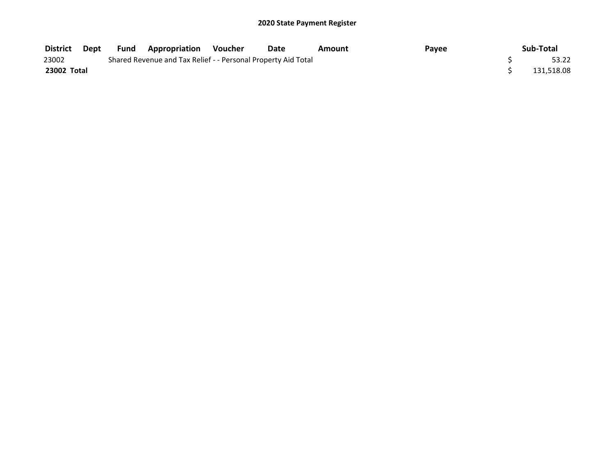| District    | Dept | <b>Fund Appropriation Voucher</b>                             | Date | Amount | Payee | Sub-Total  |
|-------------|------|---------------------------------------------------------------|------|--------|-------|------------|
| 23002       |      | Shared Revenue and Tax Relief - - Personal Property Aid Total |      |        |       | 53.22      |
| 23002 Total |      |                                                               |      |        |       | 131,518.08 |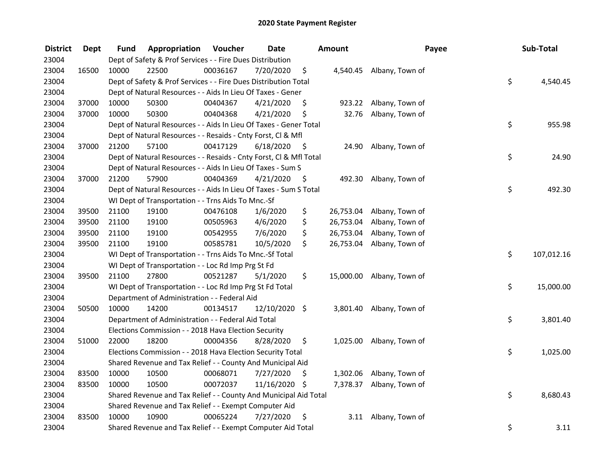| <b>District</b> | Dept  | Fund  | Appropriation                                                      | Voucher  | <b>Date</b>     |      | Amount    | Payee                    | Sub-Total        |
|-----------------|-------|-------|--------------------------------------------------------------------|----------|-----------------|------|-----------|--------------------------|------------------|
| 23004           |       |       | Dept of Safety & Prof Services - - Fire Dues Distribution          |          |                 |      |           |                          |                  |
| 23004           | 16500 | 10000 | 22500                                                              | 00036167 | 7/20/2020       | \$   |           | 4,540.45 Albany, Town of |                  |
| 23004           |       |       | Dept of Safety & Prof Services - - Fire Dues Distribution Total    |          |                 |      |           |                          | \$<br>4,540.45   |
| 23004           |       |       | Dept of Natural Resources - - Aids In Lieu Of Taxes - Gener        |          |                 |      |           |                          |                  |
| 23004           | 37000 | 10000 | 50300                                                              | 00404367 | 4/21/2020       | \$   | 923.22    | Albany, Town of          |                  |
| 23004           | 37000 | 10000 | 50300                                                              | 00404368 | 4/21/2020       | \$   | 32.76     | Albany, Town of          |                  |
| 23004           |       |       | Dept of Natural Resources - - Aids In Lieu Of Taxes - Gener Total  |          |                 |      |           |                          | \$<br>955.98     |
| 23004           |       |       | Dept of Natural Resources - - Resaids - Cnty Forst, CI & Mfl       |          |                 |      |           |                          |                  |
| 23004           | 37000 | 21200 | 57100                                                              | 00417129 | 6/18/2020       | - \$ |           | 24.90 Albany, Town of    |                  |
| 23004           |       |       | Dept of Natural Resources - - Resaids - Cnty Forst, Cl & Mfl Total |          |                 |      |           |                          | \$<br>24.90      |
| 23004           |       |       | Dept of Natural Resources - - Aids In Lieu Of Taxes - Sum S        |          |                 |      |           |                          |                  |
| 23004           | 37000 | 21200 | 57900                                                              | 00404369 | 4/21/2020       | -\$  | 492.30    | Albany, Town of          |                  |
| 23004           |       |       | Dept of Natural Resources - - Aids In Lieu Of Taxes - Sum S Total  |          |                 |      |           |                          | \$<br>492.30     |
| 23004           |       |       | WI Dept of Transportation - - Trns Aids To Mnc.-Sf                 |          |                 |      |           |                          |                  |
| 23004           | 39500 | 21100 | 19100                                                              | 00476108 | 1/6/2020        | \$   | 26,753.04 | Albany, Town of          |                  |
| 23004           | 39500 | 21100 | 19100                                                              | 00505963 | 4/6/2020        | \$   | 26,753.04 | Albany, Town of          |                  |
| 23004           | 39500 | 21100 | 19100                                                              | 00542955 | 7/6/2020        | \$   | 26,753.04 | Albany, Town of          |                  |
| 23004           | 39500 | 21100 | 19100                                                              | 00585781 | 10/5/2020       | \$   | 26,753.04 | Albany, Town of          |                  |
| 23004           |       |       | WI Dept of Transportation - - Trns Aids To Mnc.-Sf Total           |          |                 |      |           |                          | \$<br>107,012.16 |
| 23004           |       |       | WI Dept of Transportation - - Loc Rd Imp Prg St Fd                 |          |                 |      |           |                          |                  |
| 23004           | 39500 | 21100 | 27800                                                              | 00521287 | 5/1/2020        | \$   | 15,000.00 | Albany, Town of          |                  |
| 23004           |       |       | WI Dept of Transportation - - Loc Rd Imp Prg St Fd Total           |          |                 |      |           |                          | \$<br>15,000.00  |
| 23004           |       |       | Department of Administration - - Federal Aid                       |          |                 |      |           |                          |                  |
| 23004           | 50500 | 10000 | 14200                                                              | 00134517 | $12/10/2020$ \$ |      | 3,801.40  | Albany, Town of          |                  |
| 23004           |       |       | Department of Administration - - Federal Aid Total                 |          |                 |      |           |                          | \$<br>3,801.40   |
| 23004           |       |       | Elections Commission - - 2018 Hava Election Security               |          |                 |      |           |                          |                  |
| 23004           | 51000 | 22000 | 18200                                                              | 00004356 | 8/28/2020       | \$   |           | 1,025.00 Albany, Town of |                  |
| 23004           |       |       | Elections Commission - - 2018 Hava Election Security Total         |          |                 |      |           |                          | \$<br>1,025.00   |
| 23004           |       |       | Shared Revenue and Tax Relief - - County And Municipal Aid         |          |                 |      |           |                          |                  |
| 23004           | 83500 | 10000 | 10500                                                              | 00068071 | 7/27/2020       | \$   | 1,302.06  | Albany, Town of          |                  |
| 23004           | 83500 | 10000 | 10500                                                              | 00072037 | 11/16/2020 \$   |      | 7,378.37  | Albany, Town of          |                  |
| 23004           |       |       | Shared Revenue and Tax Relief - - County And Municipal Aid Total   |          |                 |      |           |                          | \$<br>8,680.43   |
| 23004           |       |       | Shared Revenue and Tax Relief - - Exempt Computer Aid              |          |                 |      |           |                          |                  |
| 23004           | 83500 | 10000 | 10900                                                              | 00065224 | 7/27/2020       | \$   | 3.11      | Albany, Town of          |                  |
| 23004           |       |       | Shared Revenue and Tax Relief - - Exempt Computer Aid Total        |          |                 |      |           |                          | \$<br>3.11       |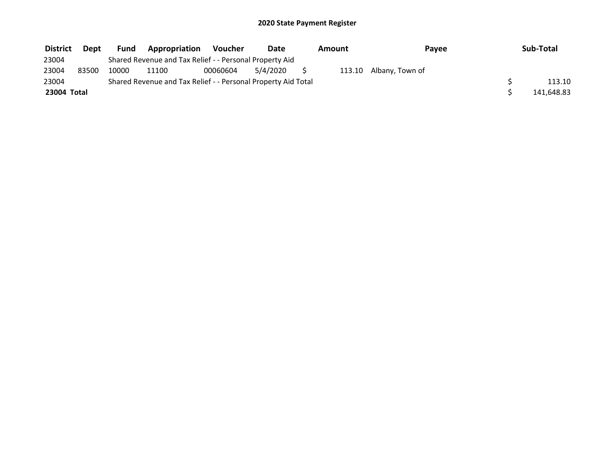| <b>District</b> | <b>Dept</b> | Fund  | Appropriation                                                 | Voucher  | Date     | Amount | Pavee                  | Sub-Total  |
|-----------------|-------------|-------|---------------------------------------------------------------|----------|----------|--------|------------------------|------------|
| 23004           |             |       | Shared Revenue and Tax Relief - - Personal Property Aid       |          |          |        |                        |            |
| 23004           | 83500       | 10000 | 11100                                                         | 00060604 | 5/4/2020 |        | 113.10 Albany, Town of |            |
| 23004           |             |       | Shared Revenue and Tax Relief - - Personal Property Aid Total |          |          |        |                        | 113.10     |
| 23004 Total     |             |       |                                                               |          |          |        |                        | 141,648.83 |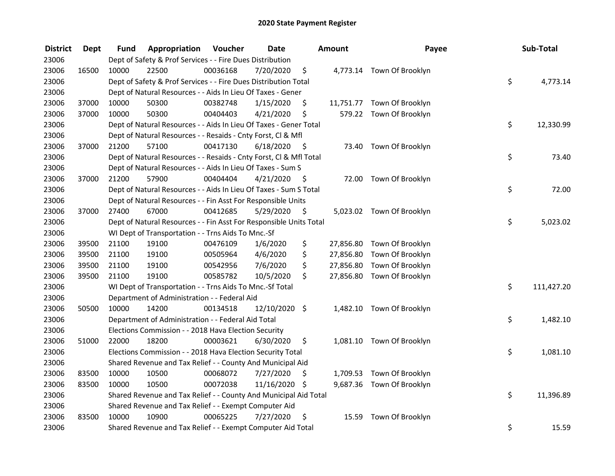| <b>District</b> | <b>Dept</b> | Fund  | Appropriation                                                      | Voucher  | <b>Date</b>   |      | <b>Amount</b> | Payee                      | Sub-Total        |
|-----------------|-------------|-------|--------------------------------------------------------------------|----------|---------------|------|---------------|----------------------------|------------------|
| 23006           |             |       | Dept of Safety & Prof Services - - Fire Dues Distribution          |          |               |      |               |                            |                  |
| 23006           | 16500       | 10000 | 22500                                                              | 00036168 | 7/20/2020     | \$   |               | 4,773.14 Town Of Brooklyn  |                  |
| 23006           |             |       | Dept of Safety & Prof Services - - Fire Dues Distribution Total    |          |               |      |               |                            | \$<br>4,773.14   |
| 23006           |             |       | Dept of Natural Resources - - Aids In Lieu Of Taxes - Gener        |          |               |      |               |                            |                  |
| 23006           | 37000       | 10000 | 50300                                                              | 00382748 | 1/15/2020     | \$   |               | 11,751.77 Town Of Brooklyn |                  |
| 23006           | 37000       | 10000 | 50300                                                              | 00404403 | 4/21/2020     | \$   |               | 579.22 Town Of Brooklyn    |                  |
| 23006           |             |       | Dept of Natural Resources - - Aids In Lieu Of Taxes - Gener Total  |          |               |      |               |                            | \$<br>12,330.99  |
| 23006           |             |       | Dept of Natural Resources - - Resaids - Cnty Forst, Cl & Mfl       |          |               |      |               |                            |                  |
| 23006           | 37000       | 21200 | 57100                                                              | 00417130 | 6/18/2020     | - \$ |               | 73.40 Town Of Brooklyn     |                  |
| 23006           |             |       | Dept of Natural Resources - - Resaids - Cnty Forst, Cl & Mfl Total |          |               |      |               |                            | \$<br>73.40      |
| 23006           |             |       | Dept of Natural Resources - - Aids In Lieu Of Taxes - Sum S        |          |               |      |               |                            |                  |
| 23006           | 37000       | 21200 | 57900                                                              | 00404404 | 4/21/2020     | -\$  |               | 72.00 Town Of Brooklyn     |                  |
| 23006           |             |       | Dept of Natural Resources - - Aids In Lieu Of Taxes - Sum S Total  |          |               |      |               |                            | \$<br>72.00      |
| 23006           |             |       | Dept of Natural Resources - - Fin Asst For Responsible Units       |          |               |      |               |                            |                  |
| 23006           | 37000       | 27400 | 67000                                                              | 00412685 | 5/29/2020     | \$   |               | 5,023.02 Town Of Brooklyn  |                  |
| 23006           |             |       | Dept of Natural Resources - - Fin Asst For Responsible Units Total |          |               |      |               |                            | \$<br>5,023.02   |
| 23006           |             |       | WI Dept of Transportation - - Trns Aids To Mnc.-Sf                 |          |               |      |               |                            |                  |
| 23006           | 39500       | 21100 | 19100                                                              | 00476109 | 1/6/2020      | \$   | 27,856.80     | Town Of Brooklyn           |                  |
| 23006           | 39500       | 21100 | 19100                                                              | 00505964 | 4/6/2020      | \$   | 27,856.80     | Town Of Brooklyn           |                  |
| 23006           | 39500       | 21100 | 19100                                                              | 00542956 | 7/6/2020      | \$   | 27,856.80     | Town Of Brooklyn           |                  |
| 23006           | 39500       | 21100 | 19100                                                              | 00585782 | 10/5/2020     | \$   |               | 27,856.80 Town Of Brooklyn |                  |
| 23006           |             |       | WI Dept of Transportation - - Trns Aids To Mnc.-Sf Total           |          |               |      |               |                            | \$<br>111,427.20 |
| 23006           |             |       | Department of Administration - - Federal Aid                       |          |               |      |               |                            |                  |
| 23006           | 50500       | 10000 | 14200                                                              | 00134518 | 12/10/2020 \$ |      |               | 1,482.10 Town Of Brooklyn  |                  |
| 23006           |             |       | Department of Administration - - Federal Aid Total                 |          |               |      |               |                            | \$<br>1,482.10   |
| 23006           |             |       | Elections Commission - - 2018 Hava Election Security               |          |               |      |               |                            |                  |
| 23006           | 51000       | 22000 | 18200                                                              | 00003621 | 6/30/2020     | \$   |               | 1,081.10 Town Of Brooklyn  |                  |
| 23006           |             |       | Elections Commission - - 2018 Hava Election Security Total         |          |               |      |               |                            | \$<br>1,081.10   |
| 23006           |             |       | Shared Revenue and Tax Relief - - County And Municipal Aid         |          |               |      |               |                            |                  |
| 23006           | 83500       | 10000 | 10500                                                              | 00068072 | 7/27/2020     | \$   |               | 1,709.53 Town Of Brooklyn  |                  |
| 23006           | 83500       | 10000 | 10500                                                              | 00072038 | 11/16/2020 \$ |      |               | 9,687.36 Town Of Brooklyn  |                  |
| 23006           |             |       | Shared Revenue and Tax Relief - - County And Municipal Aid Total   |          |               |      |               |                            | \$<br>11,396.89  |
| 23006           |             |       | Shared Revenue and Tax Relief - - Exempt Computer Aid              |          |               |      |               |                            |                  |
| 23006           | 83500       | 10000 | 10900                                                              | 00065225 | 7/27/2020     | \$   | 15.59         | Town Of Brooklyn           |                  |
| 23006           |             |       | Shared Revenue and Tax Relief - - Exempt Computer Aid Total        |          |               |      |               |                            | \$<br>15.59      |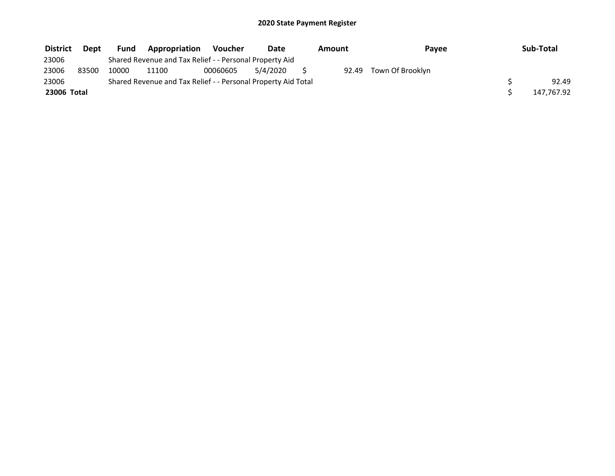| <b>District</b> | <b>Dept</b> | <b>Fund</b> | Appropriation                                                 | Voucher  | Date     | Amount | Payee            | Sub-Total  |
|-----------------|-------------|-------------|---------------------------------------------------------------|----------|----------|--------|------------------|------------|
| 23006           |             |             | Shared Revenue and Tax Relief - - Personal Property Aid       |          |          |        |                  |            |
| 23006           | 83500       | 10000       | 11100                                                         | 00060605 | 5/4/2020 | 92.49  | Town Of Brooklyn |            |
| 23006           |             |             | Shared Revenue and Tax Relief - - Personal Property Aid Total |          |          |        |                  | 92.49      |
| 23006 Total     |             |             |                                                               |          |          |        |                  | 147,767.92 |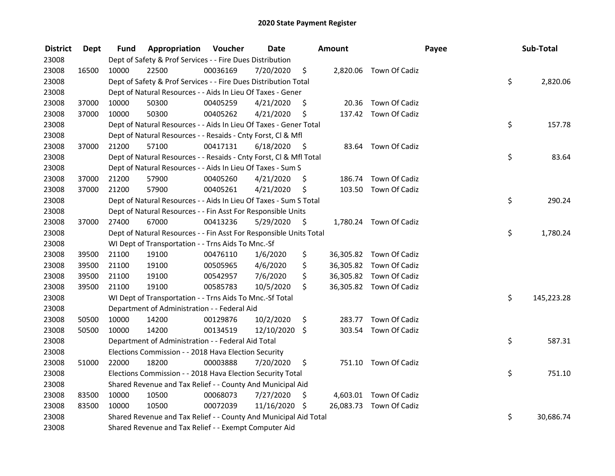| <b>District</b> | Dept  | Fund  | Appropriation                                                      | Voucher  | <b>Date</b>   |      | <b>Amount</b> |                         | Payee | Sub-Total  |
|-----------------|-------|-------|--------------------------------------------------------------------|----------|---------------|------|---------------|-------------------------|-------|------------|
| 23008           |       |       | Dept of Safety & Prof Services - - Fire Dues Distribution          |          |               |      |               |                         |       |            |
| 23008           | 16500 | 10000 | 22500                                                              | 00036169 | 7/20/2020     | \$   |               | 2,820.06 Town Of Cadiz  |       |            |
| 23008           |       |       | Dept of Safety & Prof Services - - Fire Dues Distribution Total    |          |               |      |               |                         | \$    | 2,820.06   |
| 23008           |       |       | Dept of Natural Resources - - Aids In Lieu Of Taxes - Gener        |          |               |      |               |                         |       |            |
| 23008           | 37000 | 10000 | 50300                                                              | 00405259 | 4/21/2020     | \$   |               | 20.36 Town Of Cadiz     |       |            |
| 23008           | 37000 | 10000 | 50300                                                              | 00405262 | 4/21/2020     | \$   |               | 137.42 Town Of Cadiz    |       |            |
| 23008           |       |       | Dept of Natural Resources - - Aids In Lieu Of Taxes - Gener Total  |          |               |      |               |                         | \$    | 157.78     |
| 23008           |       |       | Dept of Natural Resources - - Resaids - Cnty Forst, Cl & Mfl       |          |               |      |               |                         |       |            |
| 23008           | 37000 | 21200 | 57100                                                              | 00417131 | 6/18/2020     | - \$ |               | 83.64 Town Of Cadiz     |       |            |
| 23008           |       |       | Dept of Natural Resources - - Resaids - Cnty Forst, Cl & Mfl Total |          |               |      |               |                         | \$    | 83.64      |
| 23008           |       |       | Dept of Natural Resources - - Aids In Lieu Of Taxes - Sum S        |          |               |      |               |                         |       |            |
| 23008           | 37000 | 21200 | 57900                                                              | 00405260 | 4/21/2020     | \$.  | 186.74        | Town Of Cadiz           |       |            |
| 23008           | 37000 | 21200 | 57900                                                              | 00405261 | 4/21/2020     | S    |               | 103.50 Town Of Cadiz    |       |            |
| 23008           |       |       | Dept of Natural Resources - - Aids In Lieu Of Taxes - Sum S Total  |          |               |      |               |                         | \$    | 290.24     |
| 23008           |       |       | Dept of Natural Resources - - Fin Asst For Responsible Units       |          |               |      |               |                         |       |            |
| 23008           | 37000 | 27400 | 67000                                                              | 00413236 | 5/29/2020     | \$   |               | 1,780.24 Town Of Cadiz  |       |            |
| 23008           |       |       | Dept of Natural Resources - - Fin Asst For Responsible Units Total |          |               |      |               |                         | \$    | 1,780.24   |
| 23008           |       |       | WI Dept of Transportation - - Trns Aids To Mnc.-Sf                 |          |               |      |               |                         |       |            |
| 23008           | 39500 | 21100 | 19100                                                              | 00476110 | 1/6/2020      | \$   |               | 36,305.82 Town Of Cadiz |       |            |
| 23008           | 39500 | 21100 | 19100                                                              | 00505965 | 4/6/2020      | \$   |               | 36,305.82 Town Of Cadiz |       |            |
| 23008           | 39500 | 21100 | 19100                                                              | 00542957 | 7/6/2020      | \$   |               | 36,305.82 Town Of Cadiz |       |            |
| 23008           | 39500 | 21100 | 19100                                                              | 00585783 | 10/5/2020     | \$   |               | 36,305.82 Town Of Cadiz |       |            |
| 23008           |       |       | WI Dept of Transportation - - Trns Aids To Mnc.-Sf Total           |          |               |      |               |                         | \$    | 145,223.28 |
| 23008           |       |       | Department of Administration - - Federal Aid                       |          |               |      |               |                         |       |            |
| 23008           | 50500 | 10000 | 14200                                                              | 00129876 | 10/2/2020     | \$   | 283.77        | Town Of Cadiz           |       |            |
| 23008           | 50500 | 10000 | 14200                                                              | 00134519 | 12/10/2020 \$ |      | 303.54        | Town Of Cadiz           |       |            |
| 23008           |       |       | Department of Administration - - Federal Aid Total                 |          |               |      |               |                         | \$    | 587.31     |
| 23008           |       |       | Elections Commission - - 2018 Hava Election Security               |          |               |      |               |                         |       |            |
| 23008           | 51000 | 22000 | 18200                                                              | 00003888 | 7/20/2020     | \$   |               | 751.10 Town Of Cadiz    |       |            |
| 23008           |       |       | Elections Commission - - 2018 Hava Election Security Total         |          |               |      |               |                         | \$    | 751.10     |
| 23008           |       |       | Shared Revenue and Tax Relief - - County And Municipal Aid         |          |               |      |               |                         |       |            |
| 23008           | 83500 | 10000 | 10500                                                              | 00068073 | 7/27/2020     | \$   |               | 4,603.01 Town Of Cadiz  |       |            |
| 23008           | 83500 | 10000 | 10500                                                              | 00072039 | 11/16/2020 \$ |      |               | 26,083.73 Town Of Cadiz |       |            |
| 23008           |       |       | Shared Revenue and Tax Relief - - County And Municipal Aid Total   |          |               |      |               |                         | \$    | 30,686.74  |
| 23008           |       |       | Shared Revenue and Tax Relief - - Exempt Computer Aid              |          |               |      |               |                         |       |            |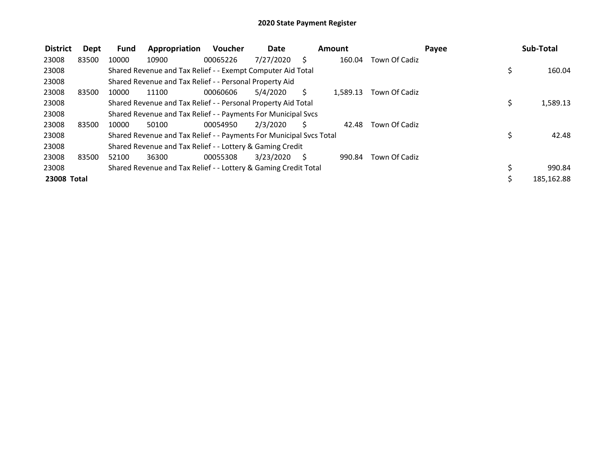| <b>District</b> | Dept  | <b>Fund</b> | Appropriation                                                       | <b>Voucher</b> | <b>Date</b> |    | Amount   |               | Payee | Sub-Total  |
|-----------------|-------|-------------|---------------------------------------------------------------------|----------------|-------------|----|----------|---------------|-------|------------|
| 23008           | 83500 | 10000       | 10900                                                               | 00065226       | 7/27/2020   | S  | 160.04   | Town Of Cadiz |       |            |
| 23008           |       |             | Shared Revenue and Tax Relief - - Exempt Computer Aid Total         |                |             |    |          |               | \$    | 160.04     |
| 23008           |       |             | Shared Revenue and Tax Relief - - Personal Property Aid             |                |             |    |          |               |       |            |
| 23008           | 83500 | 10000       | 11100                                                               | 00060606       | 5/4/2020    | S  | 1.589.13 | Town Of Cadiz |       |            |
| 23008           |       |             | Shared Revenue and Tax Relief - - Personal Property Aid Total       |                |             |    |          |               |       | 1,589.13   |
| 23008           |       |             | Shared Revenue and Tax Relief - - Payments For Municipal Svcs       |                |             |    |          |               |       |            |
| 23008           | 83500 | 10000       | 50100                                                               | 00054950       | 2/3/2020    | Ś. | 42.48    | Town Of Cadiz |       |            |
| 23008           |       |             | Shared Revenue and Tax Relief - - Payments For Municipal Svcs Total |                |             |    |          |               |       | 42.48      |
| 23008           |       |             | Shared Revenue and Tax Relief - - Lottery & Gaming Credit           |                |             |    |          |               |       |            |
| 23008           | 83500 | 52100       | 36300                                                               | 00055308       | 3/23/2020   | S  | 990.84   | Town Of Cadiz |       |            |
| 23008           |       |             | Shared Revenue and Tax Relief - - Lottery & Gaming Credit Total     |                |             |    |          |               |       | 990.84     |
| 23008 Total     |       |             |                                                                     |                |             |    |          |               |       | 185,162.88 |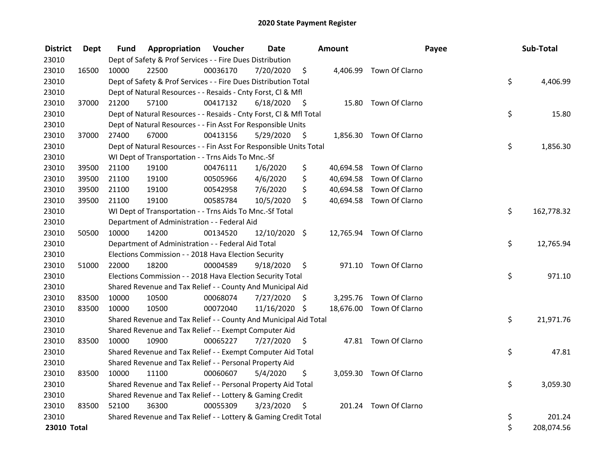| <b>District</b> | Dept  | Fund  | Appropriation                                                      | Voucher  | <b>Date</b>   |      | <b>Amount</b> | Payee                    | Sub-Total        |
|-----------------|-------|-------|--------------------------------------------------------------------|----------|---------------|------|---------------|--------------------------|------------------|
| 23010           |       |       | Dept of Safety & Prof Services - - Fire Dues Distribution          |          |               |      |               |                          |                  |
| 23010           | 16500 | 10000 | 22500                                                              | 00036170 | 7/20/2020     | \$   |               | 4,406.99 Town Of Clarno  |                  |
| 23010           |       |       | Dept of Safety & Prof Services - - Fire Dues Distribution Total    |          |               |      |               |                          | \$<br>4,406.99   |
| 23010           |       |       | Dept of Natural Resources - - Resaids - Cnty Forst, Cl & Mfl       |          |               |      |               |                          |                  |
| 23010           | 37000 | 21200 | 57100                                                              | 00417132 | 6/18/2020     | - \$ |               | 15.80 Town Of Clarno     |                  |
| 23010           |       |       | Dept of Natural Resources - - Resaids - Cnty Forst, Cl & Mfl Total |          |               |      |               |                          | \$<br>15.80      |
| 23010           |       |       | Dept of Natural Resources - - Fin Asst For Responsible Units       |          |               |      |               |                          |                  |
| 23010           | 37000 | 27400 | 67000                                                              | 00413156 | 5/29/2020     | - \$ |               | 1,856.30 Town Of Clarno  |                  |
| 23010           |       |       | Dept of Natural Resources - - Fin Asst For Responsible Units Total |          |               |      |               |                          | \$<br>1,856.30   |
| 23010           |       |       | WI Dept of Transportation - - Trns Aids To Mnc.-Sf                 |          |               |      |               |                          |                  |
| 23010           | 39500 | 21100 | 19100                                                              | 00476111 | 1/6/2020      | \$   |               | 40,694.58 Town Of Clarno |                  |
| 23010           | 39500 | 21100 | 19100                                                              | 00505966 | 4/6/2020      | \$   | 40,694.58     | Town Of Clarno           |                  |
| 23010           | 39500 | 21100 | 19100                                                              | 00542958 | 7/6/2020      | \$   | 40,694.58     | Town Of Clarno           |                  |
| 23010           | 39500 | 21100 | 19100                                                              | 00585784 | 10/5/2020     | \$   |               | 40,694.58 Town Of Clarno |                  |
| 23010           |       |       | WI Dept of Transportation - - Trns Aids To Mnc.-Sf Total           |          |               |      |               |                          | \$<br>162,778.32 |
| 23010           |       |       | Department of Administration - - Federal Aid                       |          |               |      |               |                          |                  |
| 23010           | 50500 | 10000 | 14200                                                              | 00134520 | 12/10/2020 \$ |      |               | 12,765.94 Town Of Clarno |                  |
| 23010           |       |       | Department of Administration - - Federal Aid Total                 |          |               |      |               |                          | \$<br>12,765.94  |
| 23010           |       |       | Elections Commission - - 2018 Hava Election Security               |          |               |      |               |                          |                  |
| 23010           | 51000 | 22000 | 18200                                                              | 00004589 | 9/18/2020     | \$   |               | 971.10 Town Of Clarno    |                  |
| 23010           |       |       | Elections Commission - - 2018 Hava Election Security Total         |          |               |      |               |                          | \$<br>971.10     |
| 23010           |       |       | Shared Revenue and Tax Relief - - County And Municipal Aid         |          |               |      |               |                          |                  |
| 23010           | 83500 | 10000 | 10500                                                              | 00068074 | 7/27/2020     | \$.  |               | 3,295.76 Town Of Clarno  |                  |
| 23010           | 83500 | 10000 | 10500                                                              | 00072040 | 11/16/2020 \$ |      |               | 18,676.00 Town Of Clarno |                  |
| 23010           |       |       | Shared Revenue and Tax Relief - - County And Municipal Aid Total   |          |               |      |               |                          | \$<br>21,971.76  |
| 23010           |       |       | Shared Revenue and Tax Relief - - Exempt Computer Aid              |          |               |      |               |                          |                  |
| 23010           | 83500 | 10000 | 10900                                                              | 00065227 | 7/27/2020     | S    |               | 47.81 Town Of Clarno     |                  |
| 23010           |       |       | Shared Revenue and Tax Relief - - Exempt Computer Aid Total        |          |               |      |               |                          | \$<br>47.81      |
| 23010           |       |       | Shared Revenue and Tax Relief - - Personal Property Aid            |          |               |      |               |                          |                  |
| 23010           | 83500 | 10000 | 11100                                                              | 00060607 | 5/4/2020      | \$   |               | 3,059.30 Town Of Clarno  |                  |
| 23010           |       |       | Shared Revenue and Tax Relief - - Personal Property Aid Total      |          |               |      |               |                          | \$<br>3,059.30   |
| 23010           |       |       | Shared Revenue and Tax Relief - - Lottery & Gaming Credit          |          |               |      |               |                          |                  |
| 23010           | 83500 | 52100 | 36300                                                              | 00055309 | 3/23/2020     | - \$ |               | 201.24 Town Of Clarno    |                  |
| 23010           |       |       | Shared Revenue and Tax Relief - - Lottery & Gaming Credit Total    |          |               |      |               |                          | \$<br>201.24     |
| 23010 Total     |       |       |                                                                    |          |               |      |               |                          | \$<br>208,074.56 |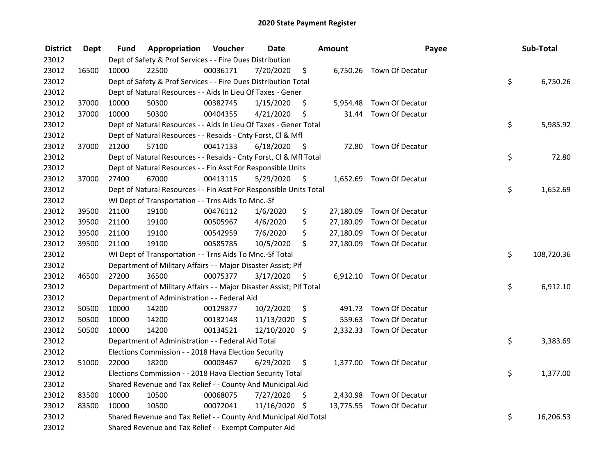| <b>District</b> | <b>Dept</b> | Fund  | Appropriation                                                       | Voucher  | <b>Date</b>   |      | Amount    | Payee                     | Sub-Total        |
|-----------------|-------------|-------|---------------------------------------------------------------------|----------|---------------|------|-----------|---------------------------|------------------|
| 23012           |             |       | Dept of Safety & Prof Services - - Fire Dues Distribution           |          |               |      |           |                           |                  |
| 23012           | 16500       | 10000 | 22500                                                               | 00036171 | 7/20/2020     | \$   |           | 6,750.26 Town Of Decatur  |                  |
| 23012           |             |       | Dept of Safety & Prof Services - - Fire Dues Distribution Total     |          |               |      |           |                           | \$<br>6,750.26   |
| 23012           |             |       | Dept of Natural Resources - - Aids In Lieu Of Taxes - Gener         |          |               |      |           |                           |                  |
| 23012           | 37000       | 10000 | 50300                                                               | 00382745 | 1/15/2020     | \$   |           | 5,954.48 Town Of Decatur  |                  |
| 23012           | 37000       | 10000 | 50300                                                               | 00404355 | 4/21/2020     | \$   | 31.44     | Town Of Decatur           |                  |
| 23012           |             |       | Dept of Natural Resources - - Aids In Lieu Of Taxes - Gener Total   |          |               |      |           |                           | \$<br>5,985.92   |
| 23012           |             |       | Dept of Natural Resources - - Resaids - Cnty Forst, Cl & Mfl        |          |               |      |           |                           |                  |
| 23012           | 37000       | 21200 | 57100                                                               | 00417133 | 6/18/2020     | - \$ |           | 72.80 Town Of Decatur     |                  |
| 23012           |             |       | Dept of Natural Resources - - Resaids - Cnty Forst, CI & Mfl Total  |          |               |      |           |                           | \$<br>72.80      |
| 23012           |             |       | Dept of Natural Resources - - Fin Asst For Responsible Units        |          |               |      |           |                           |                  |
| 23012           | 37000       | 27400 | 67000                                                               | 00413115 | 5/29/2020     | \$   |           | 1,652.69 Town Of Decatur  |                  |
| 23012           |             |       | Dept of Natural Resources - - Fin Asst For Responsible Units Total  |          |               |      |           |                           | \$<br>1,652.69   |
| 23012           |             |       | WI Dept of Transportation - - Trns Aids To Mnc.-Sf                  |          |               |      |           |                           |                  |
| 23012           | 39500       | 21100 | 19100                                                               | 00476112 | 1/6/2020      | \$   | 27,180.09 | Town Of Decatur           |                  |
| 23012           | 39500       | 21100 | 19100                                                               | 00505967 | 4/6/2020      | \$   | 27,180.09 | Town Of Decatur           |                  |
| 23012           | 39500       | 21100 | 19100                                                               | 00542959 | 7/6/2020      | \$   | 27,180.09 | Town Of Decatur           |                  |
| 23012           | 39500       | 21100 | 19100                                                               | 00585785 | 10/5/2020     | \$   |           | 27,180.09 Town Of Decatur |                  |
| 23012           |             |       | WI Dept of Transportation - - Trns Aids To Mnc.-Sf Total            |          |               |      |           |                           | \$<br>108,720.36 |
| 23012           |             |       | Department of Military Affairs - - Major Disaster Assist; Pif       |          |               |      |           |                           |                  |
| 23012           | 46500       | 27200 | 36500                                                               | 00075377 | 3/17/2020     | - \$ |           | 6,912.10 Town Of Decatur  |                  |
| 23012           |             |       | Department of Military Affairs - - Major Disaster Assist; Pif Total |          |               |      |           |                           | \$<br>6,912.10   |
| 23012           |             |       | Department of Administration - - Federal Aid                        |          |               |      |           |                           |                  |
| 23012           | 50500       | 10000 | 14200                                                               | 00129877 | 10/2/2020     | \$   |           | 491.73 Town Of Decatur    |                  |
| 23012           | 50500       | 10000 | 14200                                                               | 00132148 | 11/13/2020    | \$   | 559.63    | Town Of Decatur           |                  |
| 23012           | 50500       | 10000 | 14200                                                               | 00134521 | 12/10/2020    | Ŝ.   |           | 2,332.33 Town Of Decatur  |                  |
| 23012           |             |       | Department of Administration - - Federal Aid Total                  |          |               |      |           |                           | \$<br>3,383.69   |
| 23012           |             |       | Elections Commission - - 2018 Hava Election Security                |          |               |      |           |                           |                  |
| 23012           | 51000       | 22000 | 18200                                                               | 00003467 | 6/29/2020     | \$   |           | 1,377.00 Town Of Decatur  |                  |
| 23012           |             |       | Elections Commission - - 2018 Hava Election Security Total          |          |               |      |           |                           | \$<br>1,377.00   |
| 23012           |             |       | Shared Revenue and Tax Relief - - County And Municipal Aid          |          |               |      |           |                           |                  |
| 23012           | 83500       | 10000 | 10500                                                               | 00068075 | 7/27/2020     | \$   |           | 2,430.98 Town Of Decatur  |                  |
| 23012           | 83500       | 10000 | 10500                                                               | 00072041 | 11/16/2020 \$ |      |           | 13,775.55 Town Of Decatur |                  |
| 23012           |             |       | Shared Revenue and Tax Relief - - County And Municipal Aid Total    |          |               |      |           |                           | \$<br>16,206.53  |
| 23012           |             |       | Shared Revenue and Tax Relief - - Exempt Computer Aid               |          |               |      |           |                           |                  |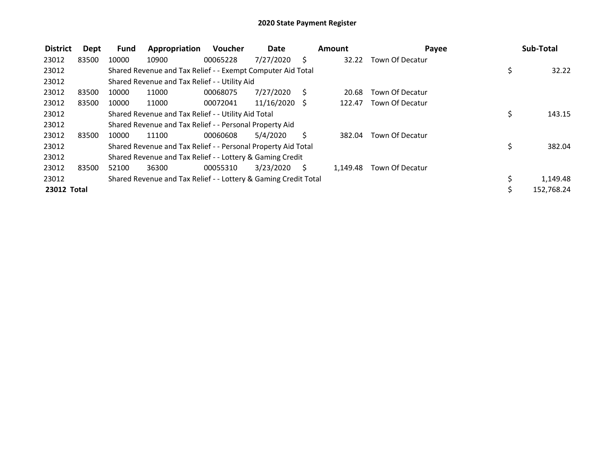| <b>District</b> | Dept  | <b>Fund</b> | Appropriation                                                   | Voucher  | Date            |     | Amount   | Payee           | Sub-Total        |
|-----------------|-------|-------------|-----------------------------------------------------------------|----------|-----------------|-----|----------|-----------------|------------------|
| 23012           | 83500 | 10000       | 10900                                                           | 00065228 | 7/27/2020       | S   | 32.22    | Town Of Decatur |                  |
| 23012           |       |             | Shared Revenue and Tax Relief - - Exempt Computer Aid Total     |          |                 |     |          |                 | \$<br>32.22      |
| 23012           |       |             | Shared Revenue and Tax Relief - - Utility Aid                   |          |                 |     |          |                 |                  |
| 23012           | 83500 | 10000       | 11000                                                           | 00068075 | 7/27/2020       | S.  | 20.68    | Town Of Decatur |                  |
| 23012           | 83500 | 10000       | 11000                                                           | 00072041 | $11/16/2020$ \$ |     | 122.47   | Town Of Decatur |                  |
| 23012           |       |             | Shared Revenue and Tax Relief - - Utility Aid Total             |          |                 |     |          |                 | \$<br>143.15     |
| 23012           |       |             | Shared Revenue and Tax Relief - - Personal Property Aid         |          |                 |     |          |                 |                  |
| 23012           | 83500 | 10000       | 11100                                                           | 00060608 | 5/4/2020        | S   | 382.04   | Town Of Decatur |                  |
| 23012           |       |             | Shared Revenue and Tax Relief - - Personal Property Aid Total   |          |                 |     |          |                 | \$<br>382.04     |
| 23012           |       |             | Shared Revenue and Tax Relief - - Lottery & Gaming Credit       |          |                 |     |          |                 |                  |
| 23012           | 83500 | 52100       | 36300                                                           | 00055310 | 3/23/2020       | - S | 1,149.48 | Town Of Decatur |                  |
| 23012           |       |             | Shared Revenue and Tax Relief - - Lottery & Gaming Credit Total |          |                 |     |          |                 | 1,149.48         |
| 23012 Total     |       |             |                                                                 |          |                 |     |          |                 | \$<br>152,768.24 |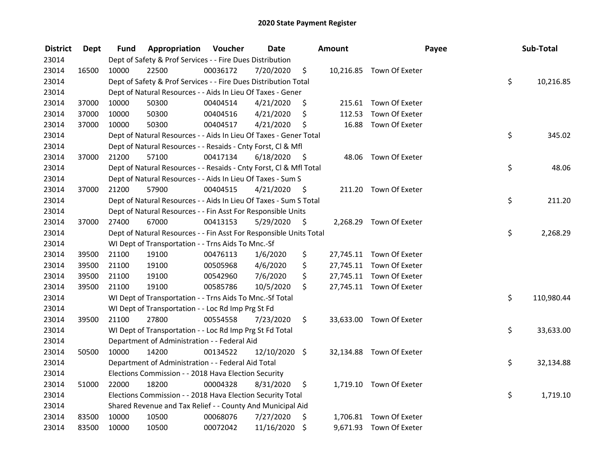| <b>District</b> | <b>Dept</b> | Fund  | Appropriation                                                      | Voucher  | <b>Date</b>   |      | Amount | Payee                    | Sub-Total        |
|-----------------|-------------|-------|--------------------------------------------------------------------|----------|---------------|------|--------|--------------------------|------------------|
| 23014           |             |       | Dept of Safety & Prof Services - - Fire Dues Distribution          |          |               |      |        |                          |                  |
| 23014           | 16500       | 10000 | 22500                                                              | 00036172 | 7/20/2020     | \$   |        | 10,216.85 Town Of Exeter |                  |
| 23014           |             |       | Dept of Safety & Prof Services - - Fire Dues Distribution Total    |          |               |      |        |                          | \$<br>10,216.85  |
| 23014           |             |       | Dept of Natural Resources - - Aids In Lieu Of Taxes - Gener        |          |               |      |        |                          |                  |
| 23014           | 37000       | 10000 | 50300                                                              | 00404514 | 4/21/2020     | \$   |        | 215.61 Town Of Exeter    |                  |
| 23014           | 37000       | 10000 | 50300                                                              | 00404516 | 4/21/2020     | \$   | 112.53 | Town Of Exeter           |                  |
| 23014           | 37000       | 10000 | 50300                                                              | 00404517 | 4/21/2020     | \$   | 16.88  | Town Of Exeter           |                  |
| 23014           |             |       | Dept of Natural Resources - - Aids In Lieu Of Taxes - Gener Total  |          |               |      |        |                          | \$<br>345.02     |
| 23014           |             |       | Dept of Natural Resources - - Resaids - Cnty Forst, Cl & Mfl       |          |               |      |        |                          |                  |
| 23014           | 37000       | 21200 | 57100                                                              | 00417134 | 6/18/2020     | - \$ |        | 48.06 Town Of Exeter     |                  |
| 23014           |             |       | Dept of Natural Resources - - Resaids - Cnty Forst, Cl & Mfl Total |          |               |      |        |                          | \$<br>48.06      |
| 23014           |             |       | Dept of Natural Resources - - Aids In Lieu Of Taxes - Sum S        |          |               |      |        |                          |                  |
| 23014           | 37000       | 21200 | 57900                                                              | 00404515 | 4/21/2020     | - \$ |        | 211.20 Town Of Exeter    |                  |
| 23014           |             |       | Dept of Natural Resources - - Aids In Lieu Of Taxes - Sum S Total  |          |               |      |        |                          | \$<br>211.20     |
| 23014           |             |       | Dept of Natural Resources - - Fin Asst For Responsible Units       |          |               |      |        |                          |                  |
| 23014           | 37000       | 27400 | 67000                                                              | 00413153 | 5/29/2020     | \$.  |        | 2,268.29 Town Of Exeter  |                  |
| 23014           |             |       | Dept of Natural Resources - - Fin Asst For Responsible Units Total |          |               |      |        |                          | \$<br>2,268.29   |
| 23014           |             |       | WI Dept of Transportation - - Trns Aids To Mnc.-Sf                 |          |               |      |        |                          |                  |
| 23014           | 39500       | 21100 | 19100                                                              | 00476113 | 1/6/2020      | \$   |        | 27,745.11 Town Of Exeter |                  |
| 23014           | 39500       | 21100 | 19100                                                              | 00505968 | 4/6/2020      | \$   |        | 27,745.11 Town Of Exeter |                  |
| 23014           | 39500       | 21100 | 19100                                                              | 00542960 | 7/6/2020      | \$   |        | 27,745.11 Town Of Exeter |                  |
| 23014           | 39500       | 21100 | 19100                                                              | 00585786 | 10/5/2020     | \$   |        | 27,745.11 Town Of Exeter |                  |
| 23014           |             |       | WI Dept of Transportation - - Trns Aids To Mnc.-Sf Total           |          |               |      |        |                          | \$<br>110,980.44 |
| 23014           |             |       | WI Dept of Transportation - - Loc Rd Imp Prg St Fd                 |          |               |      |        |                          |                  |
| 23014           | 39500       | 21100 | 27800                                                              | 00554558 | 7/23/2020     | \$   |        | 33,633.00 Town Of Exeter |                  |
| 23014           |             |       | WI Dept of Transportation - - Loc Rd Imp Prg St Fd Total           |          |               |      |        |                          | \$<br>33,633.00  |
| 23014           |             |       | Department of Administration - - Federal Aid                       |          |               |      |        |                          |                  |
| 23014           | 50500       | 10000 | 14200                                                              | 00134522 | 12/10/2020 \$ |      |        | 32,134.88 Town Of Exeter |                  |
| 23014           |             |       | Department of Administration - - Federal Aid Total                 |          |               |      |        |                          | \$<br>32,134.88  |
| 23014           |             |       | Elections Commission - - 2018 Hava Election Security               |          |               |      |        |                          |                  |
| 23014           | 51000       | 22000 | 18200                                                              | 00004328 | 8/31/2020     | \$   |        | 1,719.10 Town Of Exeter  |                  |
| 23014           |             |       | Elections Commission - - 2018 Hava Election Security Total         |          |               |      |        |                          | \$<br>1,719.10   |
| 23014           |             |       | Shared Revenue and Tax Relief - - County And Municipal Aid         |          |               |      |        |                          |                  |
| 23014           | 83500       | 10000 | 10500                                                              | 00068076 | 7/27/2020     | \$   |        | 1,706.81 Town Of Exeter  |                  |
| 23014           | 83500       | 10000 | 10500                                                              | 00072042 | 11/16/2020    | \$   |        | 9,671.93 Town Of Exeter  |                  |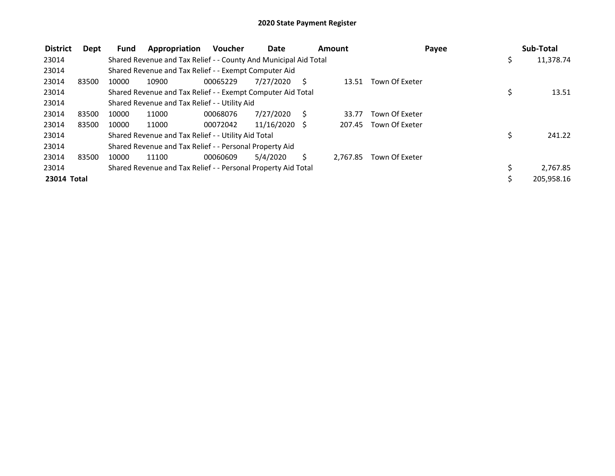| <b>District</b> | Dept  | <b>Fund</b> | Appropriation                                                    | <b>Voucher</b> | Date          |     | Amount   | Payee          |     | Sub-Total  |
|-----------------|-------|-------------|------------------------------------------------------------------|----------------|---------------|-----|----------|----------------|-----|------------|
| 23014           |       |             | Shared Revenue and Tax Relief - - County And Municipal Aid Total |                |               |     |          |                | \$. | 11,378.74  |
| 23014           |       |             | Shared Revenue and Tax Relief - - Exempt Computer Aid            |                |               |     |          |                |     |            |
| 23014           | 83500 | 10000       | 10900                                                            | 00065229       | 7/27/2020     | - S | 13.51    | Town Of Exeter |     |            |
| 23014           |       |             | Shared Revenue and Tax Relief - - Exempt Computer Aid Total      |                |               |     |          |                | \$  | 13.51      |
| 23014           |       |             | Shared Revenue and Tax Relief - - Utility Aid                    |                |               |     |          |                |     |            |
| 23014           | 83500 | 10000       | 11000                                                            | 00068076       | 7/27/2020     | -S  | 33.77    | Town Of Exeter |     |            |
| 23014           | 83500 | 10000       | 11000                                                            | 00072042       | 11/16/2020 \$ |     | 207.45   | Town Of Exeter |     |            |
| 23014           |       |             | Shared Revenue and Tax Relief - - Utility Aid Total              |                |               |     |          |                | \$  | 241.22     |
| 23014           |       |             | Shared Revenue and Tax Relief - - Personal Property Aid          |                |               |     |          |                |     |            |
| 23014           | 83500 | 10000       | 11100                                                            | 00060609       | 5/4/2020      | S   | 2.767.85 | Town Of Exeter |     |            |
| 23014           |       |             | Shared Revenue and Tax Relief - - Personal Property Aid Total    |                |               |     |          |                |     | 2,767.85   |
| 23014 Total     |       |             |                                                                  |                |               |     |          |                |     | 205,958.16 |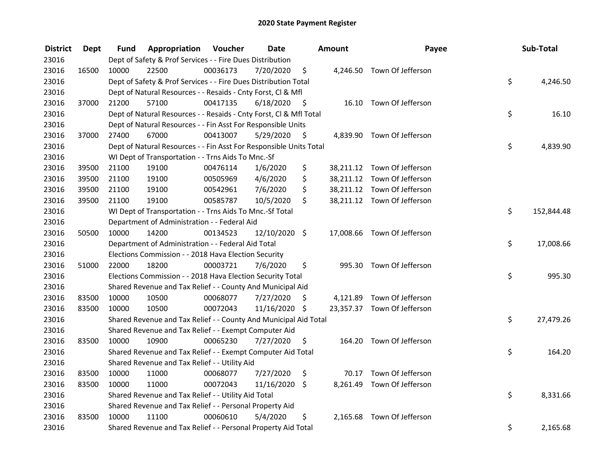| <b>District</b> | Dept  | Fund  | Appropriation                                                      | Voucher  | <b>Date</b>   |      | Amount | Payee                       | Sub-Total        |
|-----------------|-------|-------|--------------------------------------------------------------------|----------|---------------|------|--------|-----------------------------|------------------|
| 23016           |       |       | Dept of Safety & Prof Services - - Fire Dues Distribution          |          |               |      |        |                             |                  |
| 23016           | 16500 | 10000 | 22500                                                              | 00036173 | 7/20/2020     | \$   |        | 4,246.50 Town Of Jefferson  |                  |
| 23016           |       |       | Dept of Safety & Prof Services - - Fire Dues Distribution Total    |          |               |      |        |                             | \$<br>4,246.50   |
| 23016           |       |       | Dept of Natural Resources - - Resaids - Cnty Forst, Cl & Mfl       |          |               |      |        |                             |                  |
| 23016           | 37000 | 21200 | 57100                                                              | 00417135 | 6/18/2020     | - \$ |        | 16.10 Town Of Jefferson     |                  |
| 23016           |       |       | Dept of Natural Resources - - Resaids - Cnty Forst, Cl & Mfl Total |          |               |      |        |                             | \$<br>16.10      |
| 23016           |       |       | Dept of Natural Resources - - Fin Asst For Responsible Units       |          |               |      |        |                             |                  |
| 23016           | 37000 | 27400 | 67000                                                              | 00413007 | 5/29/2020     | - \$ |        | 4,839.90 Town Of Jefferson  |                  |
| 23016           |       |       | Dept of Natural Resources - - Fin Asst For Responsible Units Total |          |               |      |        |                             | \$<br>4,839.90   |
| 23016           |       |       | WI Dept of Transportation - - Trns Aids To Mnc.-Sf                 |          |               |      |        |                             |                  |
| 23016           | 39500 | 21100 | 19100                                                              | 00476114 | 1/6/2020      | \$   |        | 38,211.12 Town Of Jefferson |                  |
| 23016           | 39500 | 21100 | 19100                                                              | 00505969 | 4/6/2020      | \$   |        | 38,211.12 Town Of Jefferson |                  |
| 23016           | 39500 | 21100 | 19100                                                              | 00542961 | 7/6/2020      | \$   |        | 38,211.12 Town Of Jefferson |                  |
| 23016           | 39500 | 21100 | 19100                                                              | 00585787 | 10/5/2020     | \$   |        | 38,211.12 Town Of Jefferson |                  |
| 23016           |       |       | WI Dept of Transportation - - Trns Aids To Mnc.-Sf Total           |          |               |      |        |                             | \$<br>152,844.48 |
| 23016           |       |       | Department of Administration - - Federal Aid                       |          |               |      |        |                             |                  |
| 23016           | 50500 | 10000 | 14200                                                              | 00134523 | 12/10/2020 \$ |      |        | 17,008.66 Town Of Jefferson |                  |
| 23016           |       |       | Department of Administration - - Federal Aid Total                 |          |               |      |        |                             | \$<br>17,008.66  |
| 23016           |       |       | Elections Commission - - 2018 Hava Election Security               |          |               |      |        |                             |                  |
| 23016           | 51000 | 22000 | 18200                                                              | 00003721 | 7/6/2020      | \$   |        | 995.30 Town Of Jefferson    |                  |
| 23016           |       |       | Elections Commission - - 2018 Hava Election Security Total         |          |               |      |        |                             | \$<br>995.30     |
| 23016           |       |       | Shared Revenue and Tax Relief - - County And Municipal Aid         |          |               |      |        |                             |                  |
| 23016           | 83500 | 10000 | 10500                                                              | 00068077 | 7/27/2020     | S    |        | 4,121.89 Town Of Jefferson  |                  |
| 23016           | 83500 | 10000 | 10500                                                              | 00072043 | 11/16/2020 \$ |      |        | 23,357.37 Town Of Jefferson |                  |
| 23016           |       |       | Shared Revenue and Tax Relief - - County And Municipal Aid Total   |          |               |      |        |                             | \$<br>27,479.26  |
| 23016           |       |       | Shared Revenue and Tax Relief - - Exempt Computer Aid              |          |               |      |        |                             |                  |
| 23016           | 83500 | 10000 | 10900                                                              | 00065230 | 7/27/2020     | \$   |        | 164.20 Town Of Jefferson    |                  |
| 23016           |       |       | Shared Revenue and Tax Relief - - Exempt Computer Aid Total        |          |               |      |        |                             | \$<br>164.20     |
| 23016           |       |       | Shared Revenue and Tax Relief - - Utility Aid                      |          |               |      |        |                             |                  |
| 23016           | 83500 | 10000 | 11000                                                              | 00068077 | 7/27/2020     | \$   |        | 70.17 Town Of Jefferson     |                  |
| 23016           | 83500 | 10000 | 11000                                                              | 00072043 | 11/16/2020    | \$   |        | 8,261.49 Town Of Jefferson  |                  |
| 23016           |       |       | Shared Revenue and Tax Relief - - Utility Aid Total                |          |               |      |        |                             | \$<br>8,331.66   |
| 23016           |       |       | Shared Revenue and Tax Relief - - Personal Property Aid            |          |               |      |        |                             |                  |
| 23016           | 83500 | 10000 | 11100                                                              | 00060610 | 5/4/2020      | \$   |        | 2,165.68 Town Of Jefferson  |                  |
| 23016           |       |       | Shared Revenue and Tax Relief - - Personal Property Aid Total      |          |               |      |        |                             | \$<br>2,165.68   |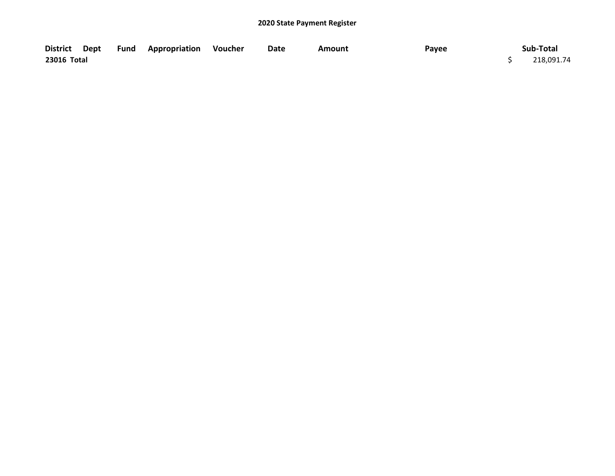|             |  | District Dept Fund Appropriation Voucher | Date | Amount | Payee | Sub-Total  |
|-------------|--|------------------------------------------|------|--------|-------|------------|
| 23016 Total |  |                                          |      |        |       | 218,091.74 |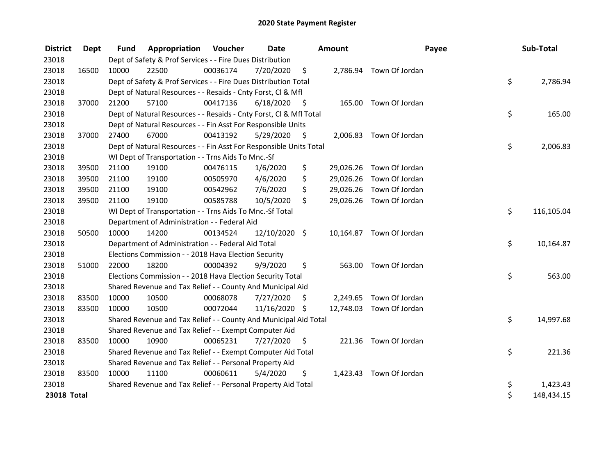| <b>District</b> | <b>Dept</b> | <b>Fund</b> | <b>Appropriation Voucher</b>                                       |          | <b>Date</b>   |      | <b>Amount</b> |                          | Payee | Sub-Total  |
|-----------------|-------------|-------------|--------------------------------------------------------------------|----------|---------------|------|---------------|--------------------------|-------|------------|
| 23018           |             |             | Dept of Safety & Prof Services - - Fire Dues Distribution          |          |               |      |               |                          |       |            |
| 23018           | 16500       | 10000       | 22500                                                              | 00036174 | 7/20/2020     | \$   |               | 2,786.94 Town Of Jordan  |       |            |
| 23018           |             |             | Dept of Safety & Prof Services - - Fire Dues Distribution Total    |          |               |      |               |                          | \$    | 2,786.94   |
| 23018           |             |             | Dept of Natural Resources - - Resaids - Cnty Forst, Cl & Mfl       |          |               |      |               |                          |       |            |
| 23018           | 37000       | 21200       | 57100                                                              | 00417136 | 6/18/2020     | - \$ | 165.00        | Town Of Jordan           |       |            |
| 23018           |             |             | Dept of Natural Resources - - Resaids - Cnty Forst, Cl & Mfl Total |          |               |      |               |                          | \$    | 165.00     |
| 23018           |             |             | Dept of Natural Resources - - Fin Asst For Responsible Units       |          |               |      |               |                          |       |            |
| 23018           | 37000       | 27400       | 67000                                                              | 00413192 | 5/29/2020     | \$   |               | 2,006.83 Town Of Jordan  |       |            |
| 23018           |             |             | Dept of Natural Resources - - Fin Asst For Responsible Units Total |          |               |      |               |                          | \$    | 2,006.83   |
| 23018           |             |             | WI Dept of Transportation - - Trns Aids To Mnc.-Sf                 |          |               |      |               |                          |       |            |
| 23018           | 39500       | 21100       | 19100                                                              | 00476115 | 1/6/2020      | \$   | 29,026.26     | Town Of Jordan           |       |            |
| 23018           | 39500       | 21100       | 19100                                                              | 00505970 | 4/6/2020      | \$   | 29,026.26     | Town Of Jordan           |       |            |
| 23018           | 39500       | 21100       | 19100                                                              | 00542962 | 7/6/2020      | \$   |               | 29,026.26 Town Of Jordan |       |            |
| 23018           | 39500       | 21100       | 19100                                                              | 00585788 | 10/5/2020     | \$   |               | 29,026.26 Town Of Jordan |       |            |
| 23018           |             |             | WI Dept of Transportation - - Trns Aids To Mnc.-Sf Total           |          |               |      |               |                          | \$    | 116,105.04 |
| 23018           |             |             | Department of Administration - - Federal Aid                       |          |               |      |               |                          |       |            |
| 23018           | 50500       | 10000       | 14200                                                              | 00134524 | 12/10/2020 \$ |      |               | 10,164.87 Town Of Jordan |       |            |
| 23018           |             |             | Department of Administration - - Federal Aid Total                 |          |               |      |               |                          | \$    | 10,164.87  |
| 23018           |             |             | Elections Commission - - 2018 Hava Election Security               |          |               |      |               |                          |       |            |
| 23018           | 51000       | 22000       | 18200                                                              | 00004392 | 9/9/2020      | \$   | 563.00        | Town Of Jordan           |       |            |
| 23018           |             |             | Elections Commission - - 2018 Hava Election Security Total         |          |               |      |               |                          | \$    | 563.00     |
| 23018           |             |             | Shared Revenue and Tax Relief - - County And Municipal Aid         |          |               |      |               |                          |       |            |
| 23018           | 83500       | 10000       | 10500                                                              | 00068078 | 7/27/2020     | \$   | 2,249.65      | Town Of Jordan           |       |            |
| 23018           | 83500       | 10000       | 10500                                                              | 00072044 | 11/16/2020 \$ |      | 12,748.03     | Town Of Jordan           |       |            |
| 23018           |             |             | Shared Revenue and Tax Relief - - County And Municipal Aid Total   |          |               |      |               |                          | \$    | 14,997.68  |
| 23018           |             |             | Shared Revenue and Tax Relief - - Exempt Computer Aid              |          |               |      |               |                          |       |            |
| 23018           | 83500       | 10000       | 10900                                                              | 00065231 | 7/27/2020     | S    | 221.36        | Town Of Jordan           |       |            |
| 23018           |             |             | Shared Revenue and Tax Relief - - Exempt Computer Aid Total        |          |               |      |               |                          | \$    | 221.36     |
| 23018           |             |             | Shared Revenue and Tax Relief - - Personal Property Aid            |          |               |      |               |                          |       |            |
| 23018           | 83500       | 10000       | 11100                                                              | 00060611 | 5/4/2020      | \$   |               | 1,423.43 Town Of Jordan  |       |            |
| 23018           |             |             | Shared Revenue and Tax Relief - - Personal Property Aid Total      |          |               |      |               |                          | \$    | 1,423.43   |
| 23018 Total     |             |             |                                                                    |          |               |      |               |                          | \$    | 148,434.15 |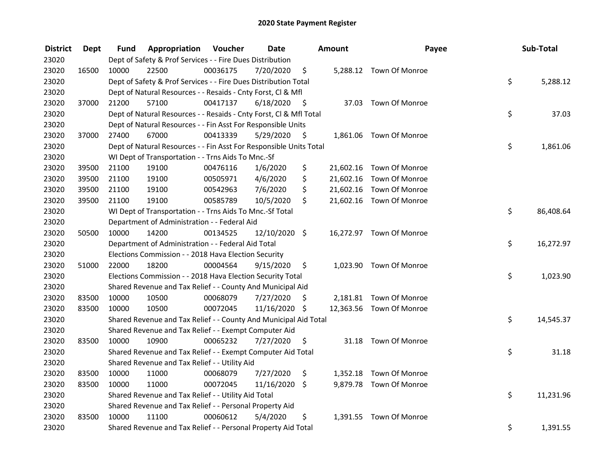| <b>District</b> | <b>Dept</b> | Fund  | Appropriation                                                      | Voucher  | <b>Date</b>   |      | Amount | Payee                    | Sub-Total       |
|-----------------|-------------|-------|--------------------------------------------------------------------|----------|---------------|------|--------|--------------------------|-----------------|
| 23020           |             |       | Dept of Safety & Prof Services - - Fire Dues Distribution          |          |               |      |        |                          |                 |
| 23020           | 16500       | 10000 | 22500                                                              | 00036175 | 7/20/2020     | \$   |        | 5,288.12 Town Of Monroe  |                 |
| 23020           |             |       | Dept of Safety & Prof Services - - Fire Dues Distribution Total    |          |               |      |        |                          | \$<br>5,288.12  |
| 23020           |             |       | Dept of Natural Resources - - Resaids - Cnty Forst, Cl & Mfl       |          |               |      |        |                          |                 |
| 23020           | 37000       | 21200 | 57100                                                              | 00417137 | 6/18/2020     | - \$ |        | 37.03 Town Of Monroe     |                 |
| 23020           |             |       | Dept of Natural Resources - - Resaids - Cnty Forst, Cl & Mfl Total |          |               |      |        |                          | \$<br>37.03     |
| 23020           |             |       | Dept of Natural Resources - - Fin Asst For Responsible Units       |          |               |      |        |                          |                 |
| 23020           | 37000       | 27400 | 67000                                                              | 00413339 | 5/29/2020     | - \$ |        | 1,861.06 Town Of Monroe  |                 |
| 23020           |             |       | Dept of Natural Resources - - Fin Asst For Responsible Units Total |          |               |      |        |                          | \$<br>1,861.06  |
| 23020           |             |       | WI Dept of Transportation - - Trns Aids To Mnc.-Sf                 |          |               |      |        |                          |                 |
| 23020           | 39500       | 21100 | 19100                                                              | 00476116 | 1/6/2020      | \$   |        | 21,602.16 Town Of Monroe |                 |
| 23020           | 39500       | 21100 | 19100                                                              | 00505971 | 4/6/2020      | \$   |        | 21,602.16 Town Of Monroe |                 |
| 23020           | 39500       | 21100 | 19100                                                              | 00542963 | 7/6/2020      | \$   |        | 21,602.16 Town Of Monroe |                 |
| 23020           | 39500       | 21100 | 19100                                                              | 00585789 | 10/5/2020     | \$   |        | 21,602.16 Town Of Monroe |                 |
| 23020           |             |       | WI Dept of Transportation - - Trns Aids To Mnc.-Sf Total           |          |               |      |        |                          | \$<br>86,408.64 |
| 23020           |             |       | Department of Administration - - Federal Aid                       |          |               |      |        |                          |                 |
| 23020           | 50500       | 10000 | 14200                                                              | 00134525 | 12/10/2020 \$ |      |        | 16,272.97 Town Of Monroe |                 |
| 23020           |             |       | Department of Administration - - Federal Aid Total                 |          |               |      |        |                          | \$<br>16,272.97 |
| 23020           |             |       | Elections Commission - - 2018 Hava Election Security               |          |               |      |        |                          |                 |
| 23020           | 51000       | 22000 | 18200                                                              | 00004564 | 9/15/2020     | \$   |        | 1,023.90 Town Of Monroe  |                 |
| 23020           |             |       | Elections Commission - - 2018 Hava Election Security Total         |          |               |      |        |                          | \$<br>1,023.90  |
| 23020           |             |       | Shared Revenue and Tax Relief - - County And Municipal Aid         |          |               |      |        |                          |                 |
| 23020           | 83500       | 10000 | 10500                                                              | 00068079 | 7/27/2020     | S    |        | 2,181.81 Town Of Monroe  |                 |
| 23020           | 83500       | 10000 | 10500                                                              | 00072045 | 11/16/2020 \$ |      |        | 12,363.56 Town Of Monroe |                 |
| 23020           |             |       | Shared Revenue and Tax Relief - - County And Municipal Aid Total   |          |               |      |        |                          | \$<br>14,545.37 |
| 23020           |             |       | Shared Revenue and Tax Relief - - Exempt Computer Aid              |          |               |      |        |                          |                 |
| 23020           | 83500       | 10000 | 10900                                                              | 00065232 | 7/27/2020     | \$   |        | 31.18 Town Of Monroe     |                 |
| 23020           |             |       | Shared Revenue and Tax Relief - - Exempt Computer Aid Total        |          |               |      |        |                          | \$<br>31.18     |
| 23020           |             |       | Shared Revenue and Tax Relief - - Utility Aid                      |          |               |      |        |                          |                 |
| 23020           | 83500       | 10000 | 11000                                                              | 00068079 | 7/27/2020     | \$   |        | 1,352.18 Town Of Monroe  |                 |
| 23020           | 83500       | 10000 | 11000                                                              | 00072045 | 11/16/2020    | \$   |        | 9,879.78 Town Of Monroe  |                 |
| 23020           |             |       | Shared Revenue and Tax Relief - - Utility Aid Total                |          |               |      |        |                          | \$<br>11,231.96 |
| 23020           |             |       | Shared Revenue and Tax Relief - - Personal Property Aid            |          |               |      |        |                          |                 |
| 23020           | 83500       | 10000 | 11100                                                              | 00060612 | 5/4/2020      | \$   |        | 1,391.55 Town Of Monroe  |                 |
| 23020           |             |       | Shared Revenue and Tax Relief - - Personal Property Aid Total      |          |               |      |        |                          | \$<br>1,391.55  |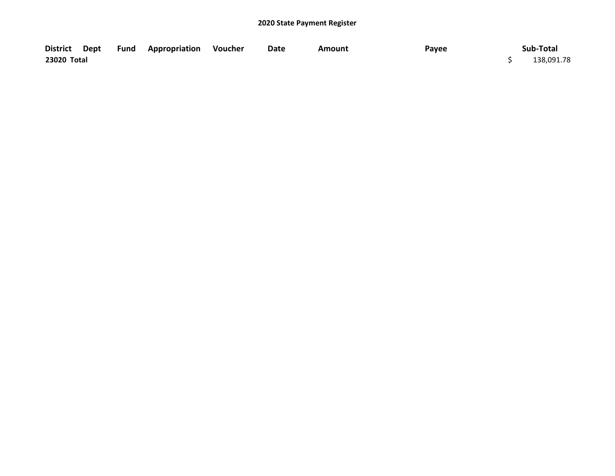|             |  | District Dept Fund Appropriation Voucher | Date | Amount | Payee | Sub-Total  |
|-------------|--|------------------------------------------|------|--------|-------|------------|
| 23020 Total |  |                                          |      |        |       | 138,091.78 |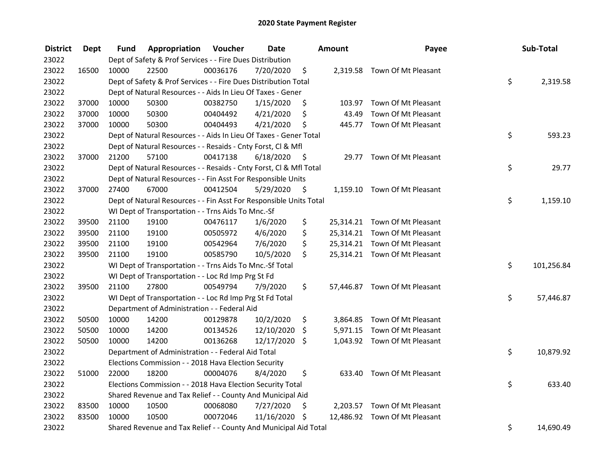| <b>District</b> | <b>Dept</b> | Fund  | Appropriation                                                      | Voucher  | <b>Date</b>   |      | <b>Amount</b> | Payee                         | Sub-Total        |
|-----------------|-------------|-------|--------------------------------------------------------------------|----------|---------------|------|---------------|-------------------------------|------------------|
| 23022           |             |       | Dept of Safety & Prof Services - - Fire Dues Distribution          |          |               |      |               |                               |                  |
| 23022           | 16500       | 10000 | 22500                                                              | 00036176 | 7/20/2020     | \$   |               | 2,319.58 Town Of Mt Pleasant  |                  |
| 23022           |             |       | Dept of Safety & Prof Services - - Fire Dues Distribution Total    |          |               |      |               |                               | \$<br>2,319.58   |
| 23022           |             |       | Dept of Natural Resources - - Aids In Lieu Of Taxes - Gener        |          |               |      |               |                               |                  |
| 23022           | 37000       | 10000 | 50300                                                              | 00382750 | 1/15/2020     | \$   |               | 103.97 Town Of Mt Pleasant    |                  |
| 23022           | 37000       | 10000 | 50300                                                              | 00404492 | 4/21/2020     | \$   | 43.49         | Town Of Mt Pleasant           |                  |
| 23022           | 37000       | 10000 | 50300                                                              | 00404493 | 4/21/2020     | \$   |               | 445.77 Town Of Mt Pleasant    |                  |
| 23022           |             |       | Dept of Natural Resources - - Aids In Lieu Of Taxes - Gener Total  |          |               |      |               |                               | \$<br>593.23     |
| 23022           |             |       | Dept of Natural Resources - - Resaids - Cnty Forst, Cl & Mfl       |          |               |      |               |                               |                  |
| 23022           | 37000       | 21200 | 57100                                                              | 00417138 | 6/18/2020     | - \$ |               | 29.77 Town Of Mt Pleasant     |                  |
| 23022           |             |       | Dept of Natural Resources - - Resaids - Cnty Forst, Cl & Mfl Total |          |               |      |               |                               | \$<br>29.77      |
| 23022           |             |       | Dept of Natural Resources - - Fin Asst For Responsible Units       |          |               |      |               |                               |                  |
| 23022           | 37000       | 27400 | 67000                                                              | 00412504 | 5/29/2020     | \$   |               | 1,159.10 Town Of Mt Pleasant  |                  |
| 23022           |             |       | Dept of Natural Resources - - Fin Asst For Responsible Units Total |          |               |      |               |                               | \$<br>1,159.10   |
| 23022           |             |       | WI Dept of Transportation - - Trns Aids To Mnc.-Sf                 |          |               |      |               |                               |                  |
| 23022           | 39500       | 21100 | 19100                                                              | 00476117 | 1/6/2020      | \$   |               | 25,314.21 Town Of Mt Pleasant |                  |
| 23022           | 39500       | 21100 | 19100                                                              | 00505972 | 4/6/2020      | \$   |               | 25,314.21 Town Of Mt Pleasant |                  |
| 23022           | 39500       | 21100 | 19100                                                              | 00542964 | 7/6/2020      | \$   |               | 25,314.21 Town Of Mt Pleasant |                  |
| 23022           | 39500       | 21100 | 19100                                                              | 00585790 | 10/5/2020     | \$   |               | 25,314.21 Town Of Mt Pleasant |                  |
| 23022           |             |       | WI Dept of Transportation - - Trns Aids To Mnc.-Sf Total           |          |               |      |               |                               | \$<br>101,256.84 |
| 23022           |             |       | WI Dept of Transportation - - Loc Rd Imp Prg St Fd                 |          |               |      |               |                               |                  |
| 23022           | 39500       | 21100 | 27800                                                              | 00549794 | 7/9/2020      | \$   |               | 57,446.87 Town Of Mt Pleasant |                  |
| 23022           |             |       | WI Dept of Transportation - - Loc Rd Imp Prg St Fd Total           |          |               |      |               |                               | \$<br>57,446.87  |
| 23022           |             |       | Department of Administration - - Federal Aid                       |          |               |      |               |                               |                  |
| 23022           | 50500       | 10000 | 14200                                                              | 00129878 | 10/2/2020     | \$   |               | 3,864.85 Town Of Mt Pleasant  |                  |
| 23022           | 50500       | 10000 | 14200                                                              | 00134526 | 12/10/2020    | \$   |               | 5,971.15 Town Of Mt Pleasant  |                  |
| 23022           | 50500       | 10000 | 14200                                                              | 00136268 | 12/17/2020 \$ |      |               | 1,043.92 Town Of Mt Pleasant  |                  |
| 23022           |             |       | Department of Administration - - Federal Aid Total                 |          |               |      |               |                               | \$<br>10,879.92  |
| 23022           |             |       | Elections Commission - - 2018 Hava Election Security               |          |               |      |               |                               |                  |
| 23022           | 51000       | 22000 | 18200                                                              | 00004076 | 8/4/2020      | \$   |               | 633.40 Town Of Mt Pleasant    |                  |
| 23022           |             |       | Elections Commission - - 2018 Hava Election Security Total         |          |               |      |               |                               | \$<br>633.40     |
| 23022           |             |       | Shared Revenue and Tax Relief - - County And Municipal Aid         |          |               |      |               |                               |                  |
| 23022           | 83500       | 10000 | 10500                                                              | 00068080 | 7/27/2020     | \$   |               | 2,203.57 Town Of Mt Pleasant  |                  |
| 23022           | 83500       | 10000 | 10500                                                              | 00072046 | 11/16/2020    | - \$ |               | 12,486.92 Town Of Mt Pleasant |                  |
| 23022           |             |       | Shared Revenue and Tax Relief - - County And Municipal Aid Total   |          |               |      |               |                               | \$<br>14,690.49  |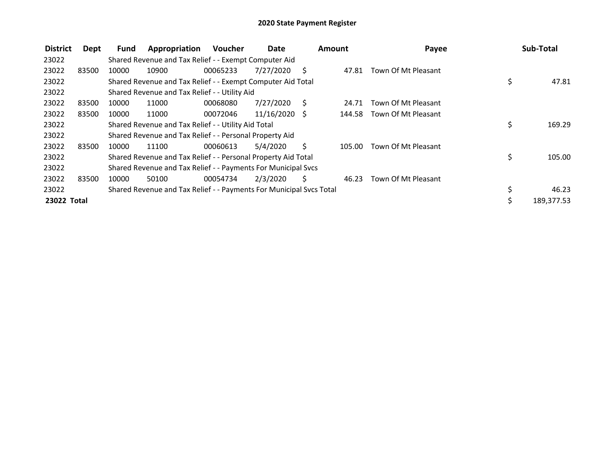| <b>District</b> | Dept  | Fund  | Appropriation                                                       | <b>Voucher</b> | Date            |     | <b>Amount</b> | Payee               | Sub-Total        |
|-----------------|-------|-------|---------------------------------------------------------------------|----------------|-----------------|-----|---------------|---------------------|------------------|
| 23022           |       |       | Shared Revenue and Tax Relief - - Exempt Computer Aid               |                |                 |     |               |                     |                  |
| 23022           | 83500 | 10000 | 10900                                                               | 00065233       | 7/27/2020       | S   | 47.81         | Town Of Mt Pleasant |                  |
| 23022           |       |       | Shared Revenue and Tax Relief - - Exempt Computer Aid Total         |                |                 |     |               |                     | \$<br>47.81      |
| 23022           |       |       | Shared Revenue and Tax Relief - - Utility Aid                       |                |                 |     |               |                     |                  |
| 23022           | 83500 | 10000 | 11000                                                               | 00068080       | 7/27/2020       | - S | 24.71         | Town Of Mt Pleasant |                  |
| 23022           | 83500 | 10000 | 11000                                                               | 00072046       | $11/16/2020$ \$ |     | 144.58        | Town Of Mt Pleasant |                  |
| 23022           |       |       | Shared Revenue and Tax Relief - - Utility Aid Total                 |                |                 |     |               |                     | \$<br>169.29     |
| 23022           |       |       | Shared Revenue and Tax Relief - - Personal Property Aid             |                |                 |     |               |                     |                  |
| 23022           | 83500 | 10000 | 11100                                                               | 00060613       | 5/4/2020        | Ś   | 105.00        | Town Of Mt Pleasant |                  |
| 23022           |       |       | Shared Revenue and Tax Relief - - Personal Property Aid Total       |                |                 |     |               |                     | \$<br>105.00     |
| 23022           |       |       | Shared Revenue and Tax Relief - - Payments For Municipal Svcs       |                |                 |     |               |                     |                  |
| 23022           | 83500 | 10000 | 50100                                                               | 00054734       | 2/3/2020        | S   | 46.23         | Town Of Mt Pleasant |                  |
| 23022           |       |       | Shared Revenue and Tax Relief - - Payments For Municipal Svcs Total |                |                 |     |               |                     | \$<br>46.23      |
| 23022 Total     |       |       |                                                                     |                |                 |     |               |                     | \$<br>189,377.53 |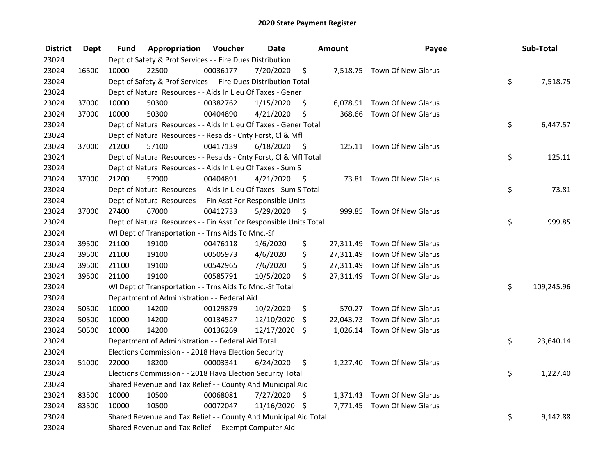| <b>District</b> | <b>Dept</b> | Fund  | Appropriation                                                      | Voucher  | <b>Date</b>   |      | Amount | Payee                        | Sub-Total        |
|-----------------|-------------|-------|--------------------------------------------------------------------|----------|---------------|------|--------|------------------------------|------------------|
| 23024           |             |       | Dept of Safety & Prof Services - - Fire Dues Distribution          |          |               |      |        |                              |                  |
| 23024           | 16500       | 10000 | 22500                                                              | 00036177 | 7/20/2020     | \$   |        | 7,518.75 Town Of New Glarus  |                  |
| 23024           |             |       | Dept of Safety & Prof Services - - Fire Dues Distribution Total    |          |               |      |        |                              | \$<br>7,518.75   |
| 23024           |             |       | Dept of Natural Resources - - Aids In Lieu Of Taxes - Gener        |          |               |      |        |                              |                  |
| 23024           | 37000       | 10000 | 50300                                                              | 00382762 | 1/15/2020     | \$   |        | 6,078.91 Town Of New Glarus  |                  |
| 23024           | 37000       | 10000 | 50300                                                              | 00404890 | 4/21/2020     | \$   |        | 368.66 Town Of New Glarus    |                  |
| 23024           |             |       | Dept of Natural Resources - - Aids In Lieu Of Taxes - Gener Total  |          |               |      |        |                              | \$<br>6,447.57   |
| 23024           |             |       | Dept of Natural Resources - - Resaids - Cnty Forst, Cl & Mfl       |          |               |      |        |                              |                  |
| 23024           | 37000       | 21200 | 57100                                                              | 00417139 | 6/18/2020     | - \$ |        | 125.11 Town Of New Glarus    |                  |
| 23024           |             |       | Dept of Natural Resources - - Resaids - Cnty Forst, CI & Mfl Total |          |               |      |        |                              | \$<br>125.11     |
| 23024           |             |       | Dept of Natural Resources - - Aids In Lieu Of Taxes - Sum S        |          |               |      |        |                              |                  |
| 23024           | 37000       | 21200 | 57900                                                              | 00404891 | 4/21/2020     | -S   |        | 73.81 Town Of New Glarus     |                  |
| 23024           |             |       | Dept of Natural Resources - - Aids In Lieu Of Taxes - Sum S Total  |          |               |      |        |                              | \$<br>73.81      |
| 23024           |             |       | Dept of Natural Resources - - Fin Asst For Responsible Units       |          |               |      |        |                              |                  |
| 23024           | 37000       | 27400 | 67000                                                              | 00412733 | 5/29/2020     | \$   | 999.85 | Town Of New Glarus           |                  |
| 23024           |             |       | Dept of Natural Resources - - Fin Asst For Responsible Units Total |          |               |      |        |                              | \$<br>999.85     |
| 23024           |             |       | WI Dept of Transportation - - Trns Aids To Mnc.-Sf                 |          |               |      |        |                              |                  |
| 23024           | 39500       | 21100 | 19100                                                              | 00476118 | 1/6/2020      | \$   |        | 27,311.49 Town Of New Glarus |                  |
| 23024           | 39500       | 21100 | 19100                                                              | 00505973 | 4/6/2020      | \$   |        | 27,311.49 Town Of New Glarus |                  |
| 23024           | 39500       | 21100 | 19100                                                              | 00542965 | 7/6/2020      | \$   |        | 27,311.49 Town Of New Glarus |                  |
| 23024           | 39500       | 21100 | 19100                                                              | 00585791 | 10/5/2020     | \$   |        | 27,311.49 Town Of New Glarus |                  |
| 23024           |             |       | WI Dept of Transportation - - Trns Aids To Mnc.-Sf Total           |          |               |      |        |                              | \$<br>109,245.96 |
| 23024           |             |       | Department of Administration - - Federal Aid                       |          |               |      |        |                              |                  |
| 23024           | 50500       | 10000 | 14200                                                              | 00129879 | 10/2/2020     | \$   |        | 570.27 Town Of New Glarus    |                  |
| 23024           | 50500       | 10000 | 14200                                                              | 00134527 | 12/10/2020    | \$   |        | 22,043.73 Town Of New Glarus |                  |
| 23024           | 50500       | 10000 | 14200                                                              | 00136269 | 12/17/2020    | Ŝ.   |        | 1,026.14 Town Of New Glarus  |                  |
| 23024           |             |       | Department of Administration - - Federal Aid Total                 |          |               |      |        |                              | \$<br>23,640.14  |
| 23024           |             |       | Elections Commission - - 2018 Hava Election Security               |          |               |      |        |                              |                  |
| 23024           | 51000       | 22000 | 18200                                                              | 00003341 | 6/24/2020     | \$   |        | 1,227.40 Town Of New Glarus  |                  |
| 23024           |             |       | Elections Commission - - 2018 Hava Election Security Total         |          |               |      |        |                              | \$<br>1,227.40   |
| 23024           |             |       | Shared Revenue and Tax Relief - - County And Municipal Aid         |          |               |      |        |                              |                  |
| 23024           | 83500       | 10000 | 10500                                                              | 00068081 | 7/27/2020     | \$   |        | 1,371.43 Town Of New Glarus  |                  |
| 23024           | 83500       | 10000 | 10500                                                              | 00072047 | 11/16/2020 \$ |      |        | 7,771.45 Town Of New Glarus  |                  |
| 23024           |             |       | Shared Revenue and Tax Relief - - County And Municipal Aid Total   |          |               |      |        |                              | \$<br>9,142.88   |
| 23024           |             |       | Shared Revenue and Tax Relief - - Exempt Computer Aid              |          |               |      |        |                              |                  |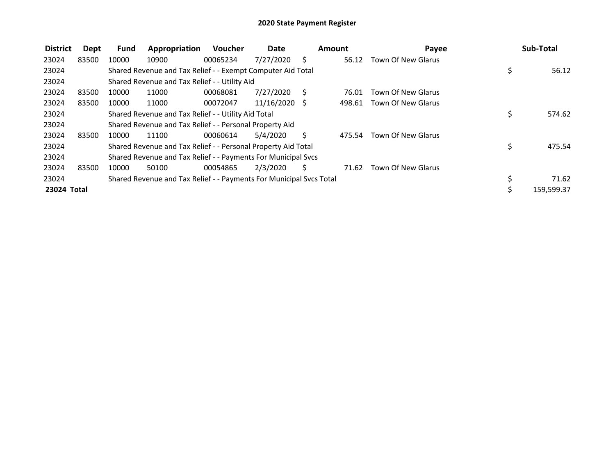| <b>District</b> | Dept  | <b>Fund</b> | Appropriation                                                       | Voucher  | <b>Date</b>     |              | Amount | Payee              | Sub-Total    |
|-----------------|-------|-------------|---------------------------------------------------------------------|----------|-----------------|--------------|--------|--------------------|--------------|
| 23024           | 83500 | 10000       | 10900                                                               | 00065234 | 7/27/2020       | S            | 56.12  | Town Of New Glarus |              |
| 23024           |       |             | Shared Revenue and Tax Relief - - Exempt Computer Aid Total         |          |                 |              |        |                    | \$<br>56.12  |
| 23024           |       |             | Shared Revenue and Tax Relief - - Utility Aid                       |          |                 |              |        |                    |              |
| 23024           | 83500 | 10000       | 11000                                                               | 00068081 | 7/27/2020       | <sub>S</sub> | 76.01  | Town Of New Glarus |              |
| 23024           | 83500 | 10000       | 11000                                                               | 00072047 | $11/16/2020$ \$ |              | 498.61 | Town Of New Glarus |              |
| 23024           |       |             | Shared Revenue and Tax Relief - - Utility Aid Total                 |          |                 |              |        |                    | \$<br>574.62 |
| 23024           |       |             | Shared Revenue and Tax Relief - - Personal Property Aid             |          |                 |              |        |                    |              |
| 23024           | 83500 | 10000       | 11100                                                               | 00060614 | 5/4/2020        | Ś.           | 475.54 | Town Of New Glarus |              |
| 23024           |       |             | Shared Revenue and Tax Relief - - Personal Property Aid Total       |          |                 |              |        |                    | \$<br>475.54 |
| 23024           |       |             | Shared Revenue and Tax Relief - - Payments For Municipal Svcs       |          |                 |              |        |                    |              |
| 23024           | 83500 | 10000       | 50100                                                               | 00054865 | 2/3/2020        | \$           | 71.62  | Town Of New Glarus |              |
| 23024           |       |             | Shared Revenue and Tax Relief - - Payments For Municipal Svcs Total |          |                 |              |        |                    | 71.62        |
| 23024 Total     |       |             |                                                                     |          |                 |              |        |                    | 159,599.37   |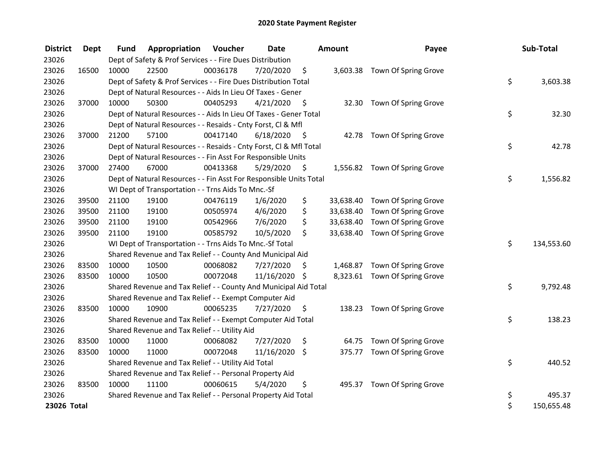| <b>District</b> | <b>Dept</b> | <b>Fund</b> | Appropriation                                                      | Voucher  | Date          |      | <b>Amount</b> | Payee                          | Sub-Total        |
|-----------------|-------------|-------------|--------------------------------------------------------------------|----------|---------------|------|---------------|--------------------------------|------------------|
| 23026           |             |             | Dept of Safety & Prof Services - - Fire Dues Distribution          |          |               |      |               |                                |                  |
| 23026           | 16500       | 10000       | 22500                                                              | 00036178 | 7/20/2020     | \$   |               | 3,603.38 Town Of Spring Grove  |                  |
| 23026           |             |             | Dept of Safety & Prof Services - - Fire Dues Distribution Total    |          |               |      |               |                                | \$<br>3,603.38   |
| 23026           |             |             | Dept of Natural Resources - - Aids In Lieu Of Taxes - Gener        |          |               |      |               |                                |                  |
| 23026           | 37000       | 10000       | 50300                                                              | 00405293 | 4/21/2020     | \$   |               | 32.30 Town Of Spring Grove     |                  |
| 23026           |             |             | Dept of Natural Resources - - Aids In Lieu Of Taxes - Gener Total  |          |               |      |               |                                | \$<br>32.30      |
| 23026           |             |             | Dept of Natural Resources - - Resaids - Cnty Forst, Cl & Mfl       |          |               |      |               |                                |                  |
| 23026           | 37000       | 21200       | 57100                                                              | 00417140 | 6/18/2020     | - \$ |               | 42.78 Town Of Spring Grove     |                  |
| 23026           |             |             | Dept of Natural Resources - - Resaids - Cnty Forst, Cl & Mfl Total |          |               |      |               |                                | \$<br>42.78      |
| 23026           |             |             | Dept of Natural Resources - - Fin Asst For Responsible Units       |          |               |      |               |                                |                  |
| 23026           | 37000       | 27400       | 67000                                                              | 00413368 | 5/29/2020     | \$   |               | 1,556.82 Town Of Spring Grove  |                  |
| 23026           |             |             | Dept of Natural Resources - - Fin Asst For Responsible Units Total |          |               |      |               |                                | \$<br>1,556.82   |
| 23026           |             |             | WI Dept of Transportation - - Trns Aids To Mnc.-Sf                 |          |               |      |               |                                |                  |
| 23026           | 39500       | 21100       | 19100                                                              | 00476119 | 1/6/2020      | \$   |               | 33,638.40 Town Of Spring Grove |                  |
| 23026           | 39500       | 21100       | 19100                                                              | 00505974 | 4/6/2020      | \$   | 33,638.40     | Town Of Spring Grove           |                  |
| 23026           | 39500       | 21100       | 19100                                                              | 00542966 | 7/6/2020      | \$   | 33,638.40     | Town Of Spring Grove           |                  |
| 23026           | 39500       | 21100       | 19100                                                              | 00585792 | 10/5/2020     | \$   |               | 33,638.40 Town Of Spring Grove |                  |
| 23026           |             |             | WI Dept of Transportation - - Trns Aids To Mnc.-Sf Total           |          |               |      |               |                                | \$<br>134,553.60 |
| 23026           |             |             | Shared Revenue and Tax Relief - - County And Municipal Aid         |          |               |      |               |                                |                  |
| 23026           | 83500       | 10000       | 10500                                                              | 00068082 | 7/27/2020     | \$.  |               | 1,468.87 Town Of Spring Grove  |                  |
| 23026           | 83500       | 10000       | 10500                                                              | 00072048 | 11/16/2020 \$ |      |               | 8,323.61 Town Of Spring Grove  |                  |
| 23026           |             |             | Shared Revenue and Tax Relief - - County And Municipal Aid Total   |          |               |      |               |                                | \$<br>9,792.48   |
| 23026           |             |             | Shared Revenue and Tax Relief - - Exempt Computer Aid              |          |               |      |               |                                |                  |
| 23026           | 83500       | 10000       | 10900                                                              | 00065235 | 7/27/2020     | \$.  |               | 138.23 Town Of Spring Grove    |                  |
| 23026           |             |             | Shared Revenue and Tax Relief - - Exempt Computer Aid Total        |          |               |      |               |                                | \$<br>138.23     |
| 23026           |             |             | Shared Revenue and Tax Relief - - Utility Aid                      |          |               |      |               |                                |                  |
| 23026           | 83500       | 10000       | 11000                                                              | 00068082 | 7/27/2020     | \$   | 64.75         | Town Of Spring Grove           |                  |
| 23026           | 83500       | 10000       | 11000                                                              | 00072048 | 11/16/2020    | \$   |               | 375.77 Town Of Spring Grove    |                  |
| 23026           |             |             | Shared Revenue and Tax Relief - - Utility Aid Total                |          |               |      |               |                                | \$<br>440.52     |
| 23026           |             |             | Shared Revenue and Tax Relief - - Personal Property Aid            |          |               |      |               |                                |                  |
| 23026           | 83500       | 10000       | 11100                                                              | 00060615 | 5/4/2020      | \$   |               | 495.37 Town Of Spring Grove    |                  |
| 23026           |             |             | Shared Revenue and Tax Relief - - Personal Property Aid Total      |          |               |      |               |                                | \$<br>495.37     |
| 23026 Total     |             |             |                                                                    |          |               |      |               |                                | \$<br>150,655.48 |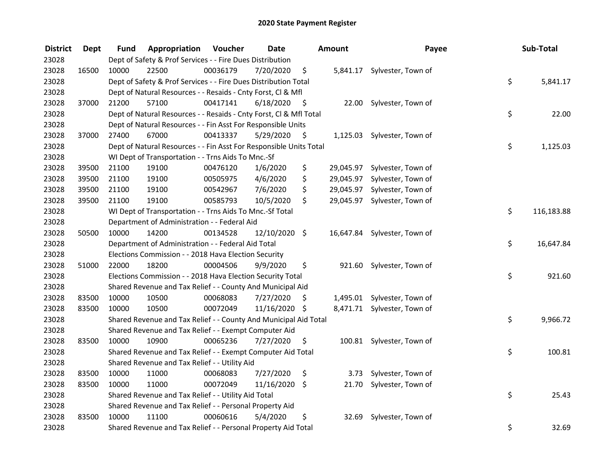| <b>District</b> | <b>Dept</b> | Fund  | Appropriation                                                      | Voucher  | <b>Date</b>   |      | Amount    | Payee                        | Sub-Total        |
|-----------------|-------------|-------|--------------------------------------------------------------------|----------|---------------|------|-----------|------------------------------|------------------|
| 23028           |             |       | Dept of Safety & Prof Services - - Fire Dues Distribution          |          |               |      |           |                              |                  |
| 23028           | 16500       | 10000 | 22500                                                              | 00036179 | 7/20/2020     | \$   |           | 5,841.17 Sylvester, Town of  |                  |
| 23028           |             |       | Dept of Safety & Prof Services - - Fire Dues Distribution Total    |          |               |      |           |                              | \$<br>5,841.17   |
| 23028           |             |       | Dept of Natural Resources - - Resaids - Cnty Forst, Cl & Mfl       |          |               |      |           |                              |                  |
| 23028           | 37000       | 21200 | 57100                                                              | 00417141 | 6/18/2020     | - \$ |           | 22.00 Sylvester, Town of     |                  |
| 23028           |             |       | Dept of Natural Resources - - Resaids - Cnty Forst, Cl & Mfl Total |          |               |      |           |                              | \$<br>22.00      |
| 23028           |             |       | Dept of Natural Resources - - Fin Asst For Responsible Units       |          |               |      |           |                              |                  |
| 23028           | 37000       | 27400 | 67000                                                              | 00413337 | 5/29/2020     | - \$ |           | 1,125.03 Sylvester, Town of  |                  |
| 23028           |             |       | Dept of Natural Resources - - Fin Asst For Responsible Units Total |          |               |      |           |                              | \$<br>1,125.03   |
| 23028           |             |       | WI Dept of Transportation - - Trns Aids To Mnc.-Sf                 |          |               |      |           |                              |                  |
| 23028           | 39500       | 21100 | 19100                                                              | 00476120 | 1/6/2020      | \$   |           | 29,045.97 Sylvester, Town of |                  |
| 23028           | 39500       | 21100 | 19100                                                              | 00505975 | 4/6/2020      | \$   | 29,045.97 | Sylvester, Town of           |                  |
| 23028           | 39500       | 21100 | 19100                                                              | 00542967 | 7/6/2020      | \$   | 29,045.97 | Sylvester, Town of           |                  |
| 23028           | 39500       | 21100 | 19100                                                              | 00585793 | 10/5/2020     | \$   | 29,045.97 | Sylvester, Town of           |                  |
| 23028           |             |       | WI Dept of Transportation - - Trns Aids To Mnc.-Sf Total           |          |               |      |           |                              | \$<br>116,183.88 |
| 23028           |             |       | Department of Administration - - Federal Aid                       |          |               |      |           |                              |                  |
| 23028           | 50500       | 10000 | 14200                                                              | 00134528 | 12/10/2020 \$ |      | 16,647.84 | Sylvester, Town of           |                  |
| 23028           |             |       | Department of Administration - - Federal Aid Total                 |          |               |      |           |                              | \$<br>16,647.84  |
| 23028           |             |       | Elections Commission - - 2018 Hava Election Security               |          |               |      |           |                              |                  |
| 23028           | 51000       | 22000 | 18200                                                              | 00004506 | 9/9/2020      | \$   |           | 921.60 Sylvester, Town of    |                  |
| 23028           |             |       | Elections Commission - - 2018 Hava Election Security Total         |          |               |      |           |                              | \$<br>921.60     |
| 23028           |             |       | Shared Revenue and Tax Relief - - County And Municipal Aid         |          |               |      |           |                              |                  |
| 23028           | 83500       | 10000 | 10500                                                              | 00068083 | 7/27/2020     | S    |           | 1,495.01 Sylvester, Town of  |                  |
| 23028           | 83500       | 10000 | 10500                                                              | 00072049 | 11/16/2020 \$ |      |           | 8,471.71 Sylvester, Town of  |                  |
| 23028           |             |       | Shared Revenue and Tax Relief - - County And Municipal Aid Total   |          |               |      |           |                              | \$<br>9,966.72   |
| 23028           |             |       | Shared Revenue and Tax Relief - - Exempt Computer Aid              |          |               |      |           |                              |                  |
| 23028           | 83500       | 10000 | 10900                                                              | 00065236 | 7/27/2020     | \$   |           | 100.81 Sylvester, Town of    |                  |
| 23028           |             |       | Shared Revenue and Tax Relief - - Exempt Computer Aid Total        |          |               |      |           |                              | \$<br>100.81     |
| 23028           |             |       | Shared Revenue and Tax Relief - - Utility Aid                      |          |               |      |           |                              |                  |
| 23028           | 83500       | 10000 | 11000                                                              | 00068083 | 7/27/2020     | \$   | 3.73      | Sylvester, Town of           |                  |
| 23028           | 83500       | 10000 | 11000                                                              | 00072049 | 11/16/2020    | \$   | 21.70     | Sylvester, Town of           |                  |
| 23028           |             |       | Shared Revenue and Tax Relief - - Utility Aid Total                |          |               |      |           |                              | \$<br>25.43      |
| 23028           |             |       | Shared Revenue and Tax Relief - - Personal Property Aid            |          |               |      |           |                              |                  |
| 23028           | 83500       | 10000 | 11100                                                              | 00060616 | 5/4/2020      | \$   | 32.69     | Sylvester, Town of           |                  |
| 23028           |             |       | Shared Revenue and Tax Relief - - Personal Property Aid Total      |          |               |      |           |                              | \$<br>32.69      |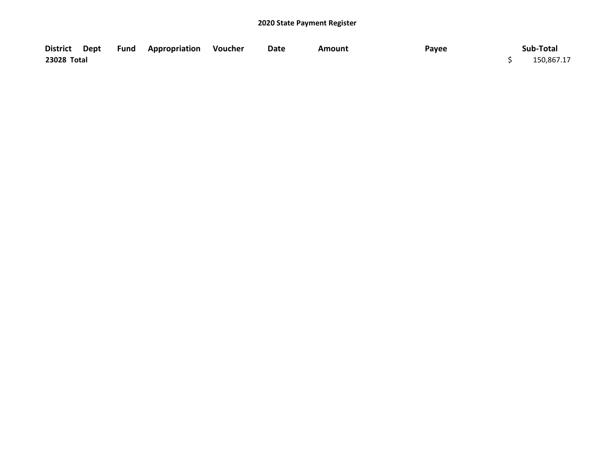|             |  | District Dept Fund Appropriation Voucher | Date | Amount | Payee | Sub-Total  |
|-------------|--|------------------------------------------|------|--------|-------|------------|
| 23028 Total |  |                                          |      |        |       | 150,867.17 |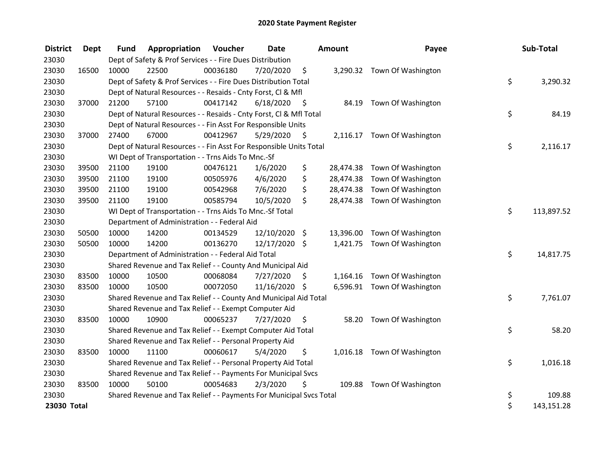| <b>District</b> | <b>Dept</b> | <b>Fund</b> | Appropriation                                                       | Voucher  | Date          |      | <b>Amount</b> | Payee                        | Sub-Total        |
|-----------------|-------------|-------------|---------------------------------------------------------------------|----------|---------------|------|---------------|------------------------------|------------------|
| 23030           |             |             | Dept of Safety & Prof Services - - Fire Dues Distribution           |          |               |      |               |                              |                  |
| 23030           | 16500       | 10000       | 22500                                                               | 00036180 | 7/20/2020     | \$   |               | 3,290.32 Town Of Washington  |                  |
| 23030           |             |             | Dept of Safety & Prof Services - - Fire Dues Distribution Total     |          |               |      |               |                              | \$<br>3,290.32   |
| 23030           |             |             | Dept of Natural Resources - - Resaids - Cnty Forst, Cl & Mfl        |          |               |      |               |                              |                  |
| 23030           | 37000       | 21200       | 57100                                                               | 00417142 | 6/18/2020     | - \$ |               | 84.19 Town Of Washington     |                  |
| 23030           |             |             | Dept of Natural Resources - - Resaids - Cnty Forst, Cl & Mfl Total  |          |               |      |               |                              | \$<br>84.19      |
| 23030           |             |             | Dept of Natural Resources - - Fin Asst For Responsible Units        |          |               |      |               |                              |                  |
| 23030           | 37000       | 27400       | 67000                                                               | 00412967 | 5/29/2020     | - \$ |               | 2,116.17 Town Of Washington  |                  |
| 23030           |             |             | Dept of Natural Resources - - Fin Asst For Responsible Units Total  |          |               |      |               |                              | \$<br>2,116.17   |
| 23030           |             |             | WI Dept of Transportation - - Trns Aids To Mnc.-Sf                  |          |               |      |               |                              |                  |
| 23030           | 39500       | 21100       | 19100                                                               | 00476121 | 1/6/2020      | \$   |               | 28,474.38 Town Of Washington |                  |
| 23030           | 39500       | 21100       | 19100                                                               | 00505976 | 4/6/2020      | \$   |               | 28,474.38 Town Of Washington |                  |
| 23030           | 39500       | 21100       | 19100                                                               | 00542968 | 7/6/2020      | \$   |               | 28,474.38 Town Of Washington |                  |
| 23030           | 39500       | 21100       | 19100                                                               | 00585794 | 10/5/2020     | \$   |               | 28,474.38 Town Of Washington |                  |
| 23030           |             |             | WI Dept of Transportation - - Trns Aids To Mnc.-Sf Total            |          |               |      |               |                              | \$<br>113,897.52 |
| 23030           |             |             | Department of Administration - - Federal Aid                        |          |               |      |               |                              |                  |
| 23030           | 50500       | 10000       | 14200                                                               | 00134529 | 12/10/2020 \$ |      | 13,396.00     | Town Of Washington           |                  |
| 23030           | 50500       | 10000       | 14200                                                               | 00136270 | 12/17/2020 \$ |      |               | 1,421.75 Town Of Washington  |                  |
| 23030           |             |             | Department of Administration - - Federal Aid Total                  |          |               |      |               |                              | \$<br>14,817.75  |
| 23030           |             |             | Shared Revenue and Tax Relief - - County And Municipal Aid          |          |               |      |               |                              |                  |
| 23030           | 83500       | 10000       | 10500                                                               | 00068084 | 7/27/2020     | \$.  |               | 1,164.16 Town Of Washington  |                  |
| 23030           | 83500       | 10000       | 10500                                                               | 00072050 | 11/16/2020 \$ |      |               | 6,596.91 Town Of Washington  |                  |
| 23030           |             |             | Shared Revenue and Tax Relief - - County And Municipal Aid Total    |          |               |      |               |                              | \$<br>7,761.07   |
| 23030           |             |             | Shared Revenue and Tax Relief - - Exempt Computer Aid               |          |               |      |               |                              |                  |
| 23030           | 83500       | 10000       | 10900                                                               | 00065237 | 7/27/2020     | \$.  | 58.20         | Town Of Washington           |                  |
| 23030           |             |             | Shared Revenue and Tax Relief - - Exempt Computer Aid Total         |          |               |      |               |                              | \$<br>58.20      |
| 23030           |             |             | Shared Revenue and Tax Relief - - Personal Property Aid             |          |               |      |               |                              |                  |
| 23030           | 83500       | 10000       | 11100                                                               | 00060617 | 5/4/2020      | \$   |               | 1,016.18 Town Of Washington  |                  |
| 23030           |             |             | Shared Revenue and Tax Relief - - Personal Property Aid Total       |          |               |      |               |                              | \$<br>1,016.18   |
| 23030           |             |             | Shared Revenue and Tax Relief - - Payments For Municipal Svcs       |          |               |      |               |                              |                  |
| 23030           | 83500       | 10000       | 50100                                                               | 00054683 | 2/3/2020      | \$   |               | 109.88 Town Of Washington    |                  |
| 23030           |             |             | Shared Revenue and Tax Relief - - Payments For Municipal Svcs Total |          |               |      |               |                              | \$<br>109.88     |
| 23030 Total     |             |             |                                                                     |          |               |      |               |                              | \$<br>143,151.28 |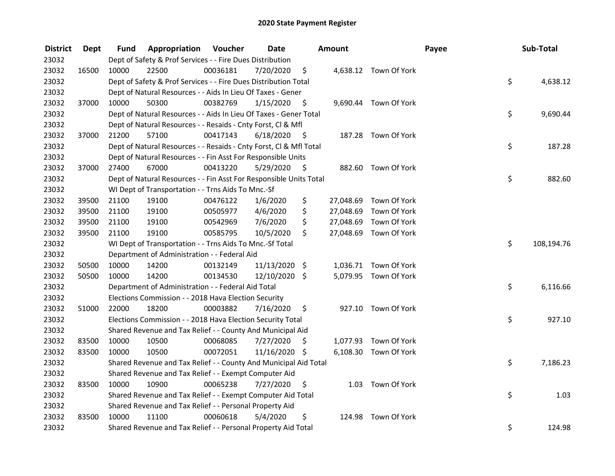| <b>District</b> | Dept  | Fund  | Appropriation                                                      | Voucher  | <b>Date</b>   |      | Amount    |                        | Payee | Sub-Total  |
|-----------------|-------|-------|--------------------------------------------------------------------|----------|---------------|------|-----------|------------------------|-------|------------|
| 23032           |       |       | Dept of Safety & Prof Services - - Fire Dues Distribution          |          |               |      |           |                        |       |            |
| 23032           | 16500 | 10000 | 22500                                                              | 00036181 | 7/20/2020     | \$   |           | 4,638.12 Town Of York  |       |            |
| 23032           |       |       | Dept of Safety & Prof Services - - Fire Dues Distribution Total    |          |               |      |           |                        | \$    | 4,638.12   |
| 23032           |       |       | Dept of Natural Resources - - Aids In Lieu Of Taxes - Gener        |          |               |      |           |                        |       |            |
| 23032           | 37000 | 10000 | 50300                                                              | 00382769 | 1/15/2020     | \$   |           | 9,690.44 Town Of York  |       |            |
| 23032           |       |       | Dept of Natural Resources - - Aids In Lieu Of Taxes - Gener Total  |          |               |      |           |                        | \$    | 9,690.44   |
| 23032           |       |       | Dept of Natural Resources - - Resaids - Cnty Forst, CI & Mfl       |          |               |      |           |                        |       |            |
| 23032           | 37000 | 21200 | 57100                                                              | 00417143 | 6/18/2020     | - \$ |           | 187.28 Town Of York    |       |            |
| 23032           |       |       | Dept of Natural Resources - - Resaids - Cnty Forst, Cl & Mfl Total |          |               |      |           |                        | \$    | 187.28     |
| 23032           |       |       | Dept of Natural Resources - - Fin Asst For Responsible Units       |          |               |      |           |                        |       |            |
| 23032           | 37000 | 27400 | 67000                                                              | 00413220 | 5/29/2020     | - \$ |           | 882.60 Town Of York    |       |            |
| 23032           |       |       | Dept of Natural Resources - - Fin Asst For Responsible Units Total |          |               |      |           |                        | \$    | 882.60     |
| 23032           |       |       | WI Dept of Transportation - - Trns Aids To Mnc.-Sf                 |          |               |      |           |                        |       |            |
| 23032           | 39500 | 21100 | 19100                                                              | 00476122 | 1/6/2020      | \$   | 27,048.69 | Town Of York           |       |            |
| 23032           | 39500 | 21100 | 19100                                                              | 00505977 | 4/6/2020      | \$   | 27,048.69 | Town Of York           |       |            |
| 23032           | 39500 | 21100 | 19100                                                              | 00542969 | 7/6/2020      | \$   | 27,048.69 | Town Of York           |       |            |
| 23032           | 39500 | 21100 | 19100                                                              | 00585795 | 10/5/2020     | \$.  |           | 27,048.69 Town Of York |       |            |
| 23032           |       |       | WI Dept of Transportation - - Trns Aids To Mnc.-Sf Total           |          |               |      |           |                        | \$    | 108,194.76 |
| 23032           |       |       | Department of Administration - - Federal Aid                       |          |               |      |           |                        |       |            |
| 23032           | 50500 | 10000 | 14200                                                              | 00132149 | 11/13/2020 \$ |      |           | 1,036.71 Town Of York  |       |            |
| 23032           | 50500 | 10000 | 14200                                                              | 00134530 | 12/10/2020 \$ |      |           | 5,079.95 Town Of York  |       |            |
| 23032           |       |       | Department of Administration - - Federal Aid Total                 |          |               |      |           |                        | \$    | 6,116.66   |
| 23032           |       |       | Elections Commission - - 2018 Hava Election Security               |          |               |      |           |                        |       |            |
| 23032           | 51000 | 22000 | 18200                                                              | 00003882 | 7/16/2020     | \$   |           | 927.10 Town Of York    |       |            |
| 23032           |       |       | Elections Commission - - 2018 Hava Election Security Total         |          |               |      |           |                        | \$    | 927.10     |
| 23032           |       |       | Shared Revenue and Tax Relief - - County And Municipal Aid         |          |               |      |           |                        |       |            |
| 23032           | 83500 | 10000 | 10500                                                              | 00068085 | 7/27/2020     | \$   |           | 1,077.93 Town Of York  |       |            |
| 23032           | 83500 | 10000 | 10500                                                              | 00072051 | 11/16/2020 \$ |      |           | 6,108.30 Town Of York  |       |            |
| 23032           |       |       | Shared Revenue and Tax Relief - - County And Municipal Aid Total   |          |               |      |           |                        | \$    | 7,186.23   |
| 23032           |       |       | Shared Revenue and Tax Relief - - Exempt Computer Aid              |          |               |      |           |                        |       |            |
| 23032           | 83500 | 10000 | 10900                                                              | 00065238 | 7/27/2020     | \$   |           | 1.03 Town Of York      |       |            |
| 23032           |       |       | Shared Revenue and Tax Relief - - Exempt Computer Aid Total        |          |               |      |           |                        | \$    | 1.03       |
| 23032           |       |       | Shared Revenue and Tax Relief - - Personal Property Aid            |          |               |      |           |                        |       |            |
| 23032           | 83500 | 10000 | 11100                                                              | 00060618 | 5/4/2020      | \$   | 124.98    | Town Of York           |       |            |
| 23032           |       |       | Shared Revenue and Tax Relief - - Personal Property Aid Total      |          |               |      |           |                        | \$    | 124.98     |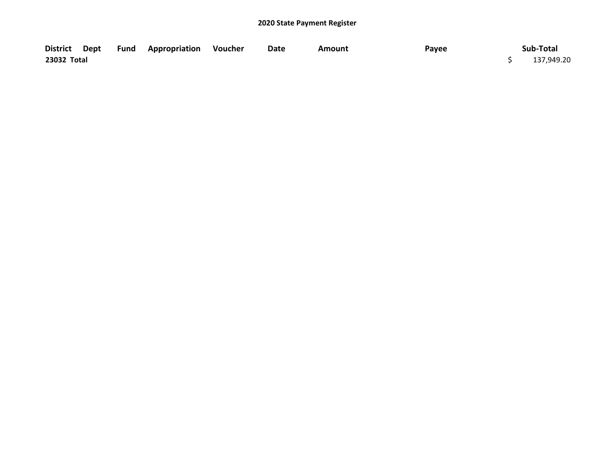|             |  | District Dept Fund Appropriation Voucher | Date | Amount | Payee | Sub-Total  |
|-------------|--|------------------------------------------|------|--------|-------|------------|
| 23032 Total |  |                                          |      |        |       | 137,949.20 |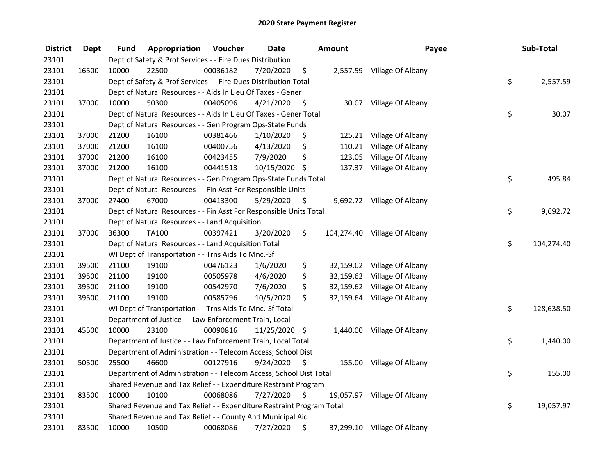| <b>District</b> | <b>Dept</b> | Fund  | Appropriation                                                         | Voucher  | <b>Date</b>   |      | <b>Amount</b> | Payee                        | Sub-Total        |
|-----------------|-------------|-------|-----------------------------------------------------------------------|----------|---------------|------|---------------|------------------------------|------------------|
| 23101           |             |       | Dept of Safety & Prof Services - - Fire Dues Distribution             |          |               |      |               |                              |                  |
| 23101           | 16500       | 10000 | 22500                                                                 | 00036182 | 7/20/2020     | \$   |               | 2,557.59 Village Of Albany   |                  |
| 23101           |             |       | Dept of Safety & Prof Services - - Fire Dues Distribution Total       |          |               |      |               |                              | \$<br>2,557.59   |
| 23101           |             |       | Dept of Natural Resources - - Aids In Lieu Of Taxes - Gener           |          |               |      |               |                              |                  |
| 23101           | 37000       | 10000 | 50300                                                                 | 00405096 | 4/21/2020     | \$   |               | 30.07 Village Of Albany      |                  |
| 23101           |             |       | Dept of Natural Resources - - Aids In Lieu Of Taxes - Gener Total     |          |               |      |               |                              | \$<br>30.07      |
| 23101           |             |       | Dept of Natural Resources - - Gen Program Ops-State Funds             |          |               |      |               |                              |                  |
| 23101           | 37000       | 21200 | 16100                                                                 | 00381466 | 1/10/2020     | \$   |               | 125.21 Village Of Albany     |                  |
| 23101           | 37000       | 21200 | 16100                                                                 | 00400756 | 4/13/2020     | \$   |               | 110.21 Village Of Albany     |                  |
| 23101           | 37000       | 21200 | 16100                                                                 | 00423455 | 7/9/2020      | \$   | 123.05        | Village Of Albany            |                  |
| 23101           | 37000       | 21200 | 16100                                                                 | 00441513 | 10/15/2020    | \$   | 137.37        | Village Of Albany            |                  |
| 23101           |             |       | Dept of Natural Resources - - Gen Program Ops-State Funds Total       |          |               |      |               |                              | \$<br>495.84     |
| 23101           |             |       | Dept of Natural Resources - - Fin Asst For Responsible Units          |          |               |      |               |                              |                  |
| 23101           | 37000       | 27400 | 67000                                                                 | 00413300 | 5/29/2020     | -\$  |               | 9,692.72 Village Of Albany   |                  |
| 23101           |             |       | Dept of Natural Resources - - Fin Asst For Responsible Units Total    |          |               |      |               |                              | \$<br>9,692.72   |
| 23101           |             |       | Dept of Natural Resources - - Land Acquisition                        |          |               |      |               |                              |                  |
| 23101           | 37000       | 36300 | TA100                                                                 | 00397421 | 3/20/2020     | \$   |               | 104,274.40 Village Of Albany |                  |
| 23101           |             |       | Dept of Natural Resources - - Land Acquisition Total                  |          |               |      |               |                              | \$<br>104,274.40 |
| 23101           |             |       | WI Dept of Transportation - - Trns Aids To Mnc.-Sf                    |          |               |      |               |                              |                  |
| 23101           | 39500       | 21100 | 19100                                                                 | 00476123 | 1/6/2020      | \$   |               | 32,159.62 Village Of Albany  |                  |
| 23101           | 39500       | 21100 | 19100                                                                 | 00505978 | 4/6/2020      | \$   |               | 32,159.62 Village Of Albany  |                  |
| 23101           | 39500       | 21100 | 19100                                                                 | 00542970 | 7/6/2020      | \$   |               | 32,159.62 Village Of Albany  |                  |
| 23101           | 39500       | 21100 | 19100                                                                 | 00585796 | 10/5/2020     | \$   |               | 32,159.64 Village Of Albany  |                  |
| 23101           |             |       | WI Dept of Transportation - - Trns Aids To Mnc.-Sf Total              |          |               |      |               |                              | \$<br>128,638.50 |
| 23101           |             |       | Department of Justice - - Law Enforcement Train, Local                |          |               |      |               |                              |                  |
| 23101           | 45500       | 10000 | 23100                                                                 | 00090816 | 11/25/2020 \$ |      |               | 1,440.00 Village Of Albany   |                  |
| 23101           |             |       | Department of Justice - - Law Enforcement Train, Local Total          |          |               |      |               |                              | \$<br>1,440.00   |
| 23101           |             |       | Department of Administration - - Telecom Access; School Dist          |          |               |      |               |                              |                  |
| 23101           | 50500       | 25500 | 46600                                                                 | 00127916 | 9/24/2020     | \$   |               | 155.00 Village Of Albany     |                  |
| 23101           |             |       | Department of Administration - - Telecom Access; School Dist Total    |          |               |      |               |                              | \$<br>155.00     |
| 23101           |             |       | Shared Revenue and Tax Relief - - Expenditure Restraint Program       |          |               |      |               |                              |                  |
| 23101           | 83500       | 10000 | 10100                                                                 | 00068086 | 7/27/2020     | - \$ |               | 19,057.97 Village Of Albany  |                  |
| 23101           |             |       | Shared Revenue and Tax Relief - - Expenditure Restraint Program Total |          |               |      |               |                              | \$<br>19,057.97  |
| 23101           |             |       | Shared Revenue and Tax Relief - - County And Municipal Aid            |          |               |      |               |                              |                  |
| 23101           | 83500       | 10000 | 10500                                                                 | 00068086 | 7/27/2020     | \$   |               | 37,299.10 Village Of Albany  |                  |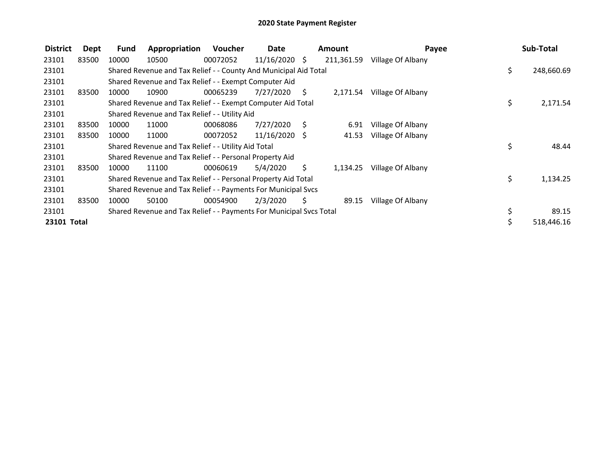| <b>District</b> | Dept  | <b>Fund</b> | Appropriation                                                       | Voucher  | Date            |    | <b>Amount</b> | Payee             | Sub-Total        |
|-----------------|-------|-------------|---------------------------------------------------------------------|----------|-----------------|----|---------------|-------------------|------------------|
| 23101           | 83500 | 10000       | 10500                                                               | 00072052 | $11/16/2020$ \$ |    | 211,361.59    | Village Of Albany |                  |
| 23101           |       |             | Shared Revenue and Tax Relief - - County And Municipal Aid Total    |          |                 |    |               |                   | \$<br>248,660.69 |
| 23101           |       |             | Shared Revenue and Tax Relief - - Exempt Computer Aid               |          |                 |    |               |                   |                  |
| 23101           | 83500 | 10000       | 10900                                                               | 00065239 | 7/27/2020       | S. | 2,171.54      | Village Of Albany |                  |
| 23101           |       |             | Shared Revenue and Tax Relief - - Exempt Computer Aid Total         |          |                 |    |               |                   | \$<br>2,171.54   |
| 23101           |       |             | Shared Revenue and Tax Relief - - Utility Aid                       |          |                 |    |               |                   |                  |
| 23101           | 83500 | 10000       | 11000                                                               | 00068086 | 7/27/2020       | S  | 6.91          | Village Of Albany |                  |
| 23101           | 83500 | 10000       | 11000                                                               | 00072052 | $11/16/2020$ \$ |    | 41.53         | Village Of Albany |                  |
| 23101           |       |             | Shared Revenue and Tax Relief - - Utility Aid Total                 |          |                 |    |               |                   | \$<br>48.44      |
| 23101           |       |             | Shared Revenue and Tax Relief - - Personal Property Aid             |          |                 |    |               |                   |                  |
| 23101           | 83500 | 10000       | 11100                                                               | 00060619 | 5/4/2020        | Ś. | 1,134.25      | Village Of Albany |                  |
| 23101           |       |             | Shared Revenue and Tax Relief - - Personal Property Aid Total       |          |                 |    |               |                   | \$<br>1,134.25   |
| 23101           |       |             | Shared Revenue and Tax Relief - - Payments For Municipal Svcs       |          |                 |    |               |                   |                  |
| 23101           | 83500 | 10000       | 50100                                                               | 00054900 | 2/3/2020        | S  | 89.15         | Village Of Albany |                  |
| 23101           |       |             | Shared Revenue and Tax Relief - - Payments For Municipal Svcs Total |          |                 |    |               |                   | \$<br>89.15      |
| 23101 Total     |       |             |                                                                     |          |                 |    |               |                   | 518,446.16       |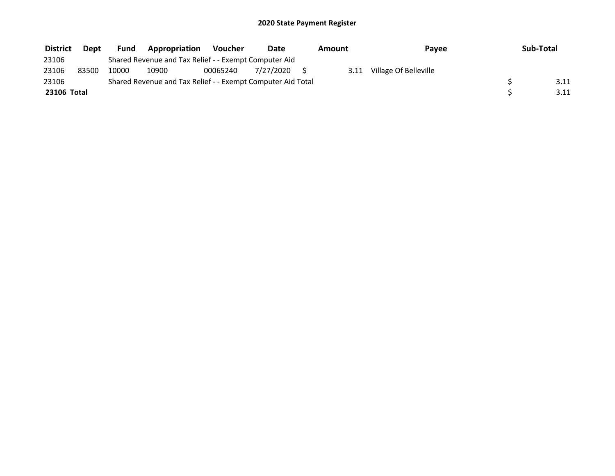| <b>District</b> | <b>Dept</b> | <b>Fund</b> | <b>Appropriation</b>                                        | Voucher  | Date         | Amount |      | Payee                 | Sub-Total |
|-----------------|-------------|-------------|-------------------------------------------------------------|----------|--------------|--------|------|-----------------------|-----------|
| 23106           |             |             | Shared Revenue and Tax Relief - - Exempt Computer Aid       |          |              |        |      |                       |           |
| 23106           | 83500       | 10000       | 10900                                                       | 00065240 | 7/27/2020 \$ |        | 3.11 | Village Of Belleville |           |
| 23106           |             |             | Shared Revenue and Tax Relief - - Exempt Computer Aid Total |          |              |        |      |                       | 3.11      |
| 23106 Total     |             |             |                                                             |          |              |        |      |                       | 3.11      |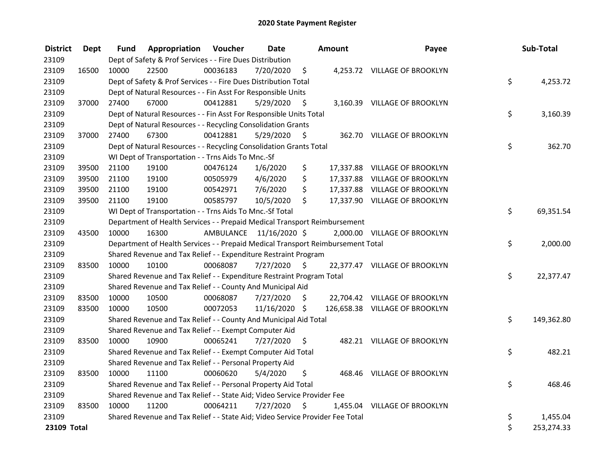| <b>District</b> | <b>Dept</b> | Fund  | Appropriation                                                                   | Voucher  | <b>Date</b>             |      | Amount | Payee                          | Sub-Total        |
|-----------------|-------------|-------|---------------------------------------------------------------------------------|----------|-------------------------|------|--------|--------------------------------|------------------|
| 23109           |             |       | Dept of Safety & Prof Services - - Fire Dues Distribution                       |          |                         |      |        |                                |                  |
| 23109           | 16500       | 10000 | 22500                                                                           | 00036183 | 7/20/2020               | \$   |        | 4,253.72 VILLAGE OF BROOKLYN   |                  |
| 23109           |             |       | Dept of Safety & Prof Services - - Fire Dues Distribution Total                 |          |                         |      |        |                                | \$<br>4,253.72   |
| 23109           |             |       | Dept of Natural Resources - - Fin Asst For Responsible Units                    |          |                         |      |        |                                |                  |
| 23109           | 37000       | 27400 | 67000                                                                           | 00412881 | 5/29/2020               | \$   |        | 3,160.39 VILLAGE OF BROOKLYN   |                  |
| 23109           |             |       | Dept of Natural Resources - - Fin Asst For Responsible Units Total              |          |                         |      |        |                                | \$<br>3,160.39   |
| 23109           |             |       | Dept of Natural Resources - - Recycling Consolidation Grants                    |          |                         |      |        |                                |                  |
| 23109           | 37000       | 27400 | 67300                                                                           | 00412881 | 5/29/2020               | - \$ |        | 362.70 VILLAGE OF BROOKLYN     |                  |
| 23109           |             |       | Dept of Natural Resources - - Recycling Consolidation Grants Total              |          |                         |      |        |                                | \$<br>362.70     |
| 23109           |             |       | WI Dept of Transportation - - Trns Aids To Mnc.-Sf                              |          |                         |      |        |                                |                  |
| 23109           | 39500       | 21100 | 19100                                                                           | 00476124 | 1/6/2020                | \$   |        | 17,337.88 VILLAGE OF BROOKLYN  |                  |
| 23109           | 39500       | 21100 | 19100                                                                           | 00505979 | 4/6/2020                | \$   |        | 17,337.88 VILLAGE OF BROOKLYN  |                  |
| 23109           | 39500       | 21100 | 19100                                                                           | 00542971 | 7/6/2020                | \$   |        | 17,337.88 VILLAGE OF BROOKLYN  |                  |
| 23109           | 39500       | 21100 | 19100                                                                           | 00585797 | 10/5/2020               | \$   |        | 17,337.90 VILLAGE OF BROOKLYN  |                  |
| 23109           |             |       | WI Dept of Transportation - - Trns Aids To Mnc.-Sf Total                        |          |                         |      |        |                                | \$<br>69,351.54  |
| 23109           |             |       | Department of Health Services - - Prepaid Medical Transport Reimbursement       |          |                         |      |        |                                |                  |
| 23109           | 43500       | 10000 | 16300                                                                           |          | AMBULANCE 11/16/2020 \$ |      |        | 2,000.00 VILLAGE OF BROOKLYN   |                  |
| 23109           |             |       | Department of Health Services - - Prepaid Medical Transport Reimbursement Total |          |                         |      |        |                                | \$<br>2,000.00   |
| 23109           |             |       | Shared Revenue and Tax Relief - - Expenditure Restraint Program                 |          |                         |      |        |                                |                  |
| 23109           | 83500       | 10000 | 10100                                                                           | 00068087 | 7/27/2020               | - \$ |        | 22,377.47 VILLAGE OF BROOKLYN  |                  |
| 23109           |             |       | Shared Revenue and Tax Relief - - Expenditure Restraint Program Total           |          |                         |      |        |                                | \$<br>22,377.47  |
| 23109           |             |       | Shared Revenue and Tax Relief - - County And Municipal Aid                      |          |                         |      |        |                                |                  |
| 23109           | 83500       | 10000 | 10500                                                                           | 00068087 | 7/27/2020               | \$   |        | 22,704.42 VILLAGE OF BROOKLYN  |                  |
| 23109           | 83500       | 10000 | 10500                                                                           | 00072053 | 11/16/2020 \$           |      |        | 126,658.38 VILLAGE OF BROOKLYN |                  |
| 23109           |             |       | Shared Revenue and Tax Relief - - County And Municipal Aid Total                |          |                         |      |        |                                | \$<br>149,362.80 |
| 23109           |             |       | Shared Revenue and Tax Relief - - Exempt Computer Aid                           |          |                         |      |        |                                |                  |
| 23109           | 83500       | 10000 | 10900                                                                           | 00065241 | 7/27/2020               | \$   |        | 482.21 VILLAGE OF BROOKLYN     |                  |
| 23109           |             |       | Shared Revenue and Tax Relief - - Exempt Computer Aid Total                     |          |                         |      |        |                                | \$<br>482.21     |
| 23109           |             |       | Shared Revenue and Tax Relief - - Personal Property Aid                         |          |                         |      |        |                                |                  |
| 23109           | 83500       | 10000 | 11100                                                                           | 00060620 | 5/4/2020                | \$   |        | 468.46 VILLAGE OF BROOKLYN     |                  |
| 23109           |             |       | Shared Revenue and Tax Relief - - Personal Property Aid Total                   |          |                         |      |        |                                | \$<br>468.46     |
| 23109           |             |       | Shared Revenue and Tax Relief - - State Aid; Video Service Provider Fee         |          |                         |      |        |                                |                  |
| 23109           | 83500       | 10000 | 11200                                                                           | 00064211 | 7/27/2020               | \$   |        | 1,455.04 VILLAGE OF BROOKLYN   |                  |
| 23109           |             |       | Shared Revenue and Tax Relief - - State Aid; Video Service Provider Fee Total   |          |                         |      |        |                                | \$<br>1,455.04   |
| 23109 Total     |             |       |                                                                                 |          |                         |      |        |                                | \$<br>253,274.33 |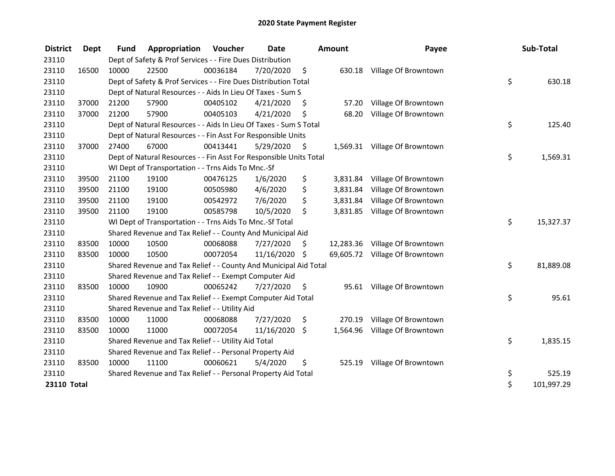| <b>District</b>    | <b>Dept</b> | <b>Fund</b> | Appropriation                                                      | <b>Voucher</b> | <b>Date</b>   |     | <b>Amount</b> | Payee                          | Sub-Total        |
|--------------------|-------------|-------------|--------------------------------------------------------------------|----------------|---------------|-----|---------------|--------------------------------|------------------|
| 23110              |             |             | Dept of Safety & Prof Services - - Fire Dues Distribution          |                |               |     |               |                                |                  |
| 23110              | 16500       | 10000       | 22500                                                              | 00036184       | 7/20/2020     | \$  |               | 630.18 Village Of Browntown    |                  |
| 23110              |             |             | Dept of Safety & Prof Services - - Fire Dues Distribution Total    |                |               |     |               |                                | \$<br>630.18     |
| 23110              |             |             | Dept of Natural Resources - - Aids In Lieu Of Taxes - Sum S        |                |               |     |               |                                |                  |
| 23110              | 37000       | 21200       | 57900                                                              | 00405102       | 4/21/2020     | \$  | 57.20         | Village Of Browntown           |                  |
| 23110              | 37000       | 21200       | 57900                                                              | 00405103       | 4/21/2020     | \$  | 68.20         | Village Of Browntown           |                  |
| 23110              |             |             | Dept of Natural Resources - - Aids In Lieu Of Taxes - Sum S Total  |                |               |     |               |                                | \$<br>125.40     |
| 23110              |             |             | Dept of Natural Resources - - Fin Asst For Responsible Units       |                |               |     |               |                                |                  |
| 23110              | 37000       | 27400       | 67000                                                              | 00413441       | 5/29/2020     | \$  |               | 1,569.31 Village Of Browntown  |                  |
| 23110              |             |             | Dept of Natural Resources - - Fin Asst For Responsible Units Total |                |               |     |               |                                | \$<br>1,569.31   |
| 23110              |             |             | WI Dept of Transportation - - Trns Aids To Mnc.-Sf                 |                |               |     |               |                                |                  |
| 23110              | 39500       | 21100       | 19100                                                              | 00476125       | 1/6/2020      | \$  | 3,831.84      | Village Of Browntown           |                  |
| 23110              | 39500       | 21100       | 19100                                                              | 00505980       | 4/6/2020      | \$  | 3,831.84      | Village Of Browntown           |                  |
| 23110              | 39500       | 21100       | 19100                                                              | 00542972       | 7/6/2020      | \$  | 3,831.84      | Village Of Browntown           |                  |
| 23110              | 39500       | 21100       | 19100                                                              | 00585798       | 10/5/2020     | \$  | 3,831.85      | Village Of Browntown           |                  |
| 23110              |             |             | WI Dept of Transportation - - Trns Aids To Mnc.-Sf Total           |                |               |     |               |                                | \$<br>15,327.37  |
| 23110              |             |             | Shared Revenue and Tax Relief - - County And Municipal Aid         |                |               |     |               |                                |                  |
| 23110              | 83500       | 10000       | 10500                                                              | 00068088       | 7/27/2020     | \$. |               | 12,283.36 Village Of Browntown |                  |
| 23110              | 83500       | 10000       | 10500                                                              | 00072054       | 11/16/2020 \$ |     |               | 69,605.72 Village Of Browntown |                  |
| 23110              |             |             | Shared Revenue and Tax Relief - - County And Municipal Aid Total   |                |               |     |               |                                | \$<br>81,889.08  |
| 23110              |             |             | Shared Revenue and Tax Relief - - Exempt Computer Aid              |                |               |     |               |                                |                  |
| 23110              | 83500       | 10000       | 10900                                                              | 00065242       | 7/27/2020     | \$  | 95.61         | Village Of Browntown           |                  |
| 23110              |             |             | Shared Revenue and Tax Relief - - Exempt Computer Aid Total        |                |               |     |               |                                | \$<br>95.61      |
| 23110              |             |             | Shared Revenue and Tax Relief - - Utility Aid                      |                |               |     |               |                                |                  |
| 23110              | 83500       | 10000       | 11000                                                              | 00068088       | 7/27/2020     | \$. | 270.19        | Village Of Browntown           |                  |
| 23110              | 83500       | 10000       | 11000                                                              | 00072054       | 11/16/2020    | \$  | 1,564.96      | Village Of Browntown           |                  |
| 23110              |             |             | Shared Revenue and Tax Relief - - Utility Aid Total                |                |               |     |               |                                | \$<br>1,835.15   |
| 23110              |             |             | Shared Revenue and Tax Relief - - Personal Property Aid            |                |               |     |               |                                |                  |
| 23110              | 83500       | 10000       | 11100                                                              | 00060621       | 5/4/2020      | \$  |               | 525.19 Village Of Browntown    |                  |
| 23110              |             |             | Shared Revenue and Tax Relief - - Personal Property Aid Total      |                |               |     |               |                                | \$<br>525.19     |
| <b>23110 Total</b> |             |             |                                                                    |                |               |     |               |                                | \$<br>101,997.29 |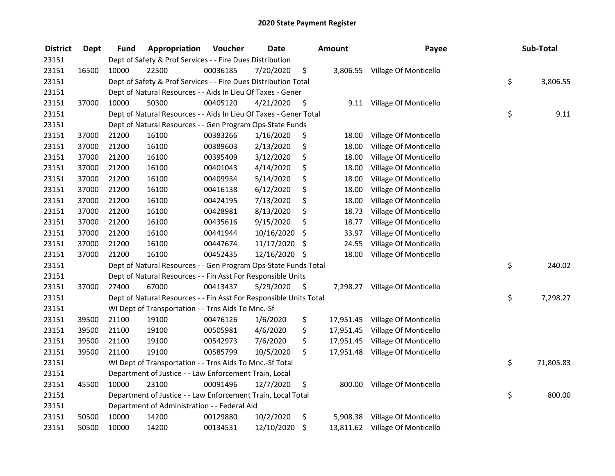| <b>District</b> | <b>Dept</b> | Fund  | Appropriation                                                      | Voucher  | <b>Date</b>   |      | <b>Amount</b> | Payee                           | Sub-Total       |
|-----------------|-------------|-------|--------------------------------------------------------------------|----------|---------------|------|---------------|---------------------------------|-----------------|
| 23151           |             |       | Dept of Safety & Prof Services - - Fire Dues Distribution          |          |               |      |               |                                 |                 |
| 23151           | 16500       | 10000 | 22500                                                              | 00036185 | 7/20/2020     | \$   |               | 3,806.55 Village Of Monticello  |                 |
| 23151           |             |       | Dept of Safety & Prof Services - - Fire Dues Distribution Total    |          |               |      |               |                                 | \$<br>3,806.55  |
| 23151           |             |       | Dept of Natural Resources - - Aids In Lieu Of Taxes - Gener        |          |               |      |               |                                 |                 |
| 23151           | 37000       | 10000 | 50300                                                              | 00405120 | 4/21/2020     | \$   | 9.11          | Village Of Monticello           |                 |
| 23151           |             |       | Dept of Natural Resources - - Aids In Lieu Of Taxes - Gener Total  |          |               |      |               |                                 | \$<br>9.11      |
| 23151           |             |       | Dept of Natural Resources - - Gen Program Ops-State Funds          |          |               |      |               |                                 |                 |
| 23151           | 37000       | 21200 | 16100                                                              | 00383266 | 1/16/2020     | \$   | 18.00         | Village Of Monticello           |                 |
| 23151           | 37000       | 21200 | 16100                                                              | 00389603 | 2/13/2020     | \$   | 18.00         | Village Of Monticello           |                 |
| 23151           | 37000       | 21200 | 16100                                                              | 00395409 | 3/12/2020     | \$   | 18.00         | Village Of Monticello           |                 |
| 23151           | 37000       | 21200 | 16100                                                              | 00401043 | 4/14/2020     | \$   | 18.00         | Village Of Monticello           |                 |
| 23151           | 37000       | 21200 | 16100                                                              | 00409934 | 5/14/2020     | \$   | 18.00         | Village Of Monticello           |                 |
| 23151           | 37000       | 21200 | 16100                                                              | 00416138 | 6/12/2020     | \$   | 18.00         | Village Of Monticello           |                 |
| 23151           | 37000       | 21200 | 16100                                                              | 00424195 | 7/13/2020     | \$   | 18.00         | Village Of Monticello           |                 |
| 23151           | 37000       | 21200 | 16100                                                              | 00428981 | 8/13/2020     | \$   | 18.73         | Village Of Monticello           |                 |
| 23151           | 37000       | 21200 | 16100                                                              | 00435616 | 9/15/2020     | \$   | 18.77         | Village Of Monticello           |                 |
| 23151           | 37000       | 21200 | 16100                                                              | 00441944 | 10/16/2020    | \$   | 33.97         | Village Of Monticello           |                 |
| 23151           | 37000       | 21200 | 16100                                                              | 00447674 | 11/17/2020    | \$   | 24.55         | Village Of Monticello           |                 |
| 23151           | 37000       | 21200 | 16100                                                              | 00452435 | 12/16/2020 \$ |      | 18.00         | Village Of Monticello           |                 |
| 23151           |             |       | Dept of Natural Resources - - Gen Program Ops-State Funds Total    |          |               |      |               |                                 | \$<br>240.02    |
| 23151           |             |       | Dept of Natural Resources - - Fin Asst For Responsible Units       |          |               |      |               |                                 |                 |
| 23151           | 37000       | 27400 | 67000                                                              | 00413437 | 5/29/2020     | - \$ | 7,298.27      | Village Of Monticello           |                 |
| 23151           |             |       | Dept of Natural Resources - - Fin Asst For Responsible Units Total |          |               |      |               |                                 | \$<br>7,298.27  |
| 23151           |             |       | WI Dept of Transportation - - Trns Aids To Mnc.-Sf                 |          |               |      |               |                                 |                 |
| 23151           | 39500       | 21100 | 19100                                                              | 00476126 | 1/6/2020      | \$   | 17,951.45     | Village Of Monticello           |                 |
| 23151           | 39500       | 21100 | 19100                                                              | 00505981 | 4/6/2020      | \$   | 17,951.45     | Village Of Monticello           |                 |
| 23151           | 39500       | 21100 | 19100                                                              | 00542973 | 7/6/2020      | \$   | 17,951.45     | Village Of Monticello           |                 |
| 23151           | 39500       | 21100 | 19100                                                              | 00585799 | 10/5/2020     | \$   | 17,951.48     | Village Of Monticello           |                 |
| 23151           |             |       | WI Dept of Transportation - - Trns Aids To Mnc.-Sf Total           |          |               |      |               |                                 | \$<br>71,805.83 |
| 23151           |             |       | Department of Justice - - Law Enforcement Train, Local             |          |               |      |               |                                 |                 |
| 23151           | 45500       | 10000 | 23100                                                              | 00091496 | 12/7/2020     | \$   | 800.00        | Village Of Monticello           |                 |
| 23151           |             |       | Department of Justice - - Law Enforcement Train, Local Total       |          |               |      |               |                                 | \$<br>800.00    |
| 23151           |             |       | Department of Administration - - Federal Aid                       |          |               |      |               |                                 |                 |
| 23151           | 50500       | 10000 | 14200                                                              | 00129880 | 10/2/2020     | \$   | 5,908.38      | Village Of Monticello           |                 |
| 23151           | 50500       | 10000 | 14200                                                              | 00134531 | 12/10/2020    | \$   |               | 13,811.62 Village Of Monticello |                 |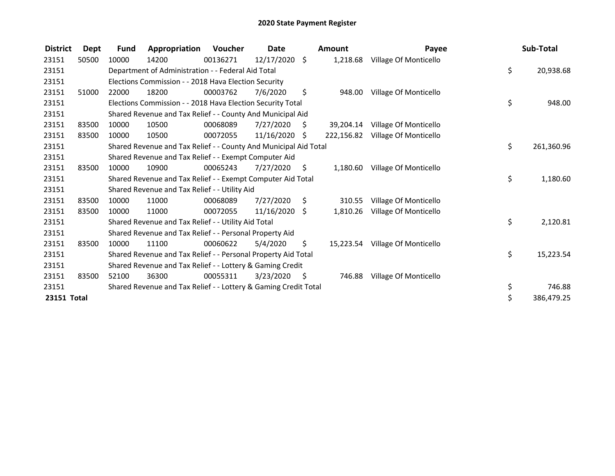| <b>District</b> | Dept  | Fund  | Appropriation                                                    | Voucher  | Date            |     | Amount     | Payee                           | Sub-Total        |
|-----------------|-------|-------|------------------------------------------------------------------|----------|-----------------|-----|------------|---------------------------------|------------------|
| 23151           | 50500 | 10000 | 14200                                                            | 00136271 | 12/17/2020 \$   |     | 1,218.68   | Village Of Monticello           |                  |
| 23151           |       |       | Department of Administration - - Federal Aid Total               |          |                 |     |            |                                 | \$<br>20,938.68  |
| 23151           |       |       | Elections Commission - - 2018 Hava Election Security             |          |                 |     |            |                                 |                  |
| 23151           | 51000 | 22000 | 18200                                                            | 00003762 | 7/6/2020        | \$  | 948.00     | Village Of Monticello           |                  |
| 23151           |       |       | Elections Commission - - 2018 Hava Election Security Total       |          |                 |     |            |                                 | \$<br>948.00     |
| 23151           |       |       | Shared Revenue and Tax Relief - - County And Municipal Aid       |          |                 |     |            |                                 |                  |
| 23151           | 83500 | 10000 | 10500                                                            | 00068089 | 7/27/2020       | S.  | 39,204.14  | Village Of Monticello           |                  |
| 23151           | 83500 | 10000 | 10500                                                            | 00072055 | $11/16/2020$ \$ |     | 222,156.82 | Village Of Monticello           |                  |
| 23151           |       |       | Shared Revenue and Tax Relief - - County And Municipal Aid Total |          |                 |     |            |                                 | \$<br>261,360.96 |
| 23151           |       |       | Shared Revenue and Tax Relief - - Exempt Computer Aid            |          |                 |     |            |                                 |                  |
| 23151           | 83500 | 10000 | 10900                                                            | 00065243 | 7/27/2020       | \$  | 1,180.60   | Village Of Monticello           |                  |
| 23151           |       |       | Shared Revenue and Tax Relief - - Exempt Computer Aid Total      |          |                 |     |            |                                 | \$<br>1,180.60   |
| 23151           |       |       | Shared Revenue and Tax Relief - - Utility Aid                    |          |                 |     |            |                                 |                  |
| 23151           | 83500 | 10000 | 11000                                                            | 00068089 | 7/27/2020       | \$  | 310.55     | Village Of Monticello           |                  |
| 23151           | 83500 | 10000 | 11000                                                            | 00072055 | $11/16/2020$ \$ |     | 1,810.26   | Village Of Monticello           |                  |
| 23151           |       |       | Shared Revenue and Tax Relief - - Utility Aid Total              |          |                 |     |            |                                 | \$<br>2,120.81   |
| 23151           |       |       | Shared Revenue and Tax Relief - - Personal Property Aid          |          |                 |     |            |                                 |                  |
| 23151           | 83500 | 10000 | 11100                                                            | 00060622 | 5/4/2020        | \$. |            | 15,223.54 Village Of Monticello |                  |
| 23151           |       |       | Shared Revenue and Tax Relief - - Personal Property Aid Total    |          |                 |     |            |                                 | \$<br>15,223.54  |
| 23151           |       |       | Shared Revenue and Tax Relief - - Lottery & Gaming Credit        |          |                 |     |            |                                 |                  |
| 23151           | 83500 | 52100 | 36300                                                            | 00055311 | 3/23/2020       | -\$ | 746.88     | Village Of Monticello           |                  |
| 23151           |       |       | Shared Revenue and Tax Relief - - Lottery & Gaming Credit Total  |          |                 |     |            |                                 | \$<br>746.88     |
| 23151 Total     |       |       |                                                                  |          |                 |     |            |                                 | \$<br>386,479.25 |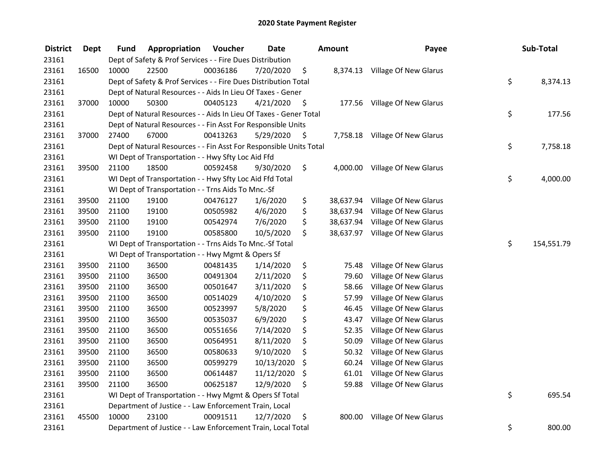| <b>District</b> | <b>Dept</b> | Fund  | Appropriation                                                      | Voucher  | <b>Date</b> |      | Amount    | Payee                          | Sub-Total        |
|-----------------|-------------|-------|--------------------------------------------------------------------|----------|-------------|------|-----------|--------------------------------|------------------|
| 23161           |             |       | Dept of Safety & Prof Services - - Fire Dues Distribution          |          |             |      |           |                                |                  |
| 23161           | 16500       | 10000 | 22500                                                              | 00036186 | 7/20/2020   | \$   |           | 8,374.13 Village Of New Glarus |                  |
| 23161           |             |       | Dept of Safety & Prof Services - - Fire Dues Distribution Total    |          |             |      |           |                                | \$<br>8,374.13   |
| 23161           |             |       | Dept of Natural Resources - - Aids In Lieu Of Taxes - Gener        |          |             |      |           |                                |                  |
| 23161           | 37000       | 10000 | 50300                                                              | 00405123 | 4/21/2020   | \$   | 177.56    | Village Of New Glarus          |                  |
| 23161           |             |       | Dept of Natural Resources - - Aids In Lieu Of Taxes - Gener Total  |          |             |      |           |                                | \$<br>177.56     |
| 23161           |             |       | Dept of Natural Resources - - Fin Asst For Responsible Units       |          |             |      |           |                                |                  |
| 23161           | 37000       | 27400 | 67000                                                              | 00413263 | 5/29/2020   | - \$ |           | 7,758.18 Village Of New Glarus |                  |
| 23161           |             |       | Dept of Natural Resources - - Fin Asst For Responsible Units Total |          |             |      |           |                                | \$<br>7,758.18   |
| 23161           |             |       | WI Dept of Transportation - - Hwy Sfty Loc Aid Ffd                 |          |             |      |           |                                |                  |
| 23161           | 39500       | 21100 | 18500                                                              | 00592458 | 9/30/2020   | \$   | 4,000.00  | Village Of New Glarus          |                  |
| 23161           |             |       | WI Dept of Transportation - - Hwy Sfty Loc Aid Ffd Total           |          |             |      |           |                                | \$<br>4,000.00   |
| 23161           |             |       | WI Dept of Transportation - - Trns Aids To Mnc.-Sf                 |          |             |      |           |                                |                  |
| 23161           | 39500       | 21100 | 19100                                                              | 00476127 | 1/6/2020    | \$   | 38,637.94 | Village Of New Glarus          |                  |
| 23161           | 39500       | 21100 | 19100                                                              | 00505982 | 4/6/2020    | \$   | 38,637.94 | Village Of New Glarus          |                  |
| 23161           | 39500       | 21100 | 19100                                                              | 00542974 | 7/6/2020    | \$   | 38,637.94 | Village Of New Glarus          |                  |
| 23161           | 39500       | 21100 | 19100                                                              | 00585800 | 10/5/2020   | \$   | 38,637.97 | Village Of New Glarus          |                  |
| 23161           |             |       | WI Dept of Transportation - - Trns Aids To Mnc.-Sf Total           |          |             |      |           |                                | \$<br>154,551.79 |
| 23161           |             |       | WI Dept of Transportation - - Hwy Mgmt & Opers Sf                  |          |             |      |           |                                |                  |
| 23161           | 39500       | 21100 | 36500                                                              | 00481435 | 1/14/2020   | \$   | 75.48     | Village Of New Glarus          |                  |
| 23161           | 39500       | 21100 | 36500                                                              | 00491304 | 2/11/2020   | \$   | 79.60     | Village Of New Glarus          |                  |
| 23161           | 39500       | 21100 | 36500                                                              | 00501647 | 3/11/2020   | \$   | 58.66     | Village Of New Glarus          |                  |
| 23161           | 39500       | 21100 | 36500                                                              | 00514029 | 4/10/2020   | \$   | 57.99     | Village Of New Glarus          |                  |
| 23161           | 39500       | 21100 | 36500                                                              | 00523997 | 5/8/2020    | \$   | 46.45     | Village Of New Glarus          |                  |
| 23161           | 39500       | 21100 | 36500                                                              | 00535037 | 6/9/2020    | \$   | 43.47     | Village Of New Glarus          |                  |
| 23161           | 39500       | 21100 | 36500                                                              | 00551656 | 7/14/2020   | \$   | 52.35     | Village Of New Glarus          |                  |
| 23161           | 39500       | 21100 | 36500                                                              | 00564951 | 8/11/2020   | \$   | 50.09     | Village Of New Glarus          |                  |
| 23161           | 39500       | 21100 | 36500                                                              | 00580633 | 9/10/2020   | \$   | 50.32     | Village Of New Glarus          |                  |
| 23161           | 39500       | 21100 | 36500                                                              | 00599279 | 10/13/2020  | \$   | 60.24     | Village Of New Glarus          |                  |
| 23161           | 39500       | 21100 | 36500                                                              | 00614487 | 11/12/2020  | \$   | 61.01     | Village Of New Glarus          |                  |
| 23161           | 39500       | 21100 | 36500                                                              | 00625187 | 12/9/2020   | \$   | 59.88     | Village Of New Glarus          |                  |
| 23161           |             |       | WI Dept of Transportation - - Hwy Mgmt & Opers Sf Total            |          |             |      |           |                                | \$<br>695.54     |
| 23161           |             |       | Department of Justice - - Law Enforcement Train, Local             |          |             |      |           |                                |                  |
| 23161           | 45500       | 10000 | 23100                                                              | 00091511 | 12/7/2020   | \$   | 800.00    | Village Of New Glarus          |                  |
| 23161           |             |       | Department of Justice - - Law Enforcement Train, Local Total       |          |             |      |           |                                | \$<br>800.00     |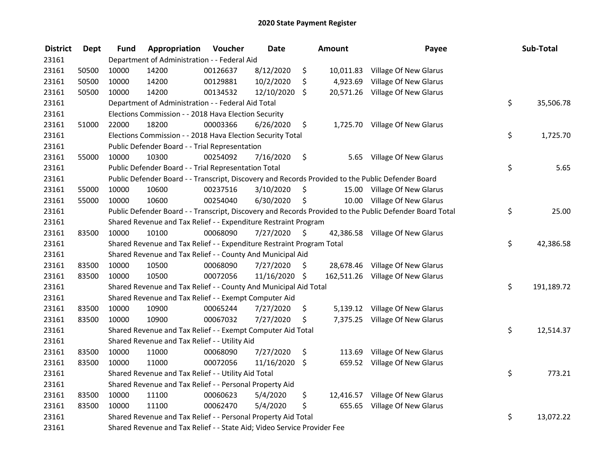| <b>District</b> | <b>Dept</b> | <b>Fund</b> | Appropriation                                                           | Voucher  | <b>Date</b>   | <b>Amount</b>  | Payee                                                                                                   | Sub-Total        |
|-----------------|-------------|-------------|-------------------------------------------------------------------------|----------|---------------|----------------|---------------------------------------------------------------------------------------------------------|------------------|
| 23161           |             |             | Department of Administration - - Federal Aid                            |          |               |                |                                                                                                         |                  |
| 23161           | 50500       | 10000       | 14200                                                                   | 00126637 | 8/12/2020     | \$             | 10,011.83 Village Of New Glarus                                                                         |                  |
| 23161           | 50500       | 10000       | 14200                                                                   | 00129881 | 10/2/2020     | \$<br>4,923.69 | Village Of New Glarus                                                                                   |                  |
| 23161           | 50500       | 10000       | 14200                                                                   | 00134532 | 12/10/2020    | \$             | 20,571.26 Village Of New Glarus                                                                         |                  |
| 23161           |             |             | Department of Administration - - Federal Aid Total                      |          |               |                |                                                                                                         | \$<br>35,506.78  |
| 23161           |             |             | Elections Commission - - 2018 Hava Election Security                    |          |               |                |                                                                                                         |                  |
| 23161           | 51000       | 22000       | 18200                                                                   | 00003366 | 6/26/2020     | \$             | 1,725.70 Village Of New Glarus                                                                          |                  |
| 23161           |             |             | Elections Commission - - 2018 Hava Election Security Total              |          |               |                |                                                                                                         | \$<br>1,725.70   |
| 23161           |             |             | Public Defender Board - - Trial Representation                          |          |               |                |                                                                                                         |                  |
| 23161           | 55000       | 10000       | 10300                                                                   | 00254092 | 7/16/2020     | \$             | 5.65 Village Of New Glarus                                                                              |                  |
| 23161           |             |             | Public Defender Board - - Trial Representation Total                    |          |               |                |                                                                                                         | \$<br>5.65       |
| 23161           |             |             |                                                                         |          |               |                | Public Defender Board - - Transcript, Discovery and Records Provided to the Public Defender Board       |                  |
| 23161           | 55000       | 10000       | 10600                                                                   | 00237516 | 3/10/2020     | \$             | 15.00 Village Of New Glarus                                                                             |                  |
| 23161           | 55000       | 10000       | 10600                                                                   | 00254040 | 6/30/2020     | \$             | 10.00 Village Of New Glarus                                                                             |                  |
| 23161           |             |             |                                                                         |          |               |                | Public Defender Board - - Transcript, Discovery and Records Provided to the Public Defender Board Total | \$<br>25.00      |
| 23161           |             |             | Shared Revenue and Tax Relief - - Expenditure Restraint Program         |          |               |                |                                                                                                         |                  |
| 23161           | 83500       | 10000       | 10100                                                                   | 00068090 | 7/27/2020     | \$             | 42,386.58 Village Of New Glarus                                                                         |                  |
| 23161           |             |             | Shared Revenue and Tax Relief - - Expenditure Restraint Program Total   |          |               |                |                                                                                                         | \$<br>42,386.58  |
| 23161           |             |             | Shared Revenue and Tax Relief - - County And Municipal Aid              |          |               |                |                                                                                                         |                  |
| 23161           | 83500       | 10000       | 10500                                                                   | 00068090 | 7/27/2020     | \$             | 28,678.46 Village Of New Glarus                                                                         |                  |
| 23161           | 83500       | 10000       | 10500                                                                   | 00072056 | 11/16/2020 \$ |                | 162,511.26 Village Of New Glarus                                                                        |                  |
| 23161           |             |             | Shared Revenue and Tax Relief - - County And Municipal Aid Total        |          |               |                |                                                                                                         | \$<br>191,189.72 |
| 23161           |             |             | Shared Revenue and Tax Relief - - Exempt Computer Aid                   |          |               |                |                                                                                                         |                  |
| 23161           | 83500       | 10000       | 10900                                                                   | 00065244 | 7/27/2020     | \$             | 5,139.12 Village Of New Glarus                                                                          |                  |
| 23161           | 83500       | 10000       | 10900                                                                   | 00067032 | 7/27/2020     | \$             | 7,375.25 Village Of New Glarus                                                                          |                  |
| 23161           |             |             | Shared Revenue and Tax Relief - - Exempt Computer Aid Total             |          |               |                |                                                                                                         | \$<br>12,514.37  |
| 23161           |             |             | Shared Revenue and Tax Relief - - Utility Aid                           |          |               |                |                                                                                                         |                  |
| 23161           | 83500       | 10000       | 11000                                                                   | 00068090 | 7/27/2020     | \$<br>113.69   | Village Of New Glarus                                                                                   |                  |
| 23161           | 83500       | 10000       | 11000                                                                   | 00072056 | 11/16/2020 \$ |                | 659.52 Village Of New Glarus                                                                            |                  |
| 23161           |             |             | Shared Revenue and Tax Relief - - Utility Aid Total                     |          |               |                |                                                                                                         | \$<br>773.21     |
| 23161           |             |             | Shared Revenue and Tax Relief - - Personal Property Aid                 |          |               |                |                                                                                                         |                  |
| 23161           | 83500       | 10000       | 11100                                                                   | 00060623 | 5/4/2020      | \$             | 12,416.57 Village Of New Glarus                                                                         |                  |
| 23161           | 83500       | 10000       | 11100                                                                   | 00062470 | 5/4/2020      | \$<br>655.65   | <b>Village Of New Glarus</b>                                                                            |                  |
| 23161           |             |             | Shared Revenue and Tax Relief - - Personal Property Aid Total           |          |               |                |                                                                                                         | \$<br>13,072.22  |
| 23161           |             |             | Shared Revenue and Tax Relief - - State Aid; Video Service Provider Fee |          |               |                |                                                                                                         |                  |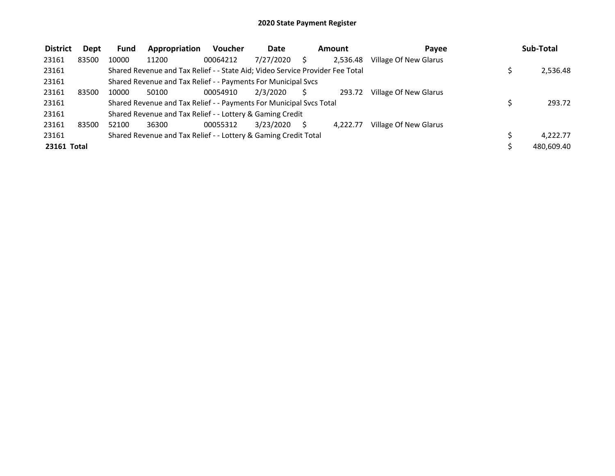| <b>District</b>    | Dept  | Fund  | Appropriation                                                                 | <b>Voucher</b> | <b>Date</b> | <b>Amount</b> | Payee                 | Sub-Total  |
|--------------------|-------|-------|-------------------------------------------------------------------------------|----------------|-------------|---------------|-----------------------|------------|
| 23161              | 83500 | 10000 | 11200                                                                         | 00064212       | 7/27/2020   | 2,536.48      | Village Of New Glarus |            |
| 23161              |       |       | Shared Revenue and Tax Relief - - State Aid; Video Service Provider Fee Total |                |             |               |                       | 2,536.48   |
| 23161              |       |       | Shared Revenue and Tax Relief - - Payments For Municipal Svcs                 |                |             |               |                       |            |
| 23161              | 83500 | 10000 | 50100                                                                         | 00054910       | 2/3/2020    | 293.72        | Village Of New Glarus |            |
| 23161              |       |       | Shared Revenue and Tax Relief - - Payments For Municipal Svcs Total           |                |             |               |                       | 293.72     |
| 23161              |       |       | Shared Revenue and Tax Relief - - Lottery & Gaming Credit                     |                |             |               |                       |            |
| 23161              | 83500 | 52100 | 36300                                                                         | 00055312       | 3/23/2020   | 4.222.77      | Village Of New Glarus |            |
| 23161              |       |       | Shared Revenue and Tax Relief - - Lottery & Gaming Credit Total               |                |             |               |                       | 4.222.77   |
| <b>23161 Total</b> |       |       |                                                                               |                |             |               |                       | 480,609.40 |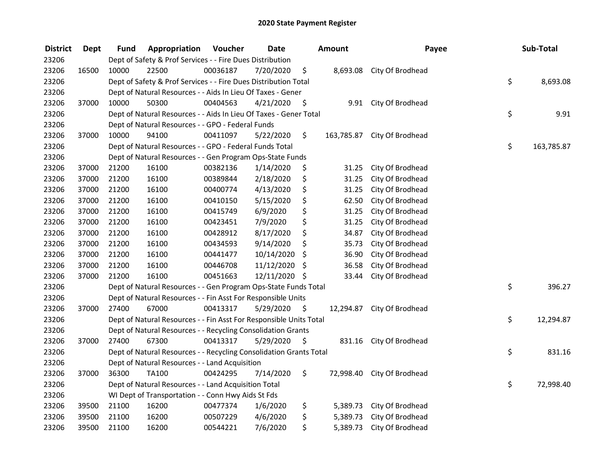| <b>District</b> | Dept  | Fund  | Appropriation                                                      | Voucher  | <b>Date</b>   |      | <b>Amount</b> | Payee                       | Sub-Total        |
|-----------------|-------|-------|--------------------------------------------------------------------|----------|---------------|------|---------------|-----------------------------|------------------|
| 23206           |       |       | Dept of Safety & Prof Services - - Fire Dues Distribution          |          |               |      |               |                             |                  |
| 23206           | 16500 | 10000 | 22500                                                              | 00036187 | 7/20/2020     | \$   | 8,693.08      | City Of Brodhead            |                  |
| 23206           |       |       | Dept of Safety & Prof Services - - Fire Dues Distribution Total    |          |               |      |               |                             | \$<br>8,693.08   |
| 23206           |       |       | Dept of Natural Resources - - Aids In Lieu Of Taxes - Gener        |          |               |      |               |                             |                  |
| 23206           | 37000 | 10000 | 50300                                                              | 00404563 | 4/21/2020     | \$   | 9.91          | City Of Brodhead            |                  |
| 23206           |       |       | Dept of Natural Resources - - Aids In Lieu Of Taxes - Gener Total  |          |               |      |               |                             | \$<br>9.91       |
| 23206           |       |       | Dept of Natural Resources - - GPO - Federal Funds                  |          |               |      |               |                             |                  |
| 23206           | 37000 | 10000 | 94100                                                              | 00411097 | 5/22/2020     | \$   |               | 163,785.87 City Of Brodhead |                  |
| 23206           |       |       | Dept of Natural Resources - - GPO - Federal Funds Total            |          |               |      |               |                             | \$<br>163,785.87 |
| 23206           |       |       | Dept of Natural Resources - - Gen Program Ops-State Funds          |          |               |      |               |                             |                  |
| 23206           | 37000 | 21200 | 16100                                                              | 00382136 | 1/14/2020     | Ş    | 31.25         | City Of Brodhead            |                  |
| 23206           | 37000 | 21200 | 16100                                                              | 00389844 | 2/18/2020     | \$   | 31.25         | City Of Brodhead            |                  |
| 23206           | 37000 | 21200 | 16100                                                              | 00400774 | 4/13/2020     | \$   | 31.25         | City Of Brodhead            |                  |
| 23206           | 37000 | 21200 | 16100                                                              | 00410150 | 5/15/2020     | \$   | 62.50         | City Of Brodhead            |                  |
| 23206           | 37000 | 21200 | 16100                                                              | 00415749 | 6/9/2020      | \$   | 31.25         | City Of Brodhead            |                  |
| 23206           | 37000 | 21200 | 16100                                                              | 00423451 | 7/9/2020      | \$   | 31.25         | City Of Brodhead            |                  |
| 23206           | 37000 | 21200 | 16100                                                              | 00428912 | 8/17/2020     | \$   | 34.87         | City Of Brodhead            |                  |
| 23206           | 37000 | 21200 | 16100                                                              | 00434593 | 9/14/2020     | \$   | 35.73         | City Of Brodhead            |                  |
| 23206           | 37000 | 21200 | 16100                                                              | 00441477 | 10/14/2020    | \$   | 36.90         | City Of Brodhead            |                  |
| 23206           | 37000 | 21200 | 16100                                                              | 00446708 | 11/12/2020    | \$   | 36.58         | City Of Brodhead            |                  |
| 23206           | 37000 | 21200 | 16100                                                              | 00451663 | 12/11/2020 \$ |      | 33.44         | City Of Brodhead            |                  |
| 23206           |       |       | Dept of Natural Resources - - Gen Program Ops-State Funds Total    |          |               |      |               |                             | \$<br>396.27     |
| 23206           |       |       | Dept of Natural Resources - - Fin Asst For Responsible Units       |          |               |      |               |                             |                  |
| 23206           | 37000 | 27400 | 67000                                                              | 00413317 | 5/29/2020     | - \$ | 12,294.87     | City Of Brodhead            |                  |
| 23206           |       |       | Dept of Natural Resources - - Fin Asst For Responsible Units Total |          |               |      |               |                             | \$<br>12,294.87  |
| 23206           |       |       | Dept of Natural Resources - - Recycling Consolidation Grants       |          |               |      |               |                             |                  |
| 23206           | 37000 | 27400 | 67300                                                              | 00413317 | 5/29/2020     | \$   | 831.16        | City Of Brodhead            |                  |
| 23206           |       |       | Dept of Natural Resources - - Recycling Consolidation Grants Total |          |               |      |               |                             | \$<br>831.16     |
| 23206           |       |       | Dept of Natural Resources - - Land Acquisition                     |          |               |      |               |                             |                  |
| 23206           | 37000 | 36300 | <b>TA100</b>                                                       | 00424295 | 7/14/2020     | \$   | 72,998.40     | City Of Brodhead            |                  |
| 23206           |       |       | Dept of Natural Resources - - Land Acquisition Total               |          |               |      |               |                             | \$<br>72,998.40  |
| 23206           |       |       | WI Dept of Transportation - - Conn Hwy Aids St Fds                 |          |               |      |               |                             |                  |
| 23206           | 39500 | 21100 | 16200                                                              | 00477374 | 1/6/2020      | \$   | 5,389.73      | City Of Brodhead            |                  |
| 23206           | 39500 | 21100 | 16200                                                              | 00507229 | 4/6/2020      | \$   | 5,389.73      | City Of Brodhead            |                  |
| 23206           | 39500 | 21100 | 16200                                                              | 00544221 | 7/6/2020      | \$   | 5,389.73      | City Of Brodhead            |                  |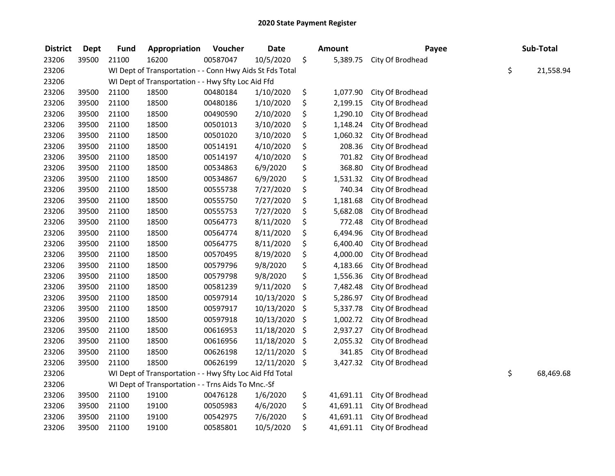| <b>District</b> | <b>Dept</b> | <b>Fund</b> | Appropriation                                            | Voucher  | <b>Date</b> | <b>Amount</b>   | Payee            | Sub-Total       |
|-----------------|-------------|-------------|----------------------------------------------------------|----------|-------------|-----------------|------------------|-----------------|
| 23206           | 39500       | 21100       | 16200                                                    | 00587047 | 10/5/2020   | \$<br>5,389.75  | City Of Brodhead |                 |
| 23206           |             |             | WI Dept of Transportation - - Conn Hwy Aids St Fds Total |          |             |                 |                  | \$<br>21,558.94 |
| 23206           |             |             | WI Dept of Transportation - - Hwy Sfty Loc Aid Ffd       |          |             |                 |                  |                 |
| 23206           | 39500       | 21100       | 18500                                                    | 00480184 | 1/10/2020   | \$<br>1,077.90  | City Of Brodhead |                 |
| 23206           | 39500       | 21100       | 18500                                                    | 00480186 | 1/10/2020   | \$<br>2,199.15  | City Of Brodhead |                 |
| 23206           | 39500       | 21100       | 18500                                                    | 00490590 | 2/10/2020   | \$<br>1,290.10  | City Of Brodhead |                 |
| 23206           | 39500       | 21100       | 18500                                                    | 00501013 | 3/10/2020   | \$<br>1,148.24  | City Of Brodhead |                 |
| 23206           | 39500       | 21100       | 18500                                                    | 00501020 | 3/10/2020   | \$<br>1,060.32  | City Of Brodhead |                 |
| 23206           | 39500       | 21100       | 18500                                                    | 00514191 | 4/10/2020   | \$<br>208.36    | City Of Brodhead |                 |
| 23206           | 39500       | 21100       | 18500                                                    | 00514197 | 4/10/2020   | \$<br>701.82    | City Of Brodhead |                 |
| 23206           | 39500       | 21100       | 18500                                                    | 00534863 | 6/9/2020    | \$<br>368.80    | City Of Brodhead |                 |
| 23206           | 39500       | 21100       | 18500                                                    | 00534867 | 6/9/2020    | \$<br>1,531.32  | City Of Brodhead |                 |
| 23206           | 39500       | 21100       | 18500                                                    | 00555738 | 7/27/2020   | \$<br>740.34    | City Of Brodhead |                 |
| 23206           | 39500       | 21100       | 18500                                                    | 00555750 | 7/27/2020   | \$<br>1,181.68  | City Of Brodhead |                 |
| 23206           | 39500       | 21100       | 18500                                                    | 00555753 | 7/27/2020   | \$<br>5,682.08  | City Of Brodhead |                 |
| 23206           | 39500       | 21100       | 18500                                                    | 00564773 | 8/11/2020   | \$<br>772.48    | City Of Brodhead |                 |
| 23206           | 39500       | 21100       | 18500                                                    | 00564774 | 8/11/2020   | \$<br>6,494.96  | City Of Brodhead |                 |
| 23206           | 39500       | 21100       | 18500                                                    | 00564775 | 8/11/2020   | \$<br>6,400.40  | City Of Brodhead |                 |
| 23206           | 39500       | 21100       | 18500                                                    | 00570495 | 8/19/2020   | \$<br>4,000.00  | City Of Brodhead |                 |
| 23206           | 39500       | 21100       | 18500                                                    | 00579796 | 9/8/2020    | \$<br>4,183.66  | City Of Brodhead |                 |
| 23206           | 39500       | 21100       | 18500                                                    | 00579798 | 9/8/2020    | \$<br>1,556.36  | City Of Brodhead |                 |
| 23206           | 39500       | 21100       | 18500                                                    | 00581239 | 9/11/2020   | \$<br>7,482.48  | City Of Brodhead |                 |
| 23206           | 39500       | 21100       | 18500                                                    | 00597914 | 10/13/2020  | \$<br>5,286.97  | City Of Brodhead |                 |
| 23206           | 39500       | 21100       | 18500                                                    | 00597917 | 10/13/2020  | \$<br>5,337.78  | City Of Brodhead |                 |
| 23206           | 39500       | 21100       | 18500                                                    | 00597918 | 10/13/2020  | \$<br>1,002.72  | City Of Brodhead |                 |
| 23206           | 39500       | 21100       | 18500                                                    | 00616953 | 11/18/2020  | \$<br>2,937.27  | City Of Brodhead |                 |
| 23206           | 39500       | 21100       | 18500                                                    | 00616956 | 11/18/2020  | \$<br>2,055.32  | City Of Brodhead |                 |
| 23206           | 39500       | 21100       | 18500                                                    | 00626198 | 12/11/2020  | \$<br>341.85    | City Of Brodhead |                 |
| 23206           | 39500       | 21100       | 18500                                                    | 00626199 | 12/11/2020  | \$<br>3,427.32  | City Of Brodhead |                 |
| 23206           |             |             | WI Dept of Transportation - - Hwy Sfty Loc Aid Ffd Total |          |             |                 |                  | \$<br>68,469.68 |
| 23206           |             |             | WI Dept of Transportation - - Trns Aids To Mnc.-Sf       |          |             |                 |                  |                 |
| 23206           | 39500       | 21100       | 19100                                                    | 00476128 | 1/6/2020    | \$<br>41,691.11 | City Of Brodhead |                 |
| 23206           | 39500       | 21100       | 19100                                                    | 00505983 | 4/6/2020    | \$<br>41,691.11 | City Of Brodhead |                 |
| 23206           | 39500       | 21100       | 19100                                                    | 00542975 | 7/6/2020    | \$<br>41,691.11 | City Of Brodhead |                 |
| 23206           | 39500       | 21100       | 19100                                                    | 00585801 | 10/5/2020   | \$<br>41,691.11 | City Of Brodhead |                 |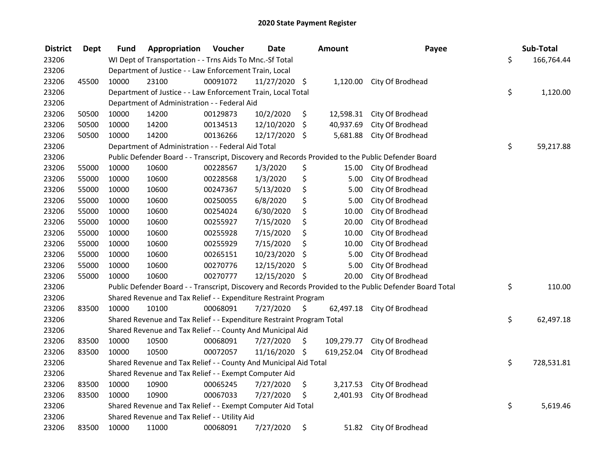| <b>District</b> | <b>Dept</b> | Fund  | Appropriation                                                         | Voucher  | <b>Date</b>   | Amount           | Payee                                                                                                   | Sub-Total        |
|-----------------|-------------|-------|-----------------------------------------------------------------------|----------|---------------|------------------|---------------------------------------------------------------------------------------------------------|------------------|
| 23206           |             |       | WI Dept of Transportation - - Trns Aids To Mnc.-Sf Total              |          |               |                  |                                                                                                         | \$<br>166,764.44 |
| 23206           |             |       | Department of Justice - - Law Enforcement Train, Local                |          |               |                  |                                                                                                         |                  |
| 23206           | 45500       | 10000 | 23100                                                                 | 00091072 | 11/27/2020 \$ | 1,120.00         | City Of Brodhead                                                                                        |                  |
| 23206           |             |       | Department of Justice - - Law Enforcement Train, Local Total          |          |               |                  |                                                                                                         | \$<br>1,120.00   |
| 23206           |             |       | Department of Administration - - Federal Aid                          |          |               |                  |                                                                                                         |                  |
| 23206           | 50500       | 10000 | 14200                                                                 | 00129873 | 10/2/2020     | \$<br>12,598.31  | City Of Brodhead                                                                                        |                  |
| 23206           | 50500       | 10000 | 14200                                                                 | 00134513 | 12/10/2020    | \$<br>40,937.69  | City Of Brodhead                                                                                        |                  |
| 23206           | 50500       | 10000 | 14200                                                                 | 00136266 | 12/17/2020 \$ | 5,681.88         | City Of Brodhead                                                                                        |                  |
| 23206           |             |       | Department of Administration - - Federal Aid Total                    |          |               |                  |                                                                                                         | \$<br>59,217.88  |
| 23206           |             |       |                                                                       |          |               |                  | Public Defender Board - - Transcript, Discovery and Records Provided to the Public Defender Board       |                  |
| 23206           | 55000       | 10000 | 10600                                                                 | 00228567 | 1/3/2020      | \$<br>15.00      | City Of Brodhead                                                                                        |                  |
| 23206           | 55000       | 10000 | 10600                                                                 | 00228568 | 1/3/2020      | \$<br>5.00       | City Of Brodhead                                                                                        |                  |
| 23206           | 55000       | 10000 | 10600                                                                 | 00247367 | 5/13/2020     | \$<br>5.00       | City Of Brodhead                                                                                        |                  |
| 23206           | 55000       | 10000 | 10600                                                                 | 00250055 | 6/8/2020      | \$<br>5.00       | City Of Brodhead                                                                                        |                  |
| 23206           | 55000       | 10000 | 10600                                                                 | 00254024 | 6/30/2020     | \$<br>10.00      | City Of Brodhead                                                                                        |                  |
| 23206           | 55000       | 10000 | 10600                                                                 | 00255927 | 7/15/2020     | \$<br>20.00      | City Of Brodhead                                                                                        |                  |
| 23206           | 55000       | 10000 | 10600                                                                 | 00255928 | 7/15/2020     | \$<br>10.00      | City Of Brodhead                                                                                        |                  |
| 23206           | 55000       | 10000 | 10600                                                                 | 00255929 | 7/15/2020     | \$<br>10.00      | City Of Brodhead                                                                                        |                  |
| 23206           | 55000       | 10000 | 10600                                                                 | 00265151 | 10/23/2020    | \$<br>5.00       | City Of Brodhead                                                                                        |                  |
| 23206           | 55000       | 10000 | 10600                                                                 | 00270776 | 12/15/2020    | \$<br>5.00       | City Of Brodhead                                                                                        |                  |
| 23206           | 55000       | 10000 | 10600                                                                 | 00270777 | 12/15/2020 \$ | 20.00            | City Of Brodhead                                                                                        |                  |
| 23206           |             |       |                                                                       |          |               |                  | Public Defender Board - - Transcript, Discovery and Records Provided to the Public Defender Board Total | \$<br>110.00     |
| 23206           |             |       | Shared Revenue and Tax Relief - - Expenditure Restraint Program       |          |               |                  |                                                                                                         |                  |
| 23206           | 83500       | 10000 | 10100                                                                 | 00068091 | 7/27/2020     | \$<br>62,497.18  | City Of Brodhead                                                                                        |                  |
| 23206           |             |       | Shared Revenue and Tax Relief - - Expenditure Restraint Program Total |          |               |                  |                                                                                                         | \$<br>62,497.18  |
| 23206           |             |       | Shared Revenue and Tax Relief - - County And Municipal Aid            |          |               |                  |                                                                                                         |                  |
| 23206           | 83500       | 10000 | 10500                                                                 | 00068091 | 7/27/2020     | \$<br>109,279.77 | City Of Brodhead                                                                                        |                  |
| 23206           | 83500       | 10000 | 10500                                                                 | 00072057 | 11/16/2020 \$ | 619,252.04       | City Of Brodhead                                                                                        |                  |
| 23206           |             |       | Shared Revenue and Tax Relief - - County And Municipal Aid Total      |          |               |                  |                                                                                                         | \$<br>728,531.81 |
| 23206           |             |       | Shared Revenue and Tax Relief - - Exempt Computer Aid                 |          |               |                  |                                                                                                         |                  |
| 23206           | 83500       | 10000 | 10900                                                                 | 00065245 | 7/27/2020     | \$<br>3,217.53   | City Of Brodhead                                                                                        |                  |
| 23206           | 83500       | 10000 | 10900                                                                 | 00067033 | 7/27/2020     | \$<br>2,401.93   | City Of Brodhead                                                                                        |                  |
| 23206           |             |       | Shared Revenue and Tax Relief - - Exempt Computer Aid Total           |          |               |                  |                                                                                                         | \$<br>5,619.46   |
| 23206           |             |       | Shared Revenue and Tax Relief - - Utility Aid                         |          |               |                  |                                                                                                         |                  |
| 23206           | 83500       | 10000 | 11000                                                                 | 00068091 | 7/27/2020     | \$<br>51.82      | City Of Brodhead                                                                                        |                  |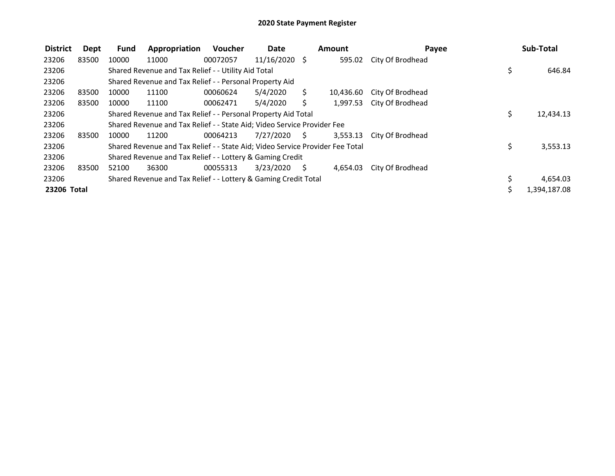| <b>District</b> | Dept  | <b>Fund</b> | Appropriation                                                                 | Voucher  | <b>Date</b>     |    | <b>Amount</b> | Payee            |     | Sub-Total    |
|-----------------|-------|-------------|-------------------------------------------------------------------------------|----------|-----------------|----|---------------|------------------|-----|--------------|
| 23206           | 83500 | 10000       | 11000                                                                         | 00072057 | $11/16/2020$ \$ |    | 595.02        | City Of Brodhead |     |              |
| 23206           |       |             | Shared Revenue and Tax Relief - - Utility Aid Total                           |          |                 |    |               |                  | \$, | 646.84       |
| 23206           |       |             | Shared Revenue and Tax Relief - - Personal Property Aid                       |          |                 |    |               |                  |     |              |
| 23206           | 83500 | 10000       | 11100                                                                         | 00060624 | 5/4/2020        | S. | 10.436.60     | City Of Brodhead |     |              |
| 23206           | 83500 | 10000       | 11100                                                                         | 00062471 | 5/4/2020        |    | 1,997.53      | City Of Brodhead |     |              |
| 23206           |       |             | Shared Revenue and Tax Relief - - Personal Property Aid Total                 |          |                 |    |               |                  | \$  | 12,434.13    |
| 23206           |       |             | Shared Revenue and Tax Relief - - State Aid; Video Service Provider Fee       |          |                 |    |               |                  |     |              |
| 23206           | 83500 | 10000       | 11200                                                                         | 00064213 | 7/27/2020       | S. | 3.553.13      | City Of Brodhead |     |              |
| 23206           |       |             | Shared Revenue and Tax Relief - - State Aid; Video Service Provider Fee Total |          |                 |    |               |                  | \$  | 3,553.13     |
| 23206           |       |             | Shared Revenue and Tax Relief - - Lottery & Gaming Credit                     |          |                 |    |               |                  |     |              |
| 23206           | 83500 | 52100       | 36300                                                                         | 00055313 | 3/23/2020       | S. | 4,654.03      | City Of Brodhead |     |              |
| 23206           |       |             | Shared Revenue and Tax Relief - - Lottery & Gaming Credit Total               |          |                 |    |               |                  |     | 4,654.03     |
| 23206 Total     |       |             |                                                                               |          |                 |    |               |                  |     | 1,394,187.08 |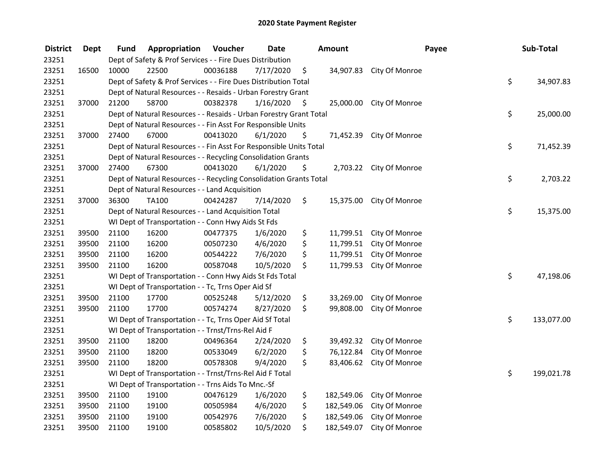| <b>District</b> | <b>Dept</b> | Fund  | Appropriation                                                      | Voucher  | <b>Date</b> |     | Amount     | Payee                    | Sub-Total        |
|-----------------|-------------|-------|--------------------------------------------------------------------|----------|-------------|-----|------------|--------------------------|------------------|
| 23251           |             |       | Dept of Safety & Prof Services - - Fire Dues Distribution          |          |             |     |            |                          |                  |
| 23251           | 16500       | 10000 | 22500                                                              | 00036188 | 7/17/2020   | \$  |            | 34,907.83 City Of Monroe |                  |
| 23251           |             |       | Dept of Safety & Prof Services - - Fire Dues Distribution Total    |          |             |     |            |                          | \$<br>34,907.83  |
| 23251           |             |       | Dept of Natural Resources - - Resaids - Urban Forestry Grant       |          |             |     |            |                          |                  |
| 23251           | 37000       | 21200 | 58700                                                              | 00382378 | 1/16/2020   | -\$ |            | 25,000.00 City Of Monroe |                  |
| 23251           |             |       | Dept of Natural Resources - - Resaids - Urban Forestry Grant Total |          |             |     |            |                          | \$<br>25,000.00  |
| 23251           |             |       | Dept of Natural Resources - - Fin Asst For Responsible Units       |          |             |     |            |                          |                  |
| 23251           | 37000       | 27400 | 67000                                                              | 00413020 | 6/1/2020    | \$  |            | 71,452.39 City Of Monroe |                  |
| 23251           |             |       | Dept of Natural Resources - - Fin Asst For Responsible Units Total |          |             |     |            |                          | \$<br>71,452.39  |
| 23251           |             |       | Dept of Natural Resources - - Recycling Consolidation Grants       |          |             |     |            |                          |                  |
| 23251           | 37000       | 27400 | 67300                                                              | 00413020 | 6/1/2020    | \$  |            | 2,703.22 City Of Monroe  |                  |
| 23251           |             |       | Dept of Natural Resources - - Recycling Consolidation Grants Total |          |             |     |            |                          | \$<br>2,703.22   |
| 23251           |             |       | Dept of Natural Resources - - Land Acquisition                     |          |             |     |            |                          |                  |
| 23251           | 37000       | 36300 | TA100                                                              | 00424287 | 7/14/2020   | \$  | 15,375.00  | City Of Monroe           |                  |
| 23251           |             |       | Dept of Natural Resources - - Land Acquisition Total               |          |             |     |            |                          | \$<br>15,375.00  |
| 23251           |             |       | WI Dept of Transportation - - Conn Hwy Aids St Fds                 |          |             |     |            |                          |                  |
| 23251           | 39500       | 21100 | 16200                                                              | 00477375 | 1/6/2020    | \$  | 11,799.51  | City Of Monroe           |                  |
| 23251           | 39500       | 21100 | 16200                                                              | 00507230 | 4/6/2020    | \$  | 11,799.51  | City Of Monroe           |                  |
| 23251           | 39500       | 21100 | 16200                                                              | 00544222 | 7/6/2020    | \$  | 11,799.51  | City Of Monroe           |                  |
| 23251           | 39500       | 21100 | 16200                                                              | 00587048 | 10/5/2020   | \$  | 11,799.53  | City Of Monroe           |                  |
| 23251           |             |       | WI Dept of Transportation - - Conn Hwy Aids St Fds Total           |          |             |     |            |                          | \$<br>47,198.06  |
| 23251           |             |       | WI Dept of Transportation - - Tc, Trns Oper Aid Sf                 |          |             |     |            |                          |                  |
| 23251           | 39500       | 21100 | 17700                                                              | 00525248 | 5/12/2020   | \$  | 33,269.00  | City Of Monroe           |                  |
| 23251           | 39500       | 21100 | 17700                                                              | 00574274 | 8/27/2020   | \$  | 99,808.00  | City Of Monroe           |                  |
| 23251           |             |       | WI Dept of Transportation - - Tc, Trns Oper Aid Sf Total           |          |             |     |            |                          | \$<br>133,077.00 |
| 23251           |             |       | WI Dept of Transportation - - Trnst/Trns-Rel Aid F                 |          |             |     |            |                          |                  |
| 23251           | 39500       | 21100 | 18200                                                              | 00496364 | 2/24/2020   | \$  | 39,492.32  | City Of Monroe           |                  |
| 23251           | 39500       | 21100 | 18200                                                              | 00533049 | 6/2/2020    | \$  | 76,122.84  | City Of Monroe           |                  |
| 23251           | 39500       | 21100 | 18200                                                              | 00578308 | 9/4/2020    | \$  | 83,406.62  | City Of Monroe           |                  |
| 23251           |             |       | WI Dept of Transportation - - Trnst/Trns-Rel Aid F Total           |          |             |     |            |                          | \$<br>199,021.78 |
| 23251           |             |       | WI Dept of Transportation - - Trns Aids To Mnc.-Sf                 |          |             |     |            |                          |                  |
| 23251           | 39500       | 21100 | 19100                                                              | 00476129 | 1/6/2020    | \$  | 182,549.06 | City Of Monroe           |                  |
| 23251           | 39500       | 21100 | 19100                                                              | 00505984 | 4/6/2020    | \$  | 182,549.06 | City Of Monroe           |                  |
| 23251           | 39500       | 21100 | 19100                                                              | 00542976 | 7/6/2020    | \$  | 182,549.06 | City Of Monroe           |                  |
| 23251           | 39500       | 21100 | 19100                                                              | 00585802 | 10/5/2020   | \$  | 182,549.07 | City Of Monroe           |                  |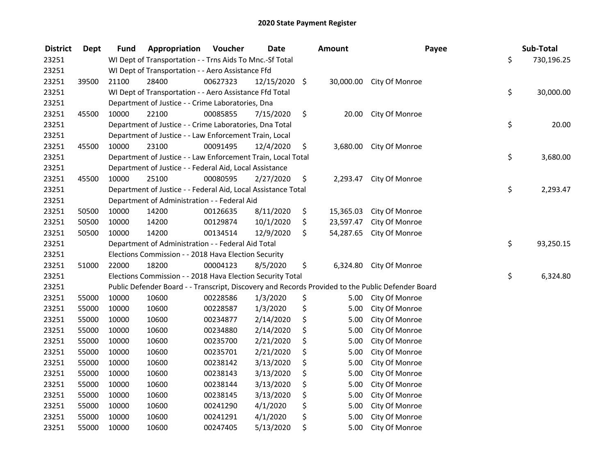| <b>District</b> | <b>Dept</b> | Fund  | Appropriation                                                 | Voucher  | <b>Date</b>   | <b>Amount</b>   | Payee                                                                                             | Sub-Total        |
|-----------------|-------------|-------|---------------------------------------------------------------|----------|---------------|-----------------|---------------------------------------------------------------------------------------------------|------------------|
| 23251           |             |       | WI Dept of Transportation - - Trns Aids To Mnc.-Sf Total      |          |               |                 |                                                                                                   | \$<br>730,196.25 |
| 23251           |             |       | WI Dept of Transportation - - Aero Assistance Ffd             |          |               |                 |                                                                                                   |                  |
| 23251           | 39500       | 21100 | 28400                                                         | 00627323 | 12/15/2020 \$ |                 | 30,000.00 City Of Monroe                                                                          |                  |
| 23251           |             |       | WI Dept of Transportation - - Aero Assistance Ffd Total       |          |               |                 |                                                                                                   | \$<br>30,000.00  |
| 23251           |             |       | Department of Justice - - Crime Laboratories, Dna             |          |               |                 |                                                                                                   |                  |
| 23251           | 45500       | 10000 | 22100                                                         | 00085855 | 7/15/2020     | \$<br>20.00     | City Of Monroe                                                                                    |                  |
| 23251           |             |       | Department of Justice - - Crime Laboratories, Dna Total       |          |               |                 |                                                                                                   | \$<br>20.00      |
| 23251           |             |       | Department of Justice - - Law Enforcement Train, Local        |          |               |                 |                                                                                                   |                  |
| 23251           | 45500       | 10000 | 23100                                                         | 00091495 | 12/4/2020     | \$              | 3,680.00 City Of Monroe                                                                           |                  |
| 23251           |             |       | Department of Justice - - Law Enforcement Train, Local Total  |          |               |                 |                                                                                                   | \$<br>3,680.00   |
| 23251           |             |       | Department of Justice - - Federal Aid, Local Assistance       |          |               |                 |                                                                                                   |                  |
| 23251           | 45500       | 10000 | 25100                                                         | 00080595 | 2/27/2020     | \$<br>2,293.47  | City Of Monroe                                                                                    |                  |
| 23251           |             |       | Department of Justice - - Federal Aid, Local Assistance Total |          |               |                 |                                                                                                   | \$<br>2,293.47   |
| 23251           |             |       | Department of Administration - - Federal Aid                  |          |               |                 |                                                                                                   |                  |
| 23251           | 50500       | 10000 | 14200                                                         | 00126635 | 8/11/2020     | \$<br>15,365.03 | City Of Monroe                                                                                    |                  |
| 23251           | 50500       | 10000 | 14200                                                         | 00129874 | 10/1/2020     | \$<br>23,597.47 | City Of Monroe                                                                                    |                  |
| 23251           | 50500       | 10000 | 14200                                                         | 00134514 | 12/9/2020     | \$<br>54,287.65 | City Of Monroe                                                                                    |                  |
| 23251           |             |       | Department of Administration - - Federal Aid Total            |          |               |                 |                                                                                                   | \$<br>93,250.15  |
| 23251           |             |       | Elections Commission - - 2018 Hava Election Security          |          |               |                 |                                                                                                   |                  |
| 23251           | 51000       | 22000 | 18200                                                         | 00004123 | 8/5/2020      | \$<br>6,324.80  | City Of Monroe                                                                                    |                  |
| 23251           |             |       | Elections Commission - - 2018 Hava Election Security Total    |          |               |                 |                                                                                                   | \$<br>6,324.80   |
| 23251           |             |       |                                                               |          |               |                 | Public Defender Board - - Transcript, Discovery and Records Provided to the Public Defender Board |                  |
| 23251           | 55000       | 10000 | 10600                                                         | 00228586 | 1/3/2020      | \$<br>5.00      | City Of Monroe                                                                                    |                  |
| 23251           | 55000       | 10000 | 10600                                                         | 00228587 | 1/3/2020      | \$<br>5.00      | City Of Monroe                                                                                    |                  |
| 23251           | 55000       | 10000 | 10600                                                         | 00234877 | 2/14/2020     | \$<br>5.00      | City Of Monroe                                                                                    |                  |
| 23251           | 55000       | 10000 | 10600                                                         | 00234880 | 2/14/2020     | \$<br>5.00      | City Of Monroe                                                                                    |                  |
| 23251           | 55000       | 10000 | 10600                                                         | 00235700 | 2/21/2020     | \$<br>5.00      | City Of Monroe                                                                                    |                  |
| 23251           | 55000       | 10000 | 10600                                                         | 00235701 | 2/21/2020     | \$<br>5.00      | City Of Monroe                                                                                    |                  |
| 23251           | 55000       | 10000 | 10600                                                         | 00238142 | 3/13/2020     | \$<br>5.00      | City Of Monroe                                                                                    |                  |
| 23251           | 55000       | 10000 | 10600                                                         | 00238143 | 3/13/2020     | \$<br>5.00      | City Of Monroe                                                                                    |                  |
| 23251           | 55000       | 10000 | 10600                                                         | 00238144 | 3/13/2020     | \$<br>5.00      | City Of Monroe                                                                                    |                  |
| 23251           | 55000       | 10000 | 10600                                                         | 00238145 | 3/13/2020     | \$<br>5.00      | City Of Monroe                                                                                    |                  |
| 23251           | 55000       | 10000 | 10600                                                         | 00241290 | 4/1/2020      | \$<br>5.00      | City Of Monroe                                                                                    |                  |
| 23251           | 55000       | 10000 | 10600                                                         | 00241291 | 4/1/2020      | \$<br>5.00      | City Of Monroe                                                                                    |                  |
| 23251           | 55000       | 10000 | 10600                                                         | 00247405 | 5/13/2020     | \$<br>5.00      | City Of Monroe                                                                                    |                  |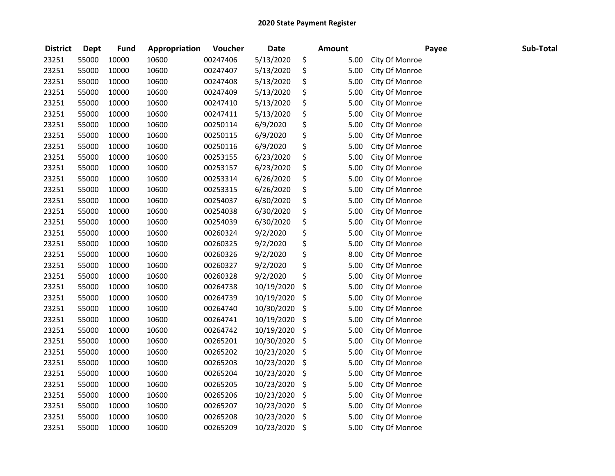| <b>District</b> | <b>Dept</b> | <b>Fund</b> | Appropriation | Voucher  | <b>Date</b> | Amount     |                | Payee | Sub-Total |
|-----------------|-------------|-------------|---------------|----------|-------------|------------|----------------|-------|-----------|
| 23251           | 55000       | 10000       | 10600         | 00247406 | 5/13/2020   | \$<br>5.00 | City Of Monroe |       |           |
| 23251           | 55000       | 10000       | 10600         | 00247407 | 5/13/2020   | \$<br>5.00 | City Of Monroe |       |           |
| 23251           | 55000       | 10000       | 10600         | 00247408 | 5/13/2020   | \$<br>5.00 | City Of Monroe |       |           |
| 23251           | 55000       | 10000       | 10600         | 00247409 | 5/13/2020   | \$<br>5.00 | City Of Monroe |       |           |
| 23251           | 55000       | 10000       | 10600         | 00247410 | 5/13/2020   | \$<br>5.00 | City Of Monroe |       |           |
| 23251           | 55000       | 10000       | 10600         | 00247411 | 5/13/2020   | \$<br>5.00 | City Of Monroe |       |           |
| 23251           | 55000       | 10000       | 10600         | 00250114 | 6/9/2020    | \$<br>5.00 | City Of Monroe |       |           |
| 23251           | 55000       | 10000       | 10600         | 00250115 | 6/9/2020    | \$<br>5.00 | City Of Monroe |       |           |
| 23251           | 55000       | 10000       | 10600         | 00250116 | 6/9/2020    | \$<br>5.00 | City Of Monroe |       |           |
| 23251           | 55000       | 10000       | 10600         | 00253155 | 6/23/2020   | \$<br>5.00 | City Of Monroe |       |           |
| 23251           | 55000       | 10000       | 10600         | 00253157 | 6/23/2020   | \$<br>5.00 | City Of Monroe |       |           |
| 23251           | 55000       | 10000       | 10600         | 00253314 | 6/26/2020   | \$<br>5.00 | City Of Monroe |       |           |
| 23251           | 55000       | 10000       | 10600         | 00253315 | 6/26/2020   | \$<br>5.00 | City Of Monroe |       |           |
| 23251           | 55000       | 10000       | 10600         | 00254037 | 6/30/2020   | \$<br>5.00 | City Of Monroe |       |           |
| 23251           | 55000       | 10000       | 10600         | 00254038 | 6/30/2020   | \$<br>5.00 | City Of Monroe |       |           |
| 23251           | 55000       | 10000       | 10600         | 00254039 | 6/30/2020   | \$<br>5.00 | City Of Monroe |       |           |
| 23251           | 55000       | 10000       | 10600         | 00260324 | 9/2/2020    | \$<br>5.00 | City Of Monroe |       |           |
| 23251           | 55000       | 10000       | 10600         | 00260325 | 9/2/2020    | \$<br>5.00 | City Of Monroe |       |           |
| 23251           | 55000       | 10000       | 10600         | 00260326 | 9/2/2020    | \$<br>8.00 | City Of Monroe |       |           |
| 23251           | 55000       | 10000       | 10600         | 00260327 | 9/2/2020    | \$<br>5.00 | City Of Monroe |       |           |
| 23251           | 55000       | 10000       | 10600         | 00260328 | 9/2/2020    | \$<br>5.00 | City Of Monroe |       |           |
| 23251           | 55000       | 10000       | 10600         | 00264738 | 10/19/2020  | \$<br>5.00 | City Of Monroe |       |           |
| 23251           | 55000       | 10000       | 10600         | 00264739 | 10/19/2020  | \$<br>5.00 | City Of Monroe |       |           |
| 23251           | 55000       | 10000       | 10600         | 00264740 | 10/30/2020  | \$<br>5.00 | City Of Monroe |       |           |
| 23251           | 55000       | 10000       | 10600         | 00264741 | 10/19/2020  | \$<br>5.00 | City Of Monroe |       |           |
| 23251           | 55000       | 10000       | 10600         | 00264742 | 10/19/2020  | \$<br>5.00 | City Of Monroe |       |           |
| 23251           | 55000       | 10000       | 10600         | 00265201 | 10/30/2020  | \$<br>5.00 | City Of Monroe |       |           |
| 23251           | 55000       | 10000       | 10600         | 00265202 | 10/23/2020  | \$<br>5.00 | City Of Monroe |       |           |
| 23251           | 55000       | 10000       | 10600         | 00265203 | 10/23/2020  | \$<br>5.00 | City Of Monroe |       |           |
| 23251           | 55000       | 10000       | 10600         | 00265204 | 10/23/2020  | \$<br>5.00 | City Of Monroe |       |           |
| 23251           | 55000       | 10000       | 10600         | 00265205 | 10/23/2020  | \$<br>5.00 | City Of Monroe |       |           |
| 23251           | 55000       | 10000       | 10600         | 00265206 | 10/23/2020  | \$<br>5.00 | City Of Monroe |       |           |
| 23251           | 55000       | 10000       | 10600         | 00265207 | 10/23/2020  | \$<br>5.00 | City Of Monroe |       |           |
| 23251           | 55000       | 10000       | 10600         | 00265208 | 10/23/2020  | \$<br>5.00 | City Of Monroe |       |           |
| 23251           | 55000       | 10000       | 10600         | 00265209 | 10/23/2020  | \$<br>5.00 | City Of Monroe |       |           |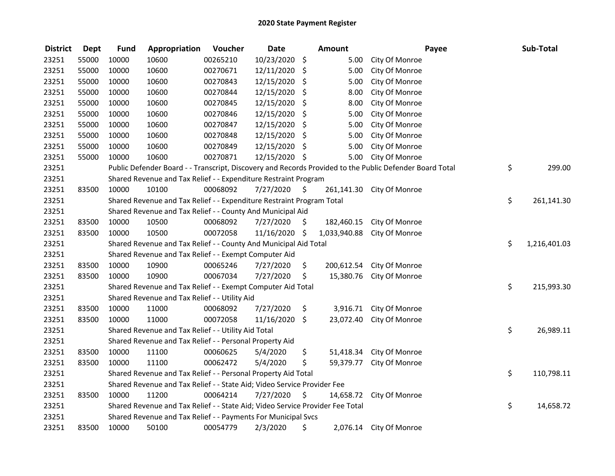| <b>District</b> | <b>Dept</b> | <b>Fund</b> | Appropriation                                                                 | Voucher  | <b>Date</b>   |         | <b>Amount</b> | Payee                                                                                                   | Sub-Total          |
|-----------------|-------------|-------------|-------------------------------------------------------------------------------|----------|---------------|---------|---------------|---------------------------------------------------------------------------------------------------------|--------------------|
| 23251           | 55000       | 10000       | 10600                                                                         | 00265210 | 10/23/2020    | \$      | 5.00          | City Of Monroe                                                                                          |                    |
| 23251           | 55000       | 10000       | 10600                                                                         | 00270671 | 12/11/2020    | $\zeta$ | 5.00          | City Of Monroe                                                                                          |                    |
| 23251           | 55000       | 10000       | 10600                                                                         | 00270843 | 12/15/2020 \$ |         | 5.00          | City Of Monroe                                                                                          |                    |
| 23251           | 55000       | 10000       | 10600                                                                         | 00270844 | 12/15/2020    | \$      | 8.00          | City Of Monroe                                                                                          |                    |
| 23251           | 55000       | 10000       | 10600                                                                         | 00270845 | 12/15/2020    | \$      | 8.00          | City Of Monroe                                                                                          |                    |
| 23251           | 55000       | 10000       | 10600                                                                         | 00270846 | 12/15/2020    | \$      | 5.00          | City Of Monroe                                                                                          |                    |
| 23251           | 55000       | 10000       | 10600                                                                         | 00270847 | 12/15/2020    | -\$     | 5.00          | City Of Monroe                                                                                          |                    |
| 23251           | 55000       | 10000       | 10600                                                                         | 00270848 | 12/15/2020    | \$      | 5.00          | City Of Monroe                                                                                          |                    |
| 23251           | 55000       | 10000       | 10600                                                                         | 00270849 | 12/15/2020    | -\$     | 5.00          | City Of Monroe                                                                                          |                    |
| 23251           | 55000       | 10000       | 10600                                                                         | 00270871 | 12/15/2020 \$ |         | 5.00          | City Of Monroe                                                                                          |                    |
| 23251           |             |             |                                                                               |          |               |         |               | Public Defender Board - - Transcript, Discovery and Records Provided to the Public Defender Board Total | \$<br>299.00       |
| 23251           |             |             | Shared Revenue and Tax Relief - - Expenditure Restraint Program               |          |               |         |               |                                                                                                         |                    |
| 23251           | 83500       | 10000       | 10100                                                                         | 00068092 | 7/27/2020     | -\$     | 261,141.30    | City Of Monroe                                                                                          |                    |
| 23251           |             |             | Shared Revenue and Tax Relief - - Expenditure Restraint Program Total         |          |               |         |               |                                                                                                         | \$<br>261,141.30   |
| 23251           |             |             | Shared Revenue and Tax Relief - - County And Municipal Aid                    |          |               |         |               |                                                                                                         |                    |
| 23251           | 83500       | 10000       | 10500                                                                         | 00068092 | 7/27/2020     | S.      | 182,460.15    | City Of Monroe                                                                                          |                    |
| 23251           | 83500       | 10000       | 10500                                                                         | 00072058 | 11/16/2020 \$ |         | 1,033,940.88  | City Of Monroe                                                                                          |                    |
| 23251           |             |             | Shared Revenue and Tax Relief - - County And Municipal Aid Total              |          |               |         |               |                                                                                                         | \$<br>1,216,401.03 |
| 23251           |             |             | Shared Revenue and Tax Relief - - Exempt Computer Aid                         |          |               |         |               |                                                                                                         |                    |
| 23251           | 83500       | 10000       | 10900                                                                         | 00065246 | 7/27/2020     | \$      | 200,612.54    | City Of Monroe                                                                                          |                    |
| 23251           | 83500       | 10000       | 10900                                                                         | 00067034 | 7/27/2020     | \$      | 15,380.76     | City Of Monroe                                                                                          |                    |
| 23251           |             |             | Shared Revenue and Tax Relief - - Exempt Computer Aid Total                   |          |               |         |               |                                                                                                         | \$<br>215,993.30   |
| 23251           |             |             | Shared Revenue and Tax Relief - - Utility Aid                                 |          |               |         |               |                                                                                                         |                    |
| 23251           | 83500       | 10000       | 11000                                                                         | 00068092 | 7/27/2020     | \$      | 3,916.71      | City Of Monroe                                                                                          |                    |
| 23251           | 83500       | 10000       | 11000                                                                         | 00072058 | 11/16/2020    | \$      | 23,072.40     | City Of Monroe                                                                                          |                    |
| 23251           |             |             | Shared Revenue and Tax Relief - - Utility Aid Total                           |          |               |         |               |                                                                                                         | \$<br>26,989.11    |
| 23251           |             |             | Shared Revenue and Tax Relief - - Personal Property Aid                       |          |               |         |               |                                                                                                         |                    |
| 23251           | 83500       | 10000       | 11100                                                                         | 00060625 | 5/4/2020      | \$      | 51,418.34     | City Of Monroe                                                                                          |                    |
| 23251           | 83500       | 10000       | 11100                                                                         | 00062472 | 5/4/2020      | \$      | 59,379.77     | City Of Monroe                                                                                          |                    |
| 23251           |             |             | Shared Revenue and Tax Relief - - Personal Property Aid Total                 |          |               |         |               |                                                                                                         | \$<br>110,798.11   |
| 23251           |             |             | Shared Revenue and Tax Relief - - State Aid; Video Service Provider Fee       |          |               |         |               |                                                                                                         |                    |
| 23251           | 83500       | 10000       | 11200                                                                         | 00064214 | 7/27/2020     | - \$    | 14,658.72     | City Of Monroe                                                                                          |                    |
| 23251           |             |             | Shared Revenue and Tax Relief - - State Aid; Video Service Provider Fee Total |          |               |         |               |                                                                                                         | \$<br>14,658.72    |
| 23251           |             |             | Shared Revenue and Tax Relief - - Payments For Municipal Svcs                 |          |               |         |               |                                                                                                         |                    |
| 23251           | 83500       | 10000       | 50100                                                                         | 00054779 | 2/3/2020      | \$      |               | 2,076.14 City Of Monroe                                                                                 |                    |